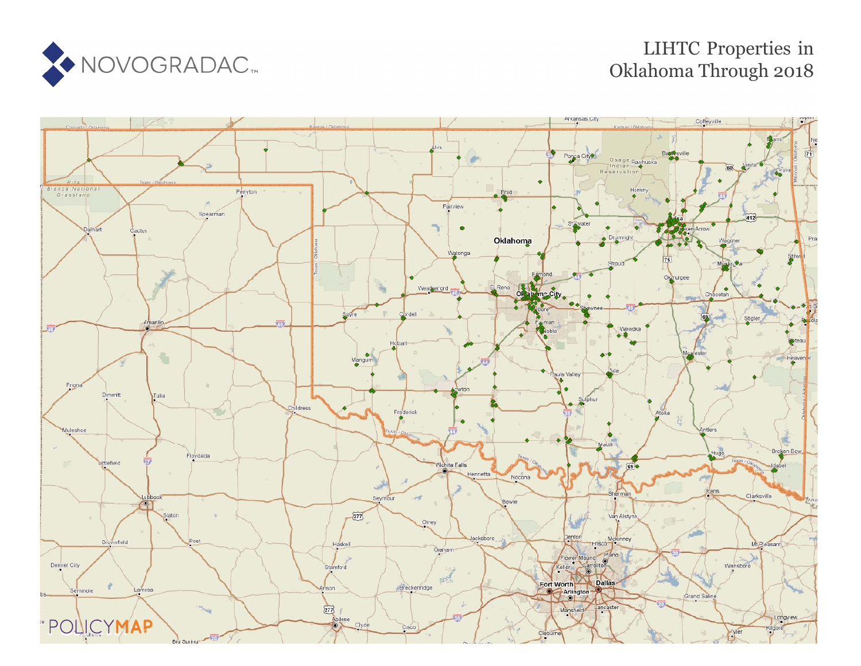

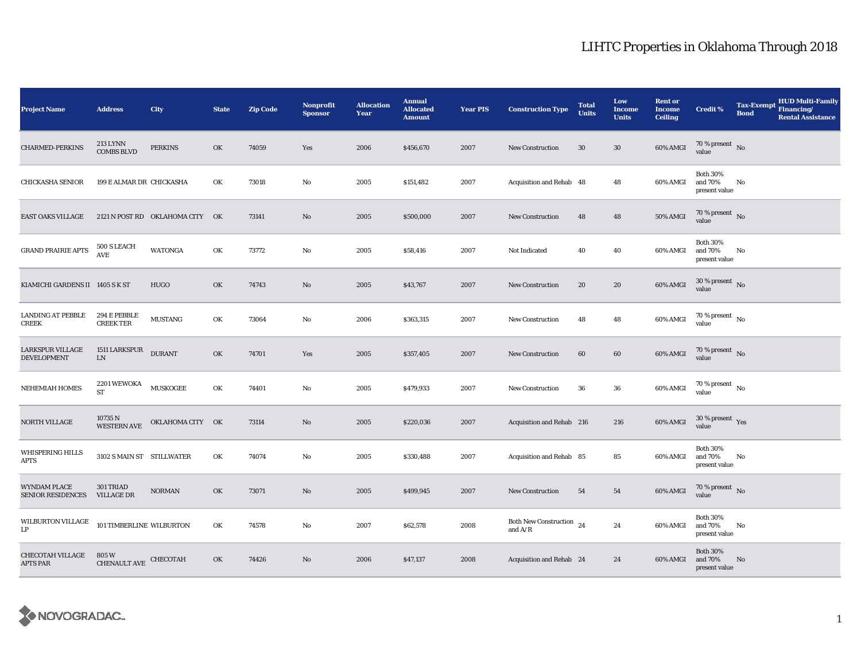| <b>Project Name</b>                             | <b>Address</b>                              | <b>City</b>                     | <b>State</b> | <b>Zip Code</b> | Nonprofit<br><b>Sponsor</b> | <b>Allocation</b><br>Year | <b>Annual</b><br><b>Allocated</b><br><b>Amount</b> | <b>Year PIS</b> | <b>Construction Type</b>                        | <b>Total</b><br><b>Units</b> | Low<br><b>Income</b><br><b>Units</b> | <b>Rent or</b><br><b>Income</b><br><b>Ceiling</b> | <b>Credit %</b>                             | <b>Tax-Exempt</b><br><b>Bond</b> | <b>HUD Multi-Family</b><br>Financing/<br><b>Rental Assistance</b> |
|-------------------------------------------------|---------------------------------------------|---------------------------------|--------------|-----------------|-----------------------------|---------------------------|----------------------------------------------------|-----------------|-------------------------------------------------|------------------------------|--------------------------------------|---------------------------------------------------|---------------------------------------------|----------------------------------|-------------------------------------------------------------------|
| <b>CHARMED-PERKINS</b>                          | 213 LYNN<br><b>COMBS BLVD</b>               | <b>PERKINS</b>                  | OK           | 74059           | Yes                         | 2006                      | \$456,670                                          | 2007            | <b>New Construction</b>                         | 30                           | $30\,$                               | 60% AMGI                                          | $70\,\%$ present $${\rm No}$$ value         |                                  |                                                                   |
| <b>CHICKASHA SENIOR</b>                         | 199 E ALMAR DR CHICKASHA                    |                                 | OK           | 73018           | No                          | 2005                      | \$151,482                                          | 2007            | Acquisition and Rehab 48                        |                              | 48                                   | 60% AMGI                                          | <b>Both 30%</b><br>and 70%<br>present value | No                               |                                                                   |
| EAST OAKS VILLAGE                               |                                             | 2121 N POST RD OKLAHOMA CITY OK |              | 73141           | No                          | 2005                      | \$500,000                                          | 2007            | New Construction                                | 48                           | 48                                   | 50% AMGI                                          | $70$ % present $\,$ No $\,$<br>value        |                                  |                                                                   |
| <b>GRAND PRAIRIE APTS</b>                       | 500 S LEACH<br><b>AVE</b>                   | <b>WATONGA</b>                  | OK           | 73772           | No                          | 2005                      | \$58,416                                           | 2007            | Not Indicated                                   | 40                           | 40                                   | 60% AMGI                                          | <b>Both 30%</b><br>and 70%<br>present value | No                               |                                                                   |
| KIAMICHI GARDENS II 1405 S K ST                 |                                             | <b>HUGO</b>                     | OK           | 74743           | $\mathbf{N}\mathbf{o}$      | 2005                      | \$43,767                                           | 2007            | New Construction                                | 20                           | 20                                   | 60% AMGI                                          | $30$ % present $\,$ No $\,$<br>value        |                                  |                                                                   |
| LANDING AT PEBBLE<br><b>CREEK</b>               | 294 E PEBBLE<br><b>CREEK TER</b>            | <b>MUSTANG</b>                  | OK           | 73064           | No                          | 2006                      | \$363,315                                          | 2007            | <b>New Construction</b>                         | 48                           | 48                                   | 60% AMGI                                          | $70\,\%$ present $\,$ No $\,$<br>value      |                                  |                                                                   |
| LARKSPUR VILLAGE<br><b>DEVELOPMENT</b>          | 1511 LARKSPUR<br>${\rm LN}$                 | <b>DURANT</b>                   | OK           | 74701           | Yes                         | 2005                      | \$357,405                                          | 2007            | <b>New Construction</b>                         | 60                           | $60\,$                               | 60% AMGI                                          | $70\,\%$ present $\,$ No value              |                                  |                                                                   |
| <b>NEHEMIAH HOMES</b>                           | $2201\,\mbox{WEWOKA}$ MUSKOGEE<br><b>ST</b> |                                 | OK           | 74401           | No                          | 2005                      | \$479,933                                          | 2007            | <b>New Construction</b>                         | 36                           | 36                                   | 60% AMGI                                          | 70 % present $\,$ No $\,$<br>value          |                                  |                                                                   |
| NORTH VILLAGE                                   | 10735 N<br><b>WESTERN AVE</b>               | OKLAHOMA CITY OK                |              | 73114           | No                          | 2005                      | \$220,036                                          | 2007            | Acquisition and Rehab 216                       |                              | 216                                  | 60% AMGI                                          | $30\,\%$ present $\,$ Yes value             |                                  |                                                                   |
| WHISPERING HILLS<br><b>APTS</b>                 | 3102 S MAIN ST STILLWATER                   |                                 | OK           | 74074           | No                          | 2005                      | \$330,488                                          | 2007            | Acquisition and Rehab 85                        |                              | 85                                   | 60% AMGI                                          | <b>Both 30%</b><br>and 70%<br>present value | No                               |                                                                   |
| <b>WYNDAM PLACE</b><br><b>SENIOR RESIDENCES</b> | 301 TRIAD<br><b>VILLAGE DR</b>              | <b>NORMAN</b>                   | OK           | 73071           | No                          | 2005                      | \$499,945                                          | 2007            | <b>New Construction</b>                         | 54                           | 54                                   | 60% AMGI                                          | 70 % present $\,$ No $\,$<br>value          |                                  |                                                                   |
| WILBURTON VILLAGE<br>LP                         | 101 TIMBERLINE WILBURTON                    |                                 | OK           | 74578           | No                          | 2007                      | \$62,578                                           | 2008            | Both New Construction $\,$ 24 $\,$<br>and $A/R$ |                              | 24                                   | 60% AMGI                                          | <b>Both 30%</b><br>and 70%<br>present value | No                               |                                                                   |
| <b>CHECOTAH VILLAGE</b><br>APTS PAR             | 805 W<br>CHENAULT AVE CHECOTAH              |                                 | OK           | 74426           | No                          | 2006                      | \$47,137                                           | 2008            | Acquisition and Rehab 24                        |                              | 24                                   | 60% AMGI                                          | <b>Both 30%</b><br>and 70%<br>present value | No                               |                                                                   |

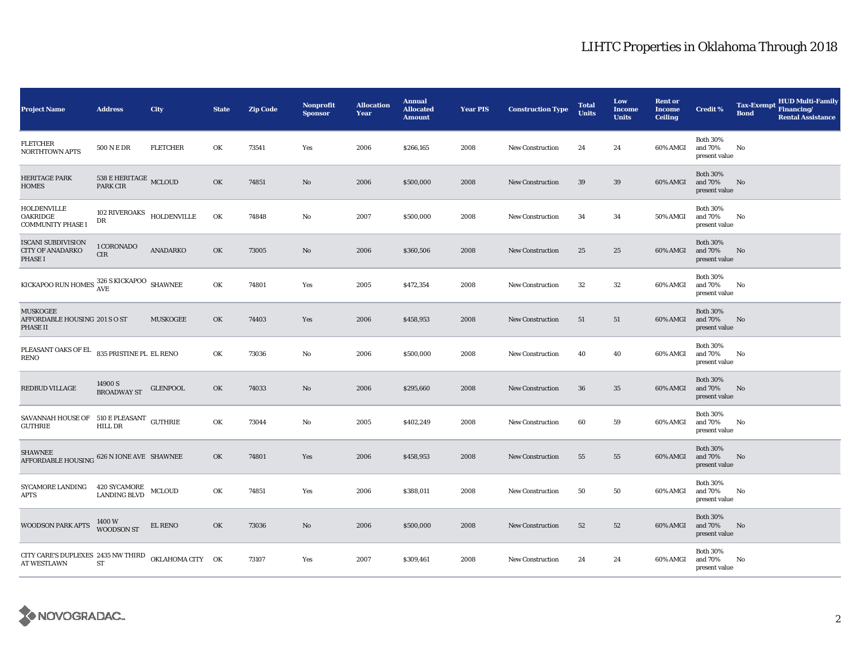| <b>Project Name</b>                                                       | <b>Address</b>                      | City            | <b>State</b> | <b>Zip Code</b> | <b>Nonprofit</b><br><b>Sponsor</b> | <b>Allocation</b><br>Year | <b>Annual</b><br><b>Allocated</b><br><b>Amount</b> | <b>Year PIS</b> | <b>Construction Type</b> | <b>Total</b><br><b>Units</b> | Low<br><b>Income</b><br><b>Units</b> | <b>Rent or</b><br><b>Income</b><br><b>Ceiling</b> | <b>Credit %</b>                             | <b>Tax-Exempt</b><br><b>Bond</b> | <b>HUD Multi-Family</b><br>Financing/<br><b>Rental Assistance</b> |
|---------------------------------------------------------------------------|-------------------------------------|-----------------|--------------|-----------------|------------------------------------|---------------------------|----------------------------------------------------|-----------------|--------------------------|------------------------------|--------------------------------------|---------------------------------------------------|---------------------------------------------|----------------------------------|-------------------------------------------------------------------|
| FLETCHER<br><b>NORTHTOWN APTS</b>                                         | 500 N E DR                          | <b>FLETCHER</b> | OK           | 73541           | Yes                                | 2006                      | \$266,165                                          | 2008            | New Construction         | 24                           | 24                                   | 60% AMGI                                          | <b>Both 30%</b><br>and 70%<br>present value | No                               |                                                                   |
| HERITAGE PARK<br><b>HOMES</b>                                             | 538 E HERITAGE MCLOUD<br>PARK CIR   |                 | OK           | 74851           | $\mathbf{N}\mathbf{o}$             | 2006                      | \$500,000                                          | 2008            | <b>New Construction</b>  | $39\,$                       | 39                                   | 60% AMGI                                          | <b>Both 30%</b><br>and 70%<br>present value | No                               |                                                                   |
| HOLDENVILLE<br><b>OAKRIDGE</b><br><b>COMMUNITY PHASE I</b>                | 102 RIVEROAKS HOLDENVILLE<br>DR     |                 | OK           | 74848           | No                                 | 2007                      | \$500,000                                          | 2008            | <b>New Construction</b>  | 34                           | 34                                   | <b>50% AMGI</b>                                   | <b>Both 30%</b><br>and 70%<br>present value | No                               |                                                                   |
| <b>ISCANI SUBDIVISION</b><br><b>CITY OF ANADARKO</b><br>PHASE I           | 1 CORONADO<br>$\rm CIR$             | ANADARKO        | OK           | 73005           | No                                 | 2006                      | \$360,506                                          | 2008            | <b>New Construction</b>  | 25                           | 25                                   | 60% AMGI                                          | <b>Both 30%</b><br>and 70%<br>present value | No                               |                                                                   |
| KICKAPOO RUN HOMES $\frac{326 \text{ S}}{\text{AVE}}$ SHAWNEE             |                                     |                 | OK           | 74801           | Yes                                | 2005                      | \$472,354                                          | 2008            | <b>New Construction</b>  | 32                           | $32\,$                               | 60% AMGI                                          | <b>Both 30%</b><br>and 70%<br>present value | No                               |                                                                   |
| <b>MUSKOGEE</b><br>AFFORDABLE HOUSING 201 S O ST<br><b>PHASE II</b>       |                                     | <b>MUSKOGEE</b> | OK           | 74403           | Yes                                | 2006                      | \$458,953                                          | 2008            | <b>New Construction</b>  | 51                           | 51                                   | 60% AMGI                                          | <b>Both 30%</b><br>and 70%<br>present value | No                               |                                                                   |
| PLEASANT OAKS OF EL<br>RENO                                               | 835 PRISTINE PL EL RENO             |                 | OK           | 73036           | No                                 | 2006                      | \$500,000                                          | 2008            | <b>New Construction</b>  | 40                           | 40                                   | 60% AMGI                                          | <b>Both 30%</b><br>and 70%<br>present value | No                               |                                                                   |
| REDBUD VILLAGE                                                            | 14900 S<br><b>BROADWAY ST</b>       | <b>GLENPOOL</b> | OK           | 74033           | $\mathbf{N}\mathbf{o}$             | 2006                      | \$295,660                                          | 2008            | New Construction         | 36                           | 35                                   | 60% AMGI                                          | <b>Both 30%</b><br>and 70%<br>present value | No                               |                                                                   |
| SAVANNAH HOUSE OF 510 E PLEASANT GUTHRIE<br><b>GUTHRIE</b>                | HILL DR                             |                 | OK           | 73044           | No                                 | 2005                      | \$402,249                                          | 2008            | <b>New Construction</b>  | 60                           | 59                                   | 60% AMGI                                          | <b>Both 30%</b><br>and 70%<br>present value | No                               |                                                                   |
| <b>SHAWNEE</b><br>AFFORDABLE HOUSING 626 N IONE AVE SHAWNEE               |                                     |                 | OK           | 74801           | Yes                                | 2006                      | \$458,953                                          | 2008            | <b>New Construction</b>  | 55                           | 55                                   | 60% AMGI                                          | <b>Both 30%</b><br>and 70%<br>present value | No                               |                                                                   |
| SYCAMORE LANDING<br><b>APTS</b>                                           | 420 SYCAMORE<br>LANDING BLVD MCLOUD |                 | OK           | 74851           | Yes                                | 2006                      | \$388,011                                          | 2008            | <b>New Construction</b>  | 50                           | 50                                   | 60% AMGI                                          | <b>Both 30%</b><br>and 70%<br>present value | No                               |                                                                   |
| <b>WOODSON PARK APTS</b>                                                  | 1400 W<br><b>WOODSON ST</b>         | EL RENO         | OK           | 73036           | $\mathbf{N}\mathbf{o}$             | 2006                      | \$500,000                                          | 2008            | <b>New Construction</b>  | 52                           | 52                                   | 60% AMGI                                          | <b>Both 30%</b><br>and 70%<br>present value | No                               |                                                                   |
| CITY CARE'S DUPLEXES 2435 NW THIRD OKLAHOMA CITY OK<br><b>AT WESTLAWN</b> | ST                                  |                 |              | 73107           | Yes                                | 2007                      | \$309,461                                          | 2008            | <b>New Construction</b>  | 24                           | 24                                   | 60% AMGI                                          | <b>Both 30%</b><br>and 70%<br>present value | No                               |                                                                   |

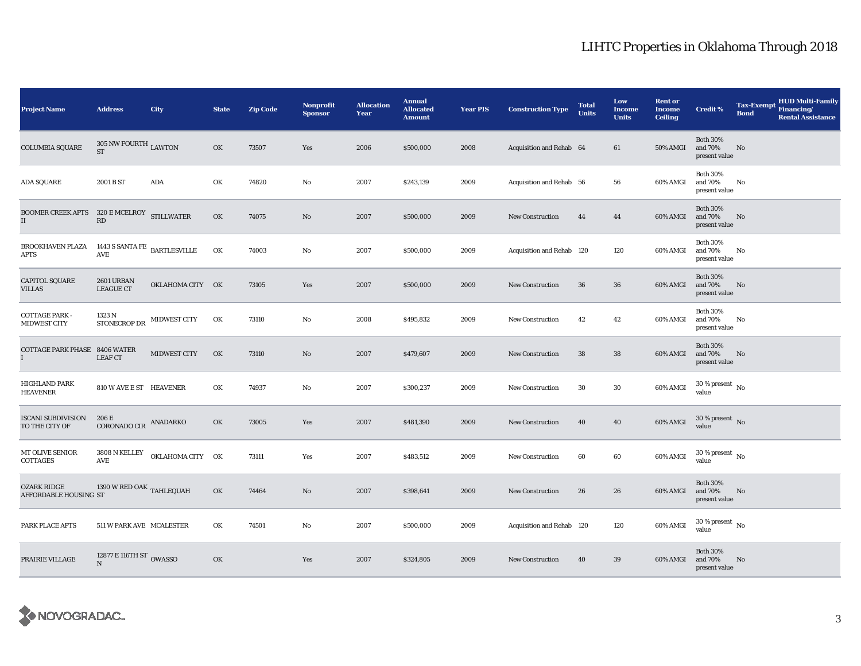| <b>Project Name</b>                         | <b>Address</b>                                                   | City             | <b>State</b> | <b>Zip Code</b> | <b>Nonprofit</b><br><b>Sponsor</b> | <b>Allocation</b><br>Year | <b>Annual</b><br><b>Allocated</b><br><b>Amount</b> | <b>Year PIS</b> | <b>Construction Type</b>  | <b>Total</b><br><b>Units</b> | Low<br><b>Income</b><br><b>Units</b> | <b>Rent or</b><br><b>Income</b><br><b>Ceiling</b> | <b>Credit %</b>                             | <b>Tax-Exempt</b><br><b>Bond</b> | <b>HUD Multi-Family</b><br>Financing/<br><b>Rental Assistance</b> |
|---------------------------------------------|------------------------------------------------------------------|------------------|--------------|-----------------|------------------------------------|---------------------------|----------------------------------------------------|-----------------|---------------------------|------------------------------|--------------------------------------|---------------------------------------------------|---------------------------------------------|----------------------------------|-------------------------------------------------------------------|
| <b>COLUMBIA SQUARE</b>                      | 305 NW FOURTH $_{\rm LAWTON}$<br><b>ST</b>                       |                  | OK           | 73507           | Yes                                | 2006                      | \$500,000                                          | 2008            | Acquisition and Rehab 64  |                              | 61                                   | 50% AMGI                                          | <b>Both 30%</b><br>and 70%<br>present value | No                               |                                                                   |
| <b>ADA SQUARE</b>                           | 2001 B ST                                                        | $\bf{ADA}$       | OK           | 74820           | No                                 | 2007                      | \$243,139                                          | 2009            | Acquisition and Rehab 56  |                              | 56                                   | 60% AMGI                                          | <b>Both 30%</b><br>and 70%<br>present value | No                               |                                                                   |
| <b>BOOMER CREEK APTS</b><br>II              | 320 E MCELROY STILLWATER<br>$\mathbf{R}\mathbf{D}$               |                  | OK           | 74075           | No                                 | 2007                      | \$500,000                                          | 2009            | New Construction          | 44                           | 44                                   | 60% AMGI                                          | <b>Both 30%</b><br>and 70%<br>present value | No                               |                                                                   |
| BROOKHAVEN PLAZA<br><b>APTS</b>             | 1443 S SANTA FE $_{\rm \,BARTLES VILLE}$<br>$\operatorname{AVE}$ |                  | OK           | 74003           | No                                 | 2007                      | \$500,000                                          | 2009            | Acquisition and Rehab 120 |                              | 120                                  | 60% AMGI                                          | <b>Both 30%</b><br>and 70%<br>present value | No                               |                                                                   |
| <b>CAPITOL SQUARE</b><br><b>VILLAS</b>      | 2601 URBAN<br><b>LEAGUE CT</b>                                   | OKLAHOMA CITY OK |              | 73105           | Yes                                | 2007                      | \$500,000                                          | 2009            | <b>New Construction</b>   | 36                           | ${\bf 36}$                           | 60% AMGI                                          | <b>Both 30%</b><br>and 70%<br>present value | No                               |                                                                   |
| <b>COTTAGE PARK -</b><br>MIDWEST CITY       | 1323 N<br>STONECROP DR                                           | MIDWEST CITY     | OK           | 73110           | No                                 | 2008                      | \$495,832                                          | 2009            | <b>New Construction</b>   | 42                           | 42                                   | 60% AMGI                                          | <b>Both 30%</b><br>and 70%<br>present value | No                               |                                                                   |
| COTTAGE PARK PHASE 8406 WATER<br>L          | <b>LEAF CT</b>                                                   | MIDWEST CITY     | OK           | 73110           | No                                 | 2007                      | \$479,607                                          | 2009            | <b>New Construction</b>   | 38                           | ${\bf 38}$                           | 60% AMGI                                          | <b>Both 30%</b><br>and 70%<br>present value | No                               |                                                                   |
| HIGHLAND PARK<br><b>HEAVENER</b>            | 810 W AVE E ST HEAVENER                                          |                  | OK           | 74937           | No                                 | 2007                      | \$300,237                                          | 2009            | New Construction          | 30                           | $30\,$                               | 60% AMGI                                          | $30\,\%$ present $\,$ No $\,$<br>value      |                                  |                                                                   |
| <b>ISCANI SUBDIVISION</b><br>TO THE CITY OF | 206 E<br>CORONADO CIR $\,$ ANADARKO                              |                  | OK           | 73005           | Yes                                | 2007                      | \$481,390                                          | 2009            | <b>New Construction</b>   | 40                           | 40                                   | 60% AMGI                                          | $30\,\%$ present $\,$ No value              |                                  |                                                                   |
| MT OLIVE SENIOR<br>COTTAGES                 | 3808 N KELLEY<br><b>AVE</b>                                      | OKLAHOMA CITY OK |              | 73111           | Yes                                | 2007                      | \$483,512                                          | 2009            | <b>New Construction</b>   | 60                           | 60                                   | 60% AMGI                                          | $30$ % present $\,$ No $\,$<br>value        |                                  |                                                                   |
| OZARK RIDGE<br>AFFORDABLE HOUSING ST        | 1390 W RED OAK $_{\rm TAHLEQUAH}$                                |                  | OK           | 74464           | No                                 | 2007                      | \$398,641                                          | 2009            | New Construction          | 26                           | 26                                   | 60% AMGI                                          | <b>Both 30%</b><br>and 70%<br>present value | No                               |                                                                   |
| PARK PLACE APTS                             | 511 W PARK AVE MCALESTER                                         |                  | OK           | 74501           | No                                 | 2007                      | \$500,000                                          | 2009            | Acquisition and Rehab 120 |                              | 120                                  | 60% AMGI                                          | $30$ % present $\,$ No $\,$<br>value        |                                  |                                                                   |
| PRAIRIE VILLAGE                             | 12877 E 116TH ST $_{\rm OWASSO}$<br>$\mathbf N$                  |                  | OK           |                 | Yes                                | 2007                      | \$324,805                                          | 2009            | New Construction          | 40                           | 39                                   | 60% AMGI                                          | <b>Both 30%</b><br>and 70%<br>present value | No                               |                                                                   |

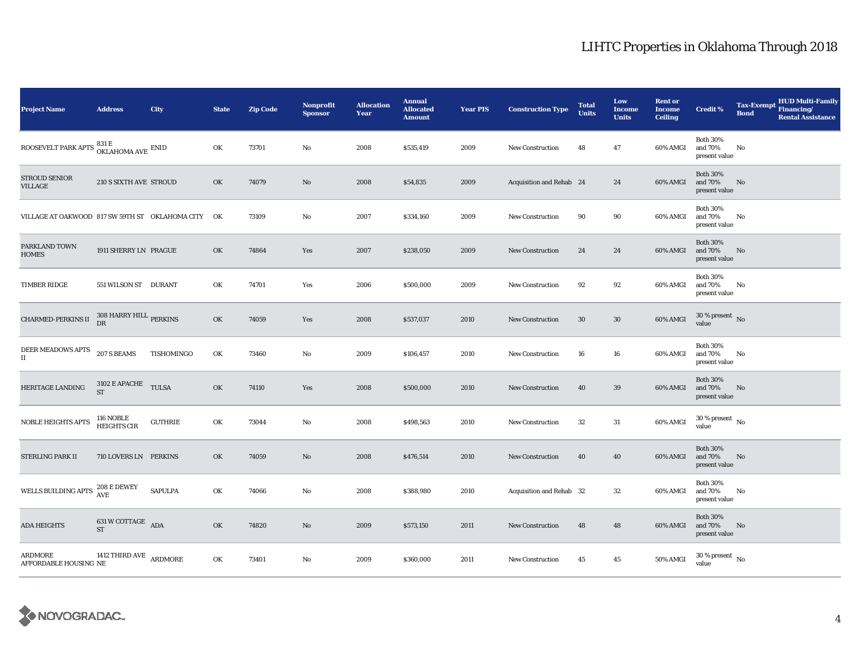| <b>Project Name</b>                                                                                 | <b>Address</b>                         | City           | <b>State</b> | <b>Zip Code</b> | <b>Nonprofit</b><br><b>Sponsor</b> | <b>Allocation</b><br>Year | <b>Annual</b><br><b>Allocated</b><br><b>Amount</b> | <b>Year PIS</b> | <b>Construction Type</b> | <b>Total</b><br><b>Units</b> | Low<br><b>Income</b><br><b>Units</b> | <b>Rent or</b><br><b>Income</b><br><b>Ceiling</b> | Credit %                                    | <b>Tax-Exempt</b><br><b>Bond</b> | <b>HUD Multi-Family</b><br>Financing/<br><b>Rental Assistance</b> |
|-----------------------------------------------------------------------------------------------------|----------------------------------------|----------------|--------------|-----------------|------------------------------------|---------------------------|----------------------------------------------------|-----------------|--------------------------|------------------------------|--------------------------------------|---------------------------------------------------|---------------------------------------------|----------------------------------|-------------------------------------------------------------------|
| ROOSEVELT PARK APTS $\begin{array}{l} 831\,\mathrm{E}\\ 0\, \mathrm{KLAHOMA\,AVE} \end{array}$ ENID |                                        |                | OK           | 73701           | No                                 | 2008                      | \$535,419                                          | 2009            | <b>New Construction</b>  | 48                           | 47                                   | 60% AMGI                                          | <b>Both 30%</b><br>and 70%<br>present value | No                               |                                                                   |
| <b>STROUD SENIOR</b><br><b>VILLAGE</b>                                                              | 210 S SIXTH AVE STROUD                 |                | OK           | 74079           | $\mathbf{N}\mathbf{o}$             | 2008                      | \$54,835                                           | 2009            | Acquisition and Rehab 24 |                              | 24                                   | 60% AMGI                                          | <b>Both 30%</b><br>and 70%<br>present value | No                               |                                                                   |
| VILLAGE AT OAKWOOD 817 SW 59TH ST OKLAHOMA CITY OK                                                  |                                        |                |              | 73109           | No                                 | 2007                      | \$334,160                                          | 2009            | <b>New Construction</b>  | 90                           | 90                                   | 60% AMGI                                          | <b>Both 30%</b><br>and 70%<br>present value | No                               |                                                                   |
| PARKLAND TOWN<br><b>HOMES</b>                                                                       | 1911 SHERRY LN PRAGUE                  |                | OK           | 74864           | Yes                                | 2007                      | \$238,050                                          | 2009            | <b>New Construction</b>  | 24                           | 24                                   | 60% AMGI                                          | <b>Both 30%</b><br>and 70%<br>present value | No                               |                                                                   |
| <b>TIMBER RIDGE</b>                                                                                 | 551 WILSON ST DURANT                   |                | OK           | 74701           | Yes                                | 2006                      | \$500,000                                          | 2009            | <b>New Construction</b>  | 92                           | 92                                   | 60% AMGI                                          | <b>Both 30%</b><br>and 70%<br>present value | No                               |                                                                   |
| <b>CHARMED-PERKINS II</b>                                                                           | $308$ HARRY HILL $_{\rm PERKINS}$ DR   |                | OK           | 74059           | Yes                                | 2008                      | \$537,037                                          | 2010            | New Construction         | 30                           | $30\,$                               | 60% AMGI                                          | $30\,\%$ present $\,$ No value              |                                  |                                                                   |
| DEER MEADOWS APTS<br>$\mathbf{I}$                                                                   | 207 S BEAMS                            | TISHOMINGO     | OK           | 73460           | No                                 | 2009                      | \$106,457                                          | 2010            | <b>New Construction</b>  | 16                           | 16                                   | 60% AMGI                                          | <b>Both 30%</b><br>and 70%<br>present value | No                               |                                                                   |
| HERITAGE LANDING                                                                                    | $3102$ E APACHE TULSA<br><b>ST</b>     |                | OK           | 74110           | Yes                                | 2008                      | \$500,000                                          | 2010            | <b>New Construction</b>  | 40                           | 39                                   | 60% AMGI                                          | <b>Both 30%</b><br>and 70%<br>present value | No                               |                                                                   |
| NOBLE HEIGHTS APTS                                                                                  | 116 NOBLE<br>HEIGHTS CIR               | <b>GUTHRIE</b> | OK           | 73044           | No                                 | 2008                      | \$498,563                                          | 2010            | New Construction         | 32                           | 31                                   | 60% AMGI                                          | $30$ % present $\,$ No $\,$<br>value        |                                  |                                                                   |
| STERLING PARK II                                                                                    | 710 LOVERS LN PERKINS                  |                | OK           | 74059           | $\mathbf{N}\mathbf{o}$             | 2008                      | \$476,514                                          | 2010            | New Construction         | 40                           | 40                                   | 60% AMGI                                          | <b>Both 30%</b><br>and 70%<br>present value | No                               |                                                                   |
| WELLS BUILDING APTS                                                                                 | 208 E DEWEY<br><b>AVE</b>              | <b>SAPULPA</b> | OK           | 74066           | No                                 | 2008                      | \$388,980                                          | 2010            | Acquisition and Rehab 32 |                              | $32\,$                               | 60% AMGI                                          | <b>Both 30%</b><br>and 70%<br>present value | No                               |                                                                   |
| <b>ADA HEIGHTS</b>                                                                                  | 631 W COTTAGE $\quad$ ADA<br><b>ST</b> |                | OK           | 74820           | No                                 | 2009                      | \$573,150                                          | 2011            | <b>New Construction</b>  | 48                           | 48                                   | 60% AMGI                                          | <b>Both 30%</b><br>and 70%<br>present value | No                               |                                                                   |
| ARDMORE<br>AFFORDABLE HOUSING NE                                                                    | 1412 THIRD AVE $\,$ ARDMORE            |                | OK           | 73401           | No                                 | 2009                      | \$360,000                                          | 2011            | <b>New Construction</b>  | 45                           | $45\,$                               | 50% AMGI                                          | $30\,\%$ present $\,$ No value              |                                  |                                                                   |

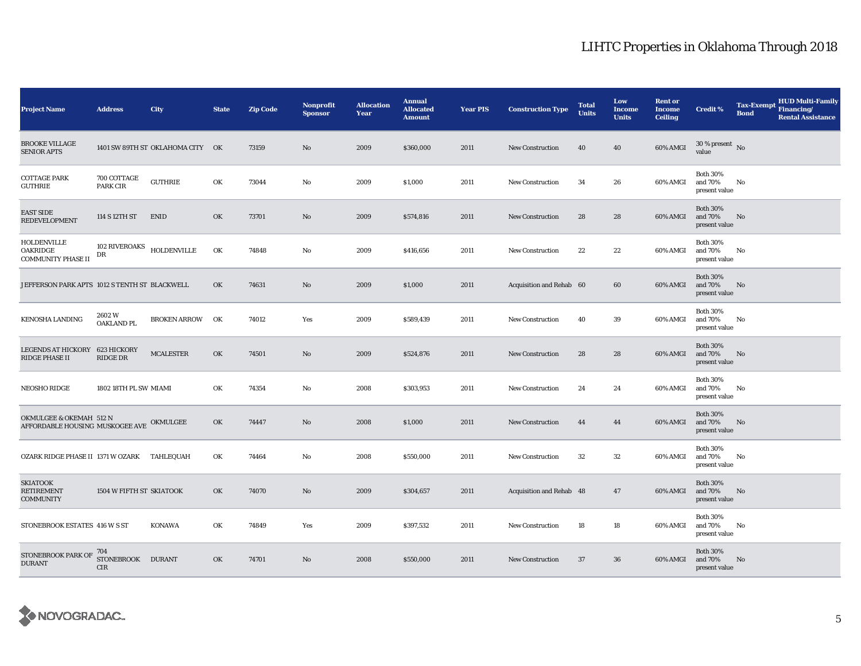| <b>Project Name</b>                                                 | <b>Address</b>                  | <b>City</b>                      | <b>State</b> | <b>Zip Code</b> | <b>Nonprofit</b><br><b>Sponsor</b> | <b>Allocation</b><br>Year | <b>Annual</b><br><b>Allocated</b><br><b>Amount</b> | <b>Year PIS</b> | <b>Construction Type</b> | <b>Total</b><br><b>Units</b> | Low<br><b>Income</b><br><b>Units</b> | <b>Rent or</b><br><b>Income</b><br><b>Ceiling</b> | <b>Credit %</b>                             | <b>Tax-Exempt</b><br><b>Bond</b> | <b>HUD Multi-Family</b><br>Financing/<br><b>Rental Assistance</b> |
|---------------------------------------------------------------------|---------------------------------|----------------------------------|--------------|-----------------|------------------------------------|---------------------------|----------------------------------------------------|-----------------|--------------------------|------------------------------|--------------------------------------|---------------------------------------------------|---------------------------------------------|----------------------------------|-------------------------------------------------------------------|
| <b>BROOKE VILLAGE</b><br><b>SENIOR APTS</b>                         |                                 | 1401 SW 89TH ST OKLAHOMA CITY OK |              | 73159           | No                                 | 2009                      | \$360,000                                          | 2011            | <b>New Construction</b>  | 40                           | 40                                   | 60% AMGI                                          | $30\%$ present No<br>value                  |                                  |                                                                   |
| <b>COTTAGE PARK</b><br>GUTHRIE                                      | 700 COTTAGE<br>PARK CIR         | <b>GUTHRIE</b>                   | OK           | 73044           | No                                 | 2009                      | \$1,000                                            | 2011            | New Construction         | 34                           | 26                                   | 60% AMGI                                          | <b>Both 30%</b><br>and 70%<br>present value | No                               |                                                                   |
| <b>EAST SIDE</b><br><b>REDEVELOPMENT</b>                            | 114 S 12TH ST                   | <b>ENID</b>                      | OK           | 73701           | No                                 | 2009                      | \$574,816                                          | 2011            | <b>New Construction</b>  | 28                           | 28                                   | 60% AMGI                                          | <b>Both 30%</b><br>and 70%<br>present value | No                               |                                                                   |
| HOLDENVILLE<br>OAKRIDGE<br><b>COMMUNITY PHASE II</b>                | 102 RIVEROAKS<br>DR             | <b>HOLDENVILLE</b>               | OK           | 74848           | No                                 | 2009                      | \$416,656                                          | 2011            | <b>New Construction</b>  | 22                           | 22                                   | 60% AMGI                                          | <b>Both 30%</b><br>and 70%<br>present value | No                               |                                                                   |
| JEFFERSON PARK APTS 1012 S TENTH ST BLACKWELL                       |                                 |                                  | OK           | 74631           | No                                 | 2009                      | \$1,000                                            | 2011            | Acquisition and Rehab 60 |                              | 60                                   | 60% AMGI                                          | <b>Both 30%</b><br>and 70%<br>present value | No                               |                                                                   |
| <b>KENOSHA LANDING</b>                                              | 2602W<br>OAKLAND PL             | <b>BROKEN ARROW</b>              | OK           | 74012           | Yes                                | 2009                      | \$589,439                                          | 2011            | <b>New Construction</b>  | 40                           | 39                                   | 60% AMGI                                          | <b>Both 30%</b><br>and 70%<br>present value | No                               |                                                                   |
| LEGENDS AT HICKORY 623 HICKORY<br>RIDGE PHASE II                    | <b>RIDGE DR</b>                 | <b>MCALESTER</b>                 | OK           | 74501           | No                                 | 2009                      | \$524,876                                          | 2011            | <b>New Construction</b>  | 28                           | 28                                   | 60% AMGI                                          | <b>Both 30%</b><br>and 70%<br>present value | No                               |                                                                   |
| NEOSHO RIDGE                                                        | 1802 18TH PL SW MIAMI           |                                  | OK           | 74354           | No                                 | 2008                      | \$303,953                                          | 2011            | New Construction         | 24                           | 24                                   | 60% AMGI                                          | <b>Both 30%</b><br>and 70%<br>present value | No                               |                                                                   |
| OKMULGEE & OKEMAH 512 N<br>AFFORDABLE HOUSING MUSKOGEE AVE OKMULGEE |                                 |                                  | OK           | 74447           | No                                 | 2008                      | \$1,000                                            | 2011            | New Construction         | 44                           | 44                                   | 60% AMGI                                          | <b>Both 30%</b><br>and 70%<br>present value | No                               |                                                                   |
| OZARK RIDGE PHASE II 1371 W OZARK                                   |                                 | TAHLEQUAH                        | OK           | 74464           | No                                 | 2008                      | \$550,000                                          | 2011            | New Construction         | 32                           | 32                                   | 60% AMGI                                          | <b>Both 30%</b><br>and 70%<br>present value | No                               |                                                                   |
| <b>SKIATOOK</b><br><b>RETIREMENT</b><br><b>COMMUNITY</b>            | 1504 W FIFTH ST SKIATOOK        |                                  | OK           | 74070           | No                                 | 2009                      | \$304,657                                          | 2011            | Acquisition and Rehab 48 |                              | 47                                   | 60% AMGI                                          | <b>Both 30%</b><br>and 70%<br>present value | No                               |                                                                   |
| STONEBROOK ESTATES 416 W S ST                                       |                                 | KONAWA                           | OK           | 74849           | Yes                                | 2009                      | \$397,532                                          | 2011            | <b>New Construction</b>  | 18                           | 18                                   | 60% AMGI                                          | <b>Both 30%</b><br>and 70%<br>present value | No                               |                                                                   |
| STONEBROOK PARK OF<br><b>DURANT</b>                                 | 704<br><b>STONEBROOK</b><br>CIR | <b>DURANT</b>                    | OK           | 74701           | No                                 | 2008                      | \$550,000                                          | 2011            | <b>New Construction</b>  | 37                           | 36                                   | 60% AMGI                                          | <b>Both 30%</b><br>and 70%<br>present value | No                               |                                                                   |

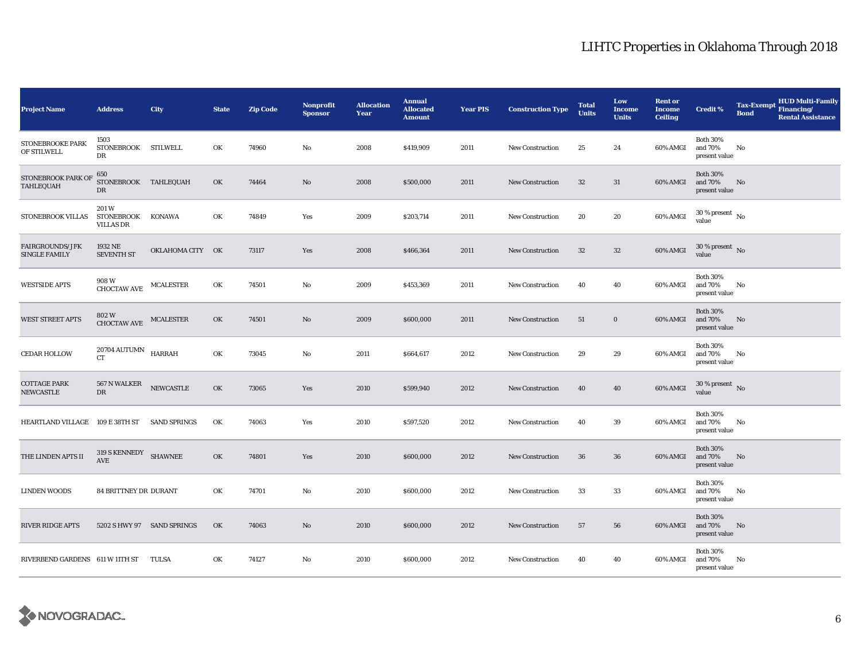| <b>Project Name</b>                            | <b>Address</b>                                | <b>City</b>         | <b>State</b> | <b>Zip Code</b> | <b>Nonprofit</b><br><b>Sponsor</b> | <b>Allocation</b><br>Year | <b>Annual</b><br><b>Allocated</b><br><b>Amount</b> | <b>Year PIS</b> | <b>Construction Type</b> | <b>Total</b><br><b>Units</b> | Low<br><b>Income</b><br><b>Units</b> | <b>Rent or</b><br><b>Income</b><br><b>Ceiling</b> | <b>Credit %</b>                             | <b>Tax-Exempt</b><br><b>Bond</b> | <b>HUD Multi-Family</b><br>Financing/<br><b>Rental Assistance</b> |
|------------------------------------------------|-----------------------------------------------|---------------------|--------------|-----------------|------------------------------------|---------------------------|----------------------------------------------------|-----------------|--------------------------|------------------------------|--------------------------------------|---------------------------------------------------|---------------------------------------------|----------------------------------|-------------------------------------------------------------------|
| STONEBROOKE PARK<br>OF STILWELL                | 1503<br>STONEBROOK STILWELL<br>DR             |                     | OK           | 74960           | No                                 | 2008                      | \$419,909                                          | 2011            | <b>New Construction</b>  | 25                           | 24                                   | 60% AMGI                                          | <b>Both 30%</b><br>and 70%<br>present value | No                               |                                                                   |
| STONEBROOK PARK OF<br>TAHLEQUAH                | 650<br>STONEBROOK TAHLEQUAH<br>DR             |                     | OK           | 74464           | $\mathbf{N}\mathbf{o}$             | 2008                      | \$500,000                                          | 2011            | <b>New Construction</b>  | 32                           | 31                                   | 60% AMGI                                          | <b>Both 30%</b><br>and 70%<br>present value | No                               |                                                                   |
| STONEBROOK VILLAS                              | 201W<br>STONEBROOK KONAWA<br><b>VILLAS DR</b> |                     | OK           | 74849           | Yes                                | 2009                      | \$203,714                                          | 2011            | New Construction         | 20                           | 20                                   | 60% AMGI                                          | $30$ % present $\,$ No $\,$<br>value        |                                  |                                                                   |
| <b>FAIRGROUNDS/JFK</b><br><b>SINGLE FAMILY</b> | 1932 NE<br><b>SEVENTH ST</b>                  | OKLAHOMA CITY OK    |              | 73117           | Yes                                | 2008                      | \$466,364                                          | 2011            | <b>New Construction</b>  | 32                           | $32\,$                               | 60% AMGI                                          | $30\,\%$ present $\,$ No $\,$<br>value      |                                  |                                                                   |
| <b>WESTSIDE APTS</b>                           | 908 W<br><b>CHOCTAW AVE</b>                   | MCALESTER           | OK           | 74501           | No                                 | 2009                      | \$453,369                                          | 2011            | New Construction         | 40                           | 40                                   | 60% AMGI                                          | <b>Both 30%</b><br>and 70%<br>present value | No                               |                                                                   |
| <b>WEST STREET APTS</b>                        | 802 W<br>CHOCTAW AVE                          | <b>MCALESTER</b>    | OK           | 74501           | No                                 | 2009                      | \$600,000                                          | 2011            | New Construction         | 51                           | $\bf{0}$                             | 60% AMGI                                          | <b>Both 30%</b><br>and 70%<br>present value | No.                              |                                                                   |
| <b>CEDAR HOLLOW</b>                            | $20704\,\mathrm{AUTUMN}$ HARRAH<br><b>CT</b>  |                     | OK           | 73045           | No                                 | 2011                      | \$664,617                                          | 2012            | <b>New Construction</b>  | 29                           | 29                                   | 60% AMGI                                          | <b>Both 30%</b><br>and 70%<br>present value | No                               |                                                                   |
| <b>COTTAGE PARK</b><br>NEWCASTLE               | $567$ N WALKER $\quad$ NEWCASTLE<br>DR        |                     | OK           | 73065           | Yes                                | 2010                      | \$599,940                                          | 2012            | New Construction         | 40                           | 40                                   | 60% AMGI                                          | $30\,\%$ present $\,$ No $\,$<br>value      |                                  |                                                                   |
| HEARTLAND VILLAGE 109 E 38TH ST                |                                               | <b>SAND SPRINGS</b> | OK           | 74063           | Yes                                | 2010                      | \$597,520                                          | 2012            | New Construction         | 40                           | 39                                   | 60% AMGI                                          | <b>Both 30%</b><br>and 70%<br>present value | No                               |                                                                   |
| THE LINDEN APTS II                             | 319 S KENNEDY SHAWNEE<br>AVE                  |                     | OK           | 74801           | Yes                                | 2010                      | \$600,000                                          | 2012            | <b>New Construction</b>  | 36                           | 36                                   | 60% AMGI                                          | <b>Both 30%</b><br>and 70%<br>present value | No                               |                                                                   |
| <b>LINDEN WOODS</b>                            | <b>84 BRITTNEY DR DURANT</b>                  |                     | OK           | 74701           | No                                 | 2010                      | \$600,000                                          | 2012            | New Construction         | 33                           | 33                                   | 60% AMGI                                          | <b>Both 30%</b><br>and 70%<br>present value | No                               |                                                                   |
| <b>RIVER RIDGE APTS</b>                        | 5202 S HWY 97 SAND SPRINGS                    |                     | OK           | 74063           | $\mathbf{N}\mathbf{o}$             | 2010                      | \$600,000                                          | 2012            | New Construction         | 57                           | 56                                   | 60% AMGI                                          | <b>Both 30%</b><br>and 70%<br>present value | No                               |                                                                   |
| RIVERBEND GARDENS 611 W 11TH ST                |                                               | TULSA               | OK           | 74127           | No                                 | 2010                      | \$600,000                                          | 2012            | <b>New Construction</b>  | 40                           | 40                                   | 60% AMGI                                          | <b>Both 30%</b><br>and 70%<br>present value | No                               |                                                                   |

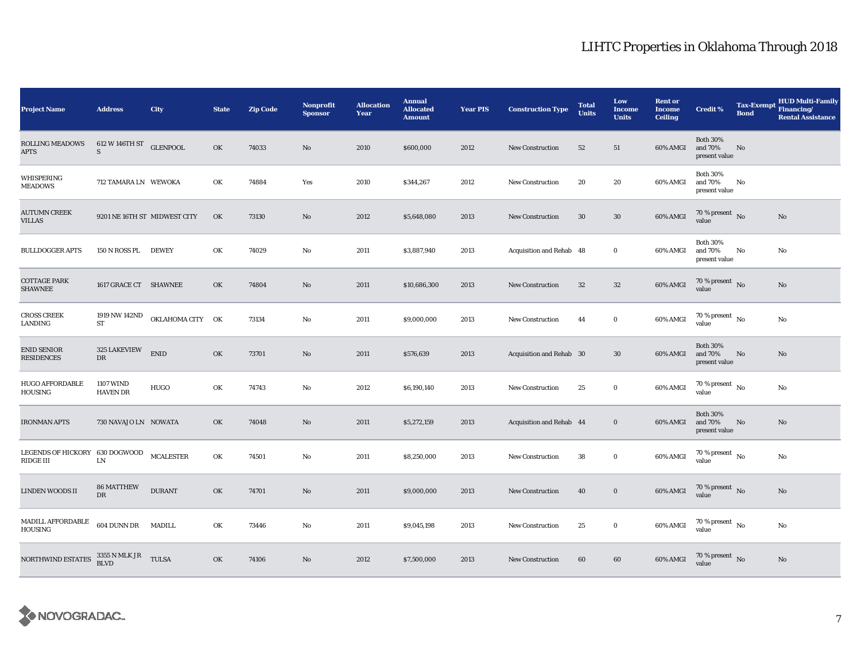| <b>Project Name</b>                         | <b>Address</b>                      | <b>City</b>      | <b>State</b> | <b>Zip Code</b> | <b>Nonprofit</b><br><b>Sponsor</b> | <b>Allocation</b><br>Year | <b>Annual</b><br><b>Allocated</b><br><b>Amount</b> | <b>Year PIS</b> | <b>Construction Type</b> | <b>Total</b><br><b>Units</b> | Low<br><b>Income</b><br><b>Units</b> | <b>Rent or</b><br><b>Income</b><br><b>Ceiling</b> | <b>Credit %</b>                             | <b>Tax-Exempt</b><br><b>Bond</b> | <b>HUD Multi-Family</b><br>Financing/<br><b>Rental Assistance</b> |
|---------------------------------------------|-------------------------------------|------------------|--------------|-----------------|------------------------------------|---------------------------|----------------------------------------------------|-----------------|--------------------------|------------------------------|--------------------------------------|---------------------------------------------------|---------------------------------------------|----------------------------------|-------------------------------------------------------------------|
| <b>ROLLING MEADOWS</b><br><b>APTS</b>       | 612 W 146TH ST<br>S                 | <b>GLENPOOL</b>  | OK           | 74033           | No                                 | 2010                      | \$600,000                                          | 2012            | <b>New Construction</b>  | 52                           | 51                                   | 60% AMGI                                          | <b>Both 30%</b><br>and 70%<br>present value | No                               |                                                                   |
| WHISPERING<br><b>MEADOWS</b>                | 712 TAMARA LN WEWOKA                |                  | OK           | 74884           | Yes                                | 2010                      | \$344,267                                          | 2012            | New Construction         | 20                           | 20                                   | 60% AMGI                                          | <b>Both 30%</b><br>and 70%<br>present value | No                               |                                                                   |
| <b>AUTUMN CREEK</b><br><b>VILLAS</b>        | 9201 NE 16TH ST MIDWEST CITY        |                  | OK           | 73130           | No                                 | 2012                      | \$5,648,080                                        | 2013            | <b>New Construction</b>  | 30                           | $30\,$                               | 60% AMGI                                          | 70 % present $\bar{N}$ o<br>value           |                                  | No                                                                |
| <b>BULLDOGGER APTS</b>                      | 150 N ROSS PL                       | <b>DEWEY</b>     | OK           | 74029           | No                                 | 2011                      | \$3,887,940                                        | 2013            | Acquisition and Rehab 48 |                              | $\bf{0}$                             | 60% AMGI                                          | <b>Both 30%</b><br>and 70%<br>present value | No                               | No                                                                |
| <b>COTTAGE PARK</b><br><b>SHAWNEE</b>       | 1617 GRACE CT SHAWNEE               |                  | OK           | 74804           | $\mathbf{N}\mathbf{o}$             | 2011                      | \$10,686,300                                       | 2013            | <b>New Construction</b>  | 32                           | $32\,$                               | 60% AMGI                                          | 70 % present $\hbox{~No}$<br>value          |                                  | No                                                                |
| <b>CROSS CREEK</b><br>LANDING               | 1919 NW 142ND<br>${\rm ST}$         | OKLAHOMA CITY OK |              | 73134           | $\rm No$                           | 2011                      | \$9,000,000                                        | 2013            | New Construction         | 44                           | $\bf{0}$                             | 60% AMGI                                          | $70$ % present $\,$ No $\,$<br>value        |                                  | No                                                                |
| <b>ENID SENIOR</b><br><b>RESIDENCES</b>     | 325 LAKEVIEW<br>${\rm DR}$          | <b>ENID</b>      | OK           | 73701           | No                                 | 2011                      | \$576,639                                          | 2013            | Acquisition and Rehab 30 |                              | 30                                   | 60% AMGI                                          | <b>Both 30%</b><br>and 70%<br>present value | No                               | No                                                                |
| <b>HUGO AFFORDABLE</b><br>HOUSING           | <b>1107 WIND</b><br><b>HAVEN DR</b> | <b>HUGO</b>      | OK           | 74743           | No                                 | 2012                      | \$6,190,140                                        | 2013            | <b>New Construction</b>  | 25                           | $\bf{0}$                             | 60% AMGI                                          | 70 % present $\,$ No $\,$<br>value          |                                  | No                                                                |
| <b>IRONMAN APTS</b>                         | 730 NAVAJO LN NOWATA                |                  | OK           | 74048           | No                                 | 2011                      | \$5,272,159                                        | 2013            | Acquisition and Rehab 44 |                              | $\bf{0}$                             | 60% AMGI                                          | <b>Both 30%</b><br>and 70%<br>present value | No                               | No                                                                |
| LEGENDS OF HICKORY 630 DOGWOOD<br>RIDGE III | ${\rm LN}$                          | <b>MCALESTER</b> | OK           | 74501           | No                                 | 2011                      | \$8,250,000                                        | 2013            | New Construction         | 38                           | $\bf{0}$                             | 60% AMGI                                          | $70$ % present $\,$ No $\,$<br>value        |                                  | No                                                                |
| LINDEN WOODS II                             | <b>86 MATTHEW</b><br>DR             | <b>DURANT</b>    | OK           | 74701           | $\mathbf{N}\mathbf{o}$             | 2011                      | \$9,000,000                                        | 2013            | <b>New Construction</b>  | 40                           | $\bf{0}$                             | 60% AMGI                                          | 70 % present $\,$ No $\,$<br>value          |                                  | No                                                                |
| MADILL AFFORDABLE<br>HOUSING                | 604 DUNN DR MADILL                  |                  | OK           | 73446           | No                                 | 2011                      | \$9,045,198                                        | 2013            | <b>New Construction</b>  | 25                           | $\bf{0}$                             | 60% AMGI                                          | 70 % present $\hbox{~No}$<br>value          |                                  | No                                                                |
| NORTHWIND ESTATES                           | $3355$ N MLK JR $$\tt TULSA$$       |                  | OK           | 74106           | No                                 | 2012                      | \$7,500,000                                        | 2013            | <b>New Construction</b>  | 60                           | 60                                   | 60% AMGI                                          | $70\,\%$ present $\,$ No value              |                                  | No                                                                |

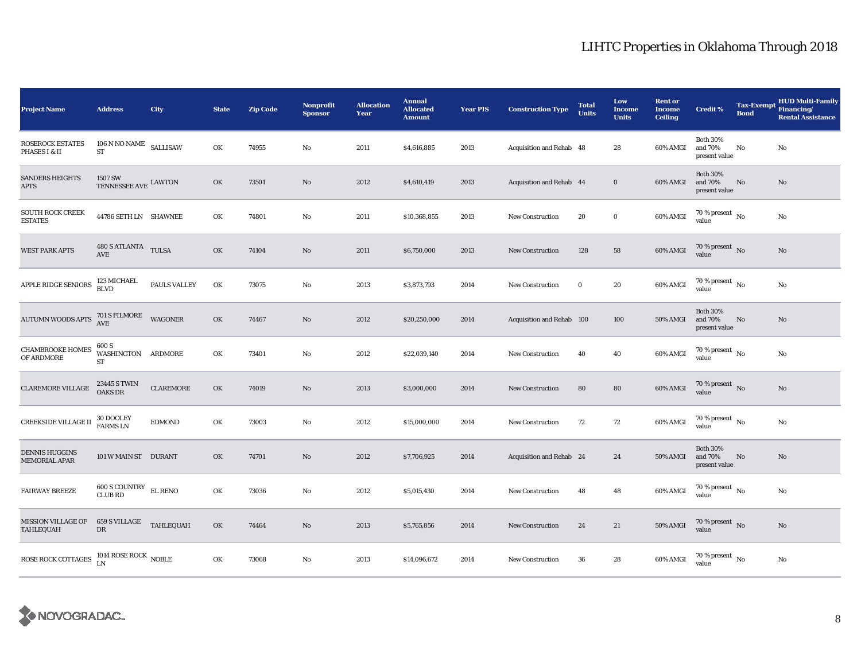| <b>Project Name</b>                                                                                                                                                                                                             | <b>Address</b>                                  | City                | <b>State</b> | <b>Zip Code</b> | <b>Nonprofit</b><br><b>Sponsor</b> | <b>Allocation</b><br>Year | <b>Annual</b><br><b>Allocated</b><br><b>Amount</b> | <b>Year PIS</b> | <b>Construction Type</b>  | <b>Total</b><br><b>Units</b> | Low<br><b>Income</b><br><b>Units</b> | <b>Rent or</b><br><b>Income</b><br><b>Ceiling</b> | <b>Credit %</b>                             | <b>Tax-Exempt</b><br><b>Bond</b> | <b>HUD Multi-Family</b><br>Financing/<br><b>Rental Assistance</b> |
|---------------------------------------------------------------------------------------------------------------------------------------------------------------------------------------------------------------------------------|-------------------------------------------------|---------------------|--------------|-----------------|------------------------------------|---------------------------|----------------------------------------------------|-----------------|---------------------------|------------------------------|--------------------------------------|---------------------------------------------------|---------------------------------------------|----------------------------------|-------------------------------------------------------------------|
| <b>ROSEROCK ESTATES</b><br>PHASES I & II                                                                                                                                                                                        | $106$ N NO NAME $\,$ SALLISAW<br>${\rm ST}$     |                     | OK           | 74955           | No                                 | 2011                      | \$4,616,885                                        | 2013            | Acquisition and Rehab 48  |                              | 28                                   | 60% AMGI                                          | <b>Both 30%</b><br>and 70%<br>present value | No                               | $\mathbf{No}$                                                     |
| <b>SANDERS HEIGHTS</b><br><b>APTS</b>                                                                                                                                                                                           | 1507 SW<br>TENNESSEE AVE LAWTON                 |                     | OK           | 73501           | No                                 | 2012                      | \$4,610,419                                        | 2013            | Acquisition and Rehab 44  |                              | $\mathbf 0$                          | 60% AMGI                                          | <b>Both 30%</b><br>and 70%<br>present value | No                               | No                                                                |
| <b>SOUTH ROCK CREEK</b><br><b>ESTATES</b>                                                                                                                                                                                       | 44786 SETH LN SHAWNEE                           |                     | OK           | 74801           | $\mathbf{No}$                      | 2011                      | \$10,368,855                                       | 2013            | New Construction          | 20                           | $\mathbf 0$                          | 60% AMGI                                          | $70\,\%$ present $\,$ No value              |                                  | No                                                                |
| <b>WEST PARK APTS</b>                                                                                                                                                                                                           | $480$ S ATLANTA $$\text{TULSA}$$                |                     | OK           | 74104           | $\mathbf{No}$                      | 2011                      | \$6,750,000                                        | 2013            | <b>New Construction</b>   | 128                          | 58                                   | 60% AMGI                                          | $70\,\%$ present $\,$ No value              |                                  | No                                                                |
| <b>APPLE RIDGE SENIORS</b>                                                                                                                                                                                                      | 123 MICHAEL<br><b>BLVD</b>                      | <b>PAULS VALLEY</b> | OK           | 73075           | No                                 | 2013                      | \$3,873,793                                        | 2014            | <b>New Construction</b>   | $\bf{0}$                     | 20                                   | 60% AMGI                                          | 70 % present $\hbox{~No}$<br>value          |                                  | No                                                                |
| $\begin{minipage}{0.9\linewidth} \textbf{AUTUMN WOODS APTS} \quad \begin{tabular}{c} \textbf{701 S FILMORE} \\ \textbf{AVE} \end{tabular} \end{minipage} \quad \begin{minipage}{0.9\linewidth} \textbf{WAGONER} \end{minipage}$ |                                                 |                     | OK           | 74467           | $\mathbf{No}$                      | 2012                      | \$20,250,000                                       | 2014            | Acquisition and Rehab 100 |                              | 100                                  | <b>50% AMGI</b>                                   | <b>Both 30%</b><br>and 70%<br>present value | No                               | No                                                                |
| <b>CHAMBROOKE HOMES</b><br>OF ARDMORE                                                                                                                                                                                           | 600 S<br>WASHINGTON<br>ST                       | <b>ARDMORE</b>      | OK           | 73401           | $\mathbf{No}$                      | 2012                      | \$22,039,140                                       | 2014            | New Construction          | 40                           | 40                                   | 60% AMGI                                          | $70\,\%$ present $_{\rm{No}}$               |                                  | $\rm No$                                                          |
| <b>CLAREMORE VILLAGE</b>                                                                                                                                                                                                        | 23445 S TWIN<br>OAKS DR                         | <b>CLAREMORE</b>    | OK           | 74019           | $\mathbf{No}$                      | 2013                      | \$3,000,000                                        | 2014            | <b>New Construction</b>   | 80                           | ${\bf 80}$                           | 60% AMGI                                          | $70\,\%$ present $\,$ No value              |                                  | No                                                                |
| CREEKSIDE VILLAGE II                                                                                                                                                                                                            | 30 DOOLEY<br>FARMS LN                           | <b>EDMOND</b>       | OK           | 73003           | No                                 | 2012                      | \$15,000,000                                       | 2014            | New Construction          | 72                           | 72                                   | 60% AMGI                                          | $70$ % present $\,$ No $\,$<br>value        |                                  | No                                                                |
| <b>DENNIS HUGGINS</b><br>MEMORIAL APAR                                                                                                                                                                                          | 101 W MAIN ST DURANT                            |                     | OK           | 74701           | No                                 | 2012                      | \$7,706,925                                        | 2014            | Acquisition and Rehab 24  |                              | 24                                   | <b>50% AMGI</b>                                   | <b>Both 30%</b><br>and 70%<br>present value | No                               | No                                                                |
| <b>FAIRWAY BREEZE</b>                                                                                                                                                                                                           | 600 S COUNTRY EL RENO<br><b>CLUB RD</b>         |                     | OK           | 73036           | No                                 | 2012                      | \$5,015,430                                        | 2014            | New Construction          | 48                           | 48                                   | 60% AMGI                                          | 70 % present $\hbox{~No}$<br>value          |                                  | No                                                                |
| MISSION VILLAGE OF<br>TAHLEQUAH                                                                                                                                                                                                 | $659$ S VILLAGE $$\sf TAHLEQUAH$$<br>${\rm DR}$ |                     | OK           | 74464           | No                                 | 2013                      | \$5,765,856                                        | 2014            | <b>New Construction</b>   | 24                           | 21                                   | <b>50% AMGI</b>                                   | $70\,\%$ present $\,$ No value              |                                  | $\rm No$                                                          |
| ROSE ROCK COTTAGES                                                                                                                                                                                                              | $1014$ ROSE ROCK $$\sf{NOBLE}$ LN               |                     | OK           | 73068           | No                                 | 2013                      | \$14,096,672                                       | 2014            | <b>New Construction</b>   | 36                           | 28                                   | 60% AMGI                                          | $70\,\%$ present $\,$ No value              |                                  | No                                                                |

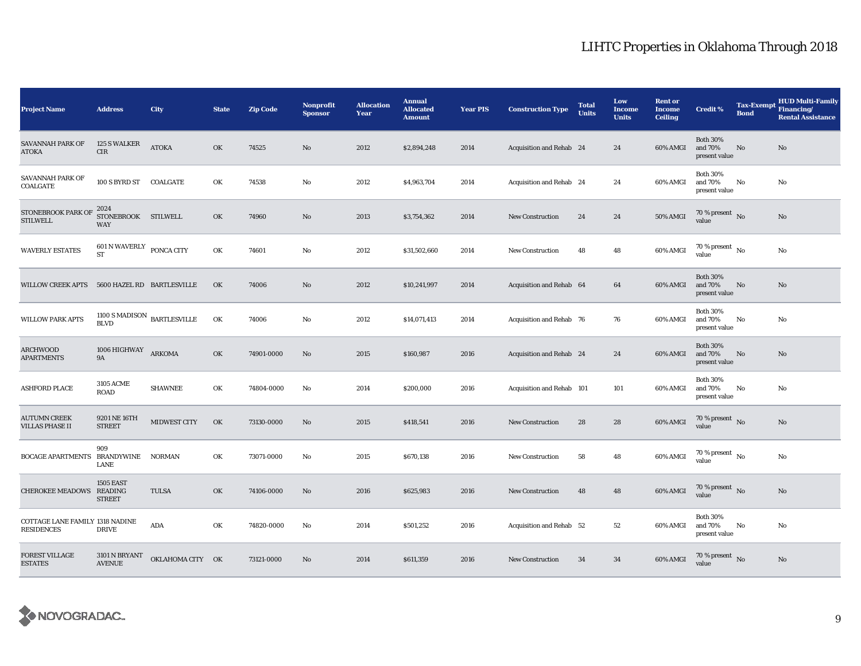| <b>Project Name</b>                                  | <b>Address</b>                                       | <b>City</b>      | <b>State</b> | <b>Zip Code</b> | Nonprofit<br><b>Sponsor</b> | <b>Allocation</b><br>Year | <b>Annual</b><br><b>Allocated</b><br><b>Amount</b> | <b>Year PIS</b> | <b>Construction Type</b>  | <b>Total</b><br><b>Units</b> | Low<br><b>Income</b><br><b>Units</b> | <b>Rent or</b><br><b>Income</b><br><b>Ceiling</b> | <b>Credit %</b>                             | <b>Tax-Exempt</b><br><b>Bond</b> | <b>HUD Multi-Family</b><br>Financing/<br><b>Rental Assistance</b> |
|------------------------------------------------------|------------------------------------------------------|------------------|--------------|-----------------|-----------------------------|---------------------------|----------------------------------------------------|-----------------|---------------------------|------------------------------|--------------------------------------|---------------------------------------------------|---------------------------------------------|----------------------------------|-------------------------------------------------------------------|
| SAVANNAH PARK OF<br><b>ATOKA</b>                     | 125 S WALKER<br>CIR                                  | <b>ATOKA</b>     | OK           | 74525           | No                          | 2012                      | \$2,894,248                                        | 2014            | Acquisition and Rehab 24  |                              | 24                                   | 60% AMGI                                          | <b>Both 30%</b><br>and 70%<br>present value | $\mathbf{No}$                    | No                                                                |
| SAVANNAH PARK OF<br>COALGATE                         | 100 S BYRD ST COALGATE                               |                  | OK           | 74538           | $\mathbf{No}$               | 2012                      | \$4,963,704                                        | 2014            | Acquisition and Rehab 24  |                              | 24                                   | 60% AMGI                                          | <b>Both 30%</b><br>and 70%<br>present value | No                               | No                                                                |
| STONEBROOK PARK OF<br><b>STILWELL</b>                | 2024<br>STONEBROOK STILWELL<br><b>WAY</b>            |                  | OK           | 74960           | No                          | 2013                      | \$3,754,362                                        | 2014            | <b>New Construction</b>   | 24                           | 24                                   | 50% AMGI                                          | 70 % present $\hbox{~No}$<br>value          |                                  | No                                                                |
| <b>WAVERLY ESTATES</b>                               | $601$ N WAVERLY $\,$ PONCA CITY<br><b>ST</b>         |                  | OK           | 74601           | No                          | 2012                      | \$31,502,660                                       | 2014            | <b>New Construction</b>   | 48                           | 48                                   | 60% AMGI                                          | $70$ % present $\,$ No $\,$<br>value        |                                  | No                                                                |
| <b>WILLOW CREEK APTS</b>                             | 5600 HAZEL RD BARTLESVILLE                           |                  | OK           | 74006           | No                          | 2012                      | \$10,241,997                                       | 2014            | Acquisition and Rehab 64  |                              | 64                                   | 60% AMGI                                          | <b>Both 30%</b><br>and 70%<br>present value | No                               | No                                                                |
| <b>WILLOW PARK APTS</b>                              | 1100 S MADISON $_{\rm BARTLES VILLE}$<br><b>BLVD</b> |                  | OK           | 74006           | No                          | 2012                      | \$14,071,413                                       | 2014            | Acquisition and Rehab 76  |                              | 76                                   | 60% AMGI                                          | <b>Both 30%</b><br>and 70%<br>present value | No                               | $\mathbf{No}$                                                     |
| ARCHWOOD<br><b>APARTMENTS</b>                        | 1006 HIGHWAY<br><b>9A</b>                            | <b>ARKOMA</b>    | OK           | 74901-0000      | No                          | 2015                      | \$160,987                                          | 2016            | Acquisition and Rehab 24  |                              | 24                                   | 60% AMGI                                          | <b>Both 30%</b><br>and 70%<br>present value | No                               | No                                                                |
| <b>ASHFORD PLACE</b>                                 | <b>3105 ACME</b><br>ROAD                             | <b>SHAWNEE</b>   | OK           | 74804-0000      | No                          | 2014                      | \$200,000                                          | 2016            | Acquisition and Rehab 101 |                              | 101                                  | 60% AMGI                                          | <b>Both 30%</b><br>and 70%<br>present value | No                               | No                                                                |
| <b>AUTUMN CREEK</b><br><b>VILLAS PHASE II</b>        | 9201 NE 16TH<br><b>STREET</b>                        | MIDWEST CITY     | OK           | 73130-0000      | No                          | 2015                      | \$418,541                                          | 2016            | New Construction          | 28                           | 28                                   | $60\%$ AMGI                                       | 70 % present $\,$ No $\,$<br>value          |                                  | $\rm No$                                                          |
| BOCAGE APARTMENTS BRANDYWINE                         | 909<br>LANE                                          | <b>NORMAN</b>    | OK           | 73071-0000      | No                          | 2015                      | \$670,138                                          | 2016            | New Construction          | 58                           | 48                                   | 60% AMGI                                          | $70$ % present $\,$ No $\,$<br>value        |                                  | No                                                                |
| CHEROKEE MEADOWS READING                             | <b>1505 EAST</b><br><b>STREET</b>                    | <b>TULSA</b>     | OK           | 74106-0000      | $\mathbf{N}\mathbf{o}$      | 2016                      | \$625,983                                          | 2016            | <b>New Construction</b>   | 48                           | 48                                   | 60% AMGI                                          | 70 % present $\,$ No $\,$<br>value          |                                  | No                                                                |
| COTTAGE LANE FAMILY 1318 NADINE<br><b>RESIDENCES</b> | <b>DRIVE</b>                                         | ADA              | OK           | 74820-0000      | No                          | 2014                      | \$501,252                                          | 2016            | Acquisition and Rehab 52  |                              | $^{\rm 52}$                          | 60% AMGI                                          | <b>Both 30%</b><br>and 70%<br>present value | No                               | No                                                                |
| <b>FOREST VILLAGE</b><br><b>ESTATES</b>              | 3101 N BRYANT<br><b>AVENUE</b>                       | OKLAHOMA CITY OK |              | 73121-0000      | No                          | 2014                      | \$611,359                                          | 2016            | <b>New Construction</b>   | 34                           | 34                                   | 60% AMGI                                          | $70\,\%$ present $\,$ No value              |                                  | No                                                                |

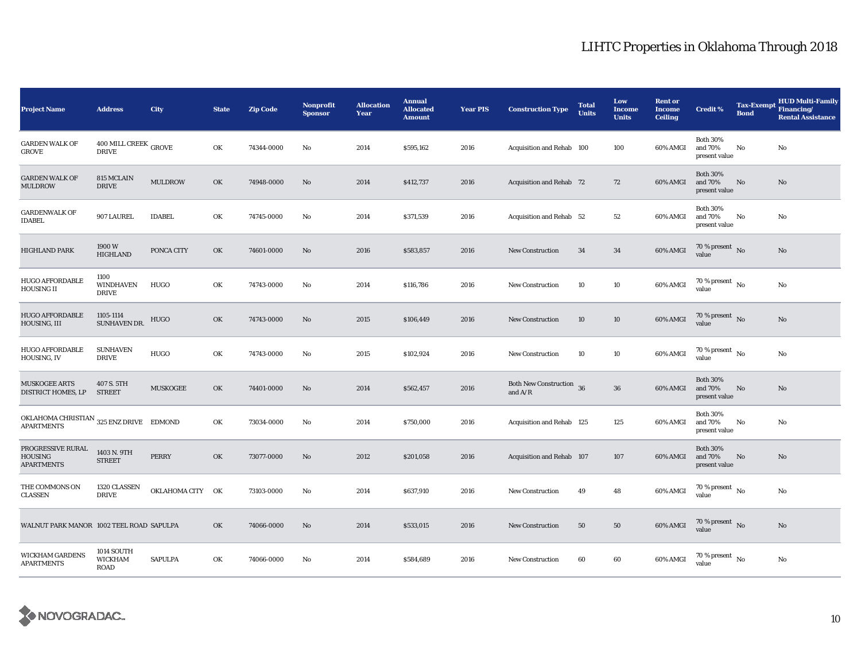| <b>Project Name</b>                                                        | <b>Address</b>                                   | City             | <b>State</b> | <b>Zip Code</b> | Nonprofit<br><b>Sponsor</b> | <b>Allocation</b><br>Year | <b>Annual</b><br><b>Allocated</b><br><b>Amount</b> | <b>Year PIS</b> | <b>Construction Type</b>              | <b>Total</b><br><b>Units</b> | Low<br><b>Income</b><br><b>Units</b> | <b>Rent or</b><br><b>Income</b><br><b>Ceiling</b> | <b>Credit %</b>                             | <b>Tax-Exempt</b><br><b>Bond</b> | <b>HUD Multi-Family</b><br>Financing/<br><b>Rental Assistance</b> |
|----------------------------------------------------------------------------|--------------------------------------------------|------------------|--------------|-----------------|-----------------------------|---------------------------|----------------------------------------------------|-----------------|---------------------------------------|------------------------------|--------------------------------------|---------------------------------------------------|---------------------------------------------|----------------------------------|-------------------------------------------------------------------|
| <b>GARDEN WALK OF</b><br>GROVE                                             | $400$ MILL CREEK $_{\rm{GROVE}}$<br><b>DRIVE</b> |                  | OK           | 74344-0000      | No                          | 2014                      | \$595,162                                          | 2016            | Acquisition and Rehab 100             |                              | 100                                  | 60% AMGI                                          | <b>Both 30%</b><br>and 70%<br>present value | No                               | No                                                                |
| <b>GARDEN WALK OF</b><br>MULDROW                                           | 815 MCLAIN<br><b>DRIVE</b>                       | <b>MULDROW</b>   | OK           | 74948-0000      | $\mathbf{N}\mathbf{o}$      | 2014                      | \$412,737                                          | 2016            | Acquisition and Rehab 72              |                              | 72                                   | 60% AMGI                                          | <b>Both 30%</b><br>and 70%<br>present value | No                               | No                                                                |
| <b>GARDENWALK OF</b><br>IDABEL                                             | 907 LAUREL                                       | <b>IDABEL</b>    | OK           | 74745-0000      | No                          | 2014                      | \$371,539                                          | 2016            | Acquisition and Rehab 52              |                              | 52                                   | 60% AMGI                                          | <b>Both 30%</b><br>and 70%<br>present value | No                               | No                                                                |
| <b>HIGHLAND PARK</b>                                                       | 1900 W<br><b>HIGHLAND</b>                        | PONCA CITY       | OK           | 74601-0000      | No                          | 2016                      | \$583,857                                          | 2016            | <b>New Construction</b>               | 34                           | 34                                   | 60% AMGI                                          | 70 % present $\,$ No $\,$<br>value          |                                  | No                                                                |
| <b>HUGO AFFORDABLE</b><br>HOUSING II                                       | 1100<br><b>WINDHAVEN</b><br><b>DRIVE</b>         | <b>HUGO</b>      | OK           | 74743-0000      | No                          | 2014                      | \$116,786                                          | 2016            | <b>New Construction</b>               | 10                           | 10                                   | 60% AMGI                                          | 70 % present $\hbox{~No}$<br>value          |                                  | No                                                                |
| <b>HUGO AFFORDABLE</b><br>HOUSING, III                                     | 1105-1114<br>SUNHAVEN DR.                        | HUGO             | OK           | 74743-0000      | No                          | 2015                      | \$106,449                                          | 2016            | <b>New Construction</b>               | 10                           | 10                                   | 60% AMGI                                          | 70 % present $\,$ No $\,$<br>value          |                                  | No                                                                |
| <b>HUGO AFFORDABLE</b><br>HOUSING, IV                                      | <b>SUNHAVEN</b><br><b>DRIVE</b>                  | HUGO             | OK           | 74743-0000      | No                          | 2015                      | \$102,924                                          | 2016            | <b>New Construction</b>               | 10                           | 10                                   | 60% AMGI                                          | $70$ % present $\,$ No $\,$<br>value        |                                  | No                                                                |
| <b>MUSKOGEE ARTS</b><br>DISTRICT HOMES, LP                                 | 407 S. 5TH<br><b>STREET</b>                      | MUSKOGEE         | OK           | 74401-0000      | No                          | 2014                      | \$562,457                                          | 2016            | Both New Construction 36<br>and $A/R$ |                              | 36                                   | 60% AMGI                                          | <b>Both 30%</b><br>and 70%<br>present value | No                               | No                                                                |
| OKLAHOMA CHRISTIAN $_{\rm 325~ENZ}$ DRIVE $\;$ EDMOND<br><b>APARTMENTS</b> |                                                  |                  | OK           | 73034-0000      | No                          | 2014                      | \$750,000                                          | 2016            | Acquisition and Rehab 125             |                              | 125                                  | 60% AMGI                                          | <b>Both 30%</b><br>and 70%<br>present value | No                               | No                                                                |
| PROGRESSIVE RURAL<br><b>HOUSING</b><br><b>APARTMENTS</b>                   | 1403 N. 9TH<br><b>STREET</b>                     | <b>PERRY</b>     | OK           | 73077-0000      | No                          | 2012                      | \$201,058                                          | 2016            | Acquisition and Rehab 107             |                              | 107                                  | 60% AMGI                                          | <b>Both 30%</b><br>and 70%<br>present value | No                               | No                                                                |
| THE COMMONS ON<br><b>CLASSEN</b>                                           | 1320 CLASSEN<br><b>DRIVE</b>                     | OKLAHOMA CITY OK |              | 73103-0000      | No                          | 2014                      | \$637,910                                          | 2016            | <b>New Construction</b>               | 49                           | 48                                   | 60% AMGI                                          | 70 % present $\hbox{~No}$<br>value          |                                  | No                                                                |
| WALNUT PARK MANOR 1002 TEEL ROAD SAPULPA                                   |                                                  |                  | OK           | 74066-0000      | No                          | 2014                      | \$533,015                                          | 2016            | <b>New Construction</b>               | 50                           | 50                                   | 60% AMGI                                          | 70 % present $\,$ No $\,$<br>value          |                                  | No                                                                |
| WICKHAM GARDENS<br><b>APARTMENTS</b>                                       | <b>1014 SOUTH</b><br>WICKHAM<br><b>ROAD</b>      | <b>SAPULPA</b>   | OK           | 74066-0000      | No                          | 2014                      | \$584,689                                          | 2016            | <b>New Construction</b>               | 60                           | 60                                   | 60% AMGI                                          | $70$ % present $\,$ No $\,$<br>value        |                                  | No                                                                |

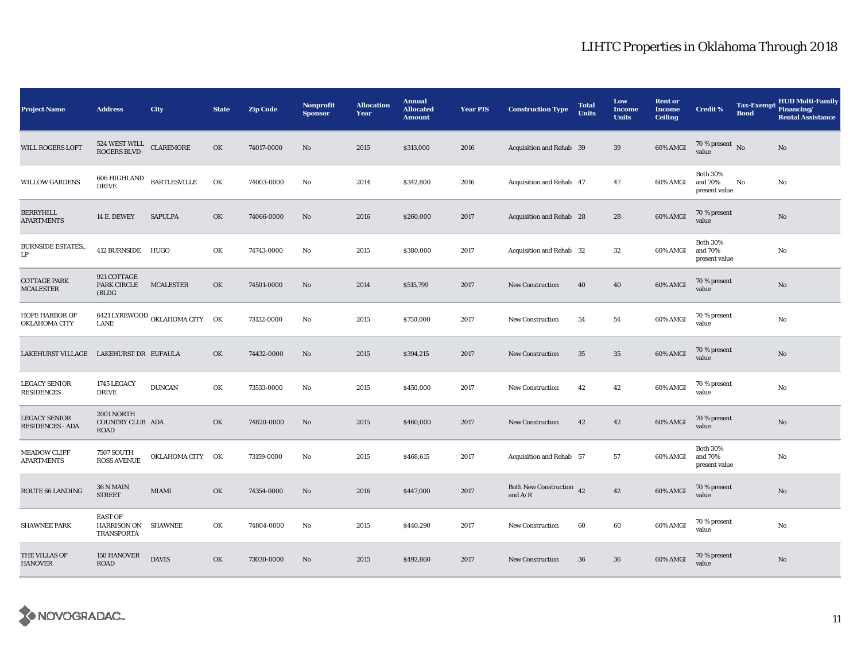| <b>Project Name</b>                             | <b>Address</b>                                      | City                           | <b>State</b> | <b>Zip Code</b> | Nonprofit<br><b>Sponsor</b> | <b>Allocation</b><br>Year | <b>Annual</b><br><b>Allocated</b><br><b>Amount</b> | <b>Year PIS</b> | <b>Construction Type</b>              | <b>Total</b><br><b>Units</b> | Low<br><b>Income</b><br><b>Units</b> | <b>Rent or</b><br><b>Income</b><br><b>Ceiling</b> | <b>Credit %</b>                             | <b>Tax-Exempt</b><br><b>Bond</b> | <b>HUD Multi-Family</b><br>Financing/<br><b>Rental Assistance</b> |
|-------------------------------------------------|-----------------------------------------------------|--------------------------------|--------------|-----------------|-----------------------------|---------------------------|----------------------------------------------------|-----------------|---------------------------------------|------------------------------|--------------------------------------|---------------------------------------------------|---------------------------------------------|----------------------------------|-------------------------------------------------------------------|
| <b>WILL ROGERS LOFT</b>                         | 524 WEST WILL<br><b>ROGERS BLVD</b>                 | <b>CLAREMORE</b>               | OK           | 74017-0000      | No                          | 2015                      | \$313,000                                          | 2016            | Acquisition and Rehab 39              |                              | 39                                   | 60% AMGI                                          | 70 % present $\bar{N}$<br>value             |                                  | No                                                                |
| <b>WILLOW GARDENS</b>                           | 606 HIGHLAND<br><b>DRIVE</b>                        | <b>BARTLESVILLE</b>            | OK           | 74003-0000      | No                          | 2014                      | \$342,800                                          | 2016            | Acquisition and Rehab 47              |                              | 47                                   | 60% AMGI                                          | <b>Both 30%</b><br>and 70%<br>present value | No                               | No                                                                |
| BERRYHILL<br><b>APARTMENTS</b>                  | 14 E. DEWEY                                         | <b>SAPULPA</b>                 | OK           | 74066-0000      | No                          | 2016                      | \$260,000                                          | 2017            | Acquisition and Rehab 28              |                              | 28                                   | 60% AMGI                                          | 70 % present<br>value                       |                                  | No                                                                |
| <b>BURNSIDE ESTATES,,</b><br>LP                 | 412 BURNSIDE HUGO                                   |                                | OK           | 74743-0000      | No                          | 2015                      | \$380,000                                          | 2017            | Acquisition and Rehab 32              |                              | 32                                   | 60% AMGI                                          | <b>Both 30%</b><br>and 70%<br>present value |                                  | No                                                                |
| <b>COTTAGE PARK</b><br>MCALESTER                | 921 COTTAGE<br><b>PARK CIRCLE</b><br>(BLDG          | <b>MCALESTER</b>               | OK           | 74501-0000      | No                          | 2014                      | \$515,799                                          | 2017            | <b>New Construction</b>               | 40                           | 40                                   | 60% AMGI                                          | 70 % present<br>value                       |                                  | No                                                                |
| <b>HOPE HARBOR OF</b><br>OKLAHOMA CITY          | LANE                                                | 6421 LYREWOOD OKLAHOMA CITY OK |              | 73132-0000      | No                          | 2015                      | \$750,000                                          | 2017            | <b>New Construction</b>               | 54                           | 54                                   | 60% AMGI                                          | 70 % present<br>value                       |                                  | No                                                                |
| LAKEHURST VILLAGE                               | LAKEHURST DR EUFAULA                                |                                | OK           | 74432-0000      | No                          | 2015                      | \$394,215                                          | 2017            | <b>New Construction</b>               | 35                           | 35                                   | 60% AMGI                                          | 70 % present<br>value                       |                                  | No                                                                |
| <b>LEGACY SENIOR</b><br>RESIDENCES              | 1745 LEGACY<br><b>DRIVE</b>                         | <b>DUNCAN</b>                  | OK           | 73533-0000      | No                          | 2015                      | \$450,000                                          | 2017            | <b>New Construction</b>               | 42                           | 42                                   | 60% AMGI                                          | 70 % present<br>value                       |                                  | No                                                                |
| <b>LEGACY SENIOR</b><br><b>RESIDENCES - ADA</b> | 2001 NORTH<br>COUNTRY CLUB ADA<br><b>ROAD</b>       |                                | OK           | 74820-0000      | No                          | 2015                      | \$460,000                                          | 2017            | <b>New Construction</b>               | 42                           | 42                                   | 60% AMGI                                          | 70 % present<br>value                       |                                  | $\rm No$                                                          |
| <b>MEADOW CLIFF</b><br><b>APARTMENTS</b>        | <b>7507 SOUTH</b><br><b>ROSS AVENUE</b>             | OKLAHOMA CITY OK               |              | 73159-0000      | No                          | 2015                      | \$468,615                                          | 2017            | Acquisition and Rehab 57              |                              | 57                                   | 60% AMGI                                          | <b>Both 30%</b><br>and 70%<br>present value |                                  | No                                                                |
| ROUTE 66 LANDING                                | 36 N MAIN<br><b>STREET</b>                          | MIAMI                          | OK           | 74354-0000      | $\mathbf{N}\mathbf{o}$      | 2016                      | \$447,000                                          | 2017            | Both New Construction 42<br>and $A/R$ |                              | 42                                   | 60% AMGI                                          | 70 % present<br>value                       |                                  | No                                                                |
| <b>SHAWNEE PARK</b>                             | <b>EAST OF</b><br>HARRISON ON SHAWNEE<br>TRANSPORTA |                                | OK           | 74804-0000      | No                          | 2015                      | \$440,290                                          | 2017            | <b>New Construction</b>               | 60                           | 60                                   | 60% AMGI                                          | 70 % present<br>value                       |                                  | No                                                                |
| THE VILLAS OF<br><b>HANOVER</b>                 | 150 HANOVER<br><b>ROAD</b>                          | <b>DAVIS</b>                   | OK           | 73030-0000      | No                          | 2015                      | \$492,860                                          | 2017            | <b>New Construction</b>               | 36                           | 36                                   | 60% AMGI                                          | 70 % present<br>value                       |                                  | No                                                                |

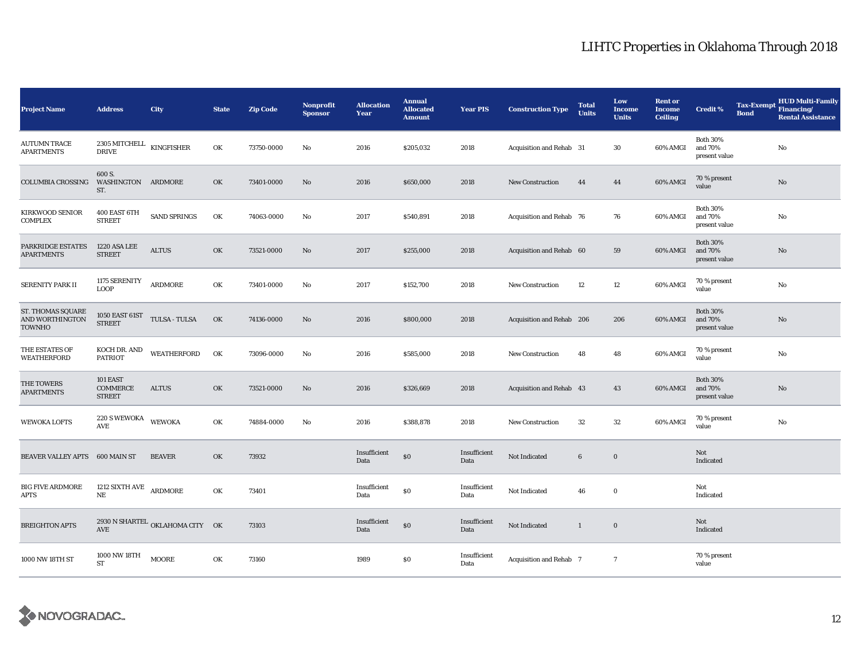| <b>Project Name</b>                            | <b>Address</b>                                       | City                            | <b>State</b> | <b>Zip Code</b> | Nonprofit<br><b>Sponsor</b> | <b>Allocation</b><br>Year | <b>Annual</b><br><b>Allocated</b><br><b>Amount</b> | <b>Year PIS</b>      | <b>Construction Type</b>  | <b>Total</b><br><b>Units</b> | Low<br><b>Income</b><br><b>Units</b> | <b>Rent or</b><br><b>Income</b><br><b>Ceiling</b> | <b>Credit %</b>                             | <b>Tax-Exempt</b><br><b>Bond</b> | <b>HUD Multi-Family</b><br>Financing/<br><b>Rental Assistance</b> |
|------------------------------------------------|------------------------------------------------------|---------------------------------|--------------|-----------------|-----------------------------|---------------------------|----------------------------------------------------|----------------------|---------------------------|------------------------------|--------------------------------------|---------------------------------------------------|---------------------------------------------|----------------------------------|-------------------------------------------------------------------|
| <b>AUTUMN TRACE</b><br><b>APARTMENTS</b>       | 2305 MITCHELL<br><b>DRIVE</b>                        | KINGFISHER                      | OK           | 73750-0000      | No                          | 2016                      | \$205,032                                          | 2018                 | Acquisition and Rehab 31  |                              | 30                                   | 60% AMGI                                          | <b>Both 30%</b><br>and 70%<br>present value |                                  | No                                                                |
| COLUMBIA CROSSING                              | 600 S.<br>WASHINGTON ARDMORE<br>ST.                  |                                 | OK           | 73401-0000      | No                          | 2016                      | \$650,000                                          | 2018                 | New Construction          | 44                           | 44                                   | 60% AMGI                                          | 70 % present<br>value                       |                                  | No                                                                |
| <b>KIRKWOOD SENIOR</b><br><b>COMPLEX</b>       | 400 EAST 6TH<br><b>STREET</b>                        | SAND SPRINGS                    | OK           | 74063-0000      | No                          | 2017                      | \$540,891                                          | 2018                 | Acquisition and Rehab 76  |                              | 76                                   | 60% AMGI                                          | <b>Both 30%</b><br>and 70%<br>present value |                                  | No                                                                |
| PARKRIDGE ESTATES<br><b>APARTMENTS</b>         | 1220 ASA LEE<br><b>STREET</b>                        | <b>ALTUS</b>                    | OK           | 73521-0000      | No                          | 2017                      | \$255,000                                          | 2018                 | Acquisition and Rehab 60  |                              | 59                                   | 60% AMGI                                          | <b>Both 30%</b><br>and 70%<br>present value |                                  | $\rm No$                                                          |
| <b>SERENITY PARK II</b>                        | 1175 SERENITY<br><b>LOOP</b>                         | <b>ARDMORE</b>                  | OK           | 73401-0000      | No                          | 2017                      | \$152,700                                          | 2018                 | <b>New Construction</b>   | 12                           | 12                                   | 60% AMGI                                          | 70 % present<br>value                       |                                  | No                                                                |
| ST. THOMAS SQUARE<br>AND WORTHINGTON<br>TOWNHO | 1050 EAST $61ST$ $\,$ TULSA - TULSA<br><b>STREET</b> |                                 | OK           | 74136-0000      | No                          | 2016                      | \$800,000                                          | 2018                 | Acquisition and Rehab 206 |                              | 206                                  | 60% AMGI                                          | <b>Both 30%</b><br>and 70%<br>present value |                                  | $\rm No$                                                          |
| THE ESTATES OF<br>WEATHERFORD                  | KOCH DR. AND<br><b>PATRIOT</b>                       | WEATHERFORD                     | OK           | 73096-0000      | No                          | 2016                      | \$585,000                                          | 2018                 | New Construction          | 48                           | 48                                   | 60% AMGI                                          | 70 % present<br>value                       |                                  | No                                                                |
| THE TOWERS<br><b>APARTMENTS</b>                | 101 EAST<br><b>COMMERCE</b><br><b>STREET</b>         | <b>ALTUS</b>                    | OK           | 73521-0000      | No                          | 2016                      | \$326,669                                          | 2018                 | Acquisition and Rehab 43  |                              | 43                                   | 60% AMGI                                          | <b>Both 30%</b><br>and 70%<br>present value |                                  | No                                                                |
| <b>WEWOKA LOFTS</b>                            | <b>220 S WEWOKA</b><br>AVE                           | <b>WEWOKA</b>                   | OK           | 74884-0000      | No                          | 2016                      | \$388,878                                          | 2018                 | New Construction          | 32                           | 32                                   | 60% AMGI                                          | 70 % present<br>value                       |                                  | $\mathbf{No}$                                                     |
| <b>BEAVER VALLEY APTS</b>                      | 600 MAIN ST                                          | <b>BEAVER</b>                   | OK           | 73932           |                             | Insufficient<br>Data      | \$0                                                | Insufficient<br>Data | Not Indicated             | $\bf 6$                      | $\mathbf 0$                          |                                                   | Not<br>Indicated                            |                                  |                                                                   |
| <b>BIG FIVE ARDMORE</b><br>APTS                | 1212 SIXTH AVE ARDMORE<br>NE                         |                                 | OK           | 73401           |                             | Insufficient<br>Data      | \$0                                                | Insufficient<br>Data | Not Indicated             | 46                           | $\bf{0}$                             |                                                   | Not<br>Indicated                            |                                  |                                                                   |
| <b>BREIGHTON APTS</b>                          | AVE                                                  | 2930 N SHARTEL OKLAHOMA CITY OK |              | 73103           |                             | Insufficient<br>Data      | \$0                                                | Insufficient<br>Data | Not Indicated             | $\mathbf{1}$                 | $\bf{0}$                             |                                                   | Not<br>Indicated                            |                                  |                                                                   |
| 1000 NW 18TH ST                                | 1000 NW 18TH<br><b>ST</b>                            | <b>MOORE</b>                    | OK           | 73160           |                             | 1989                      | $\$0$                                              | Insufficient<br>Data | Acquisition and Rehab 7   |                              | $\overline{7}$                       |                                                   | 70 % present<br>value                       |                                  |                                                                   |

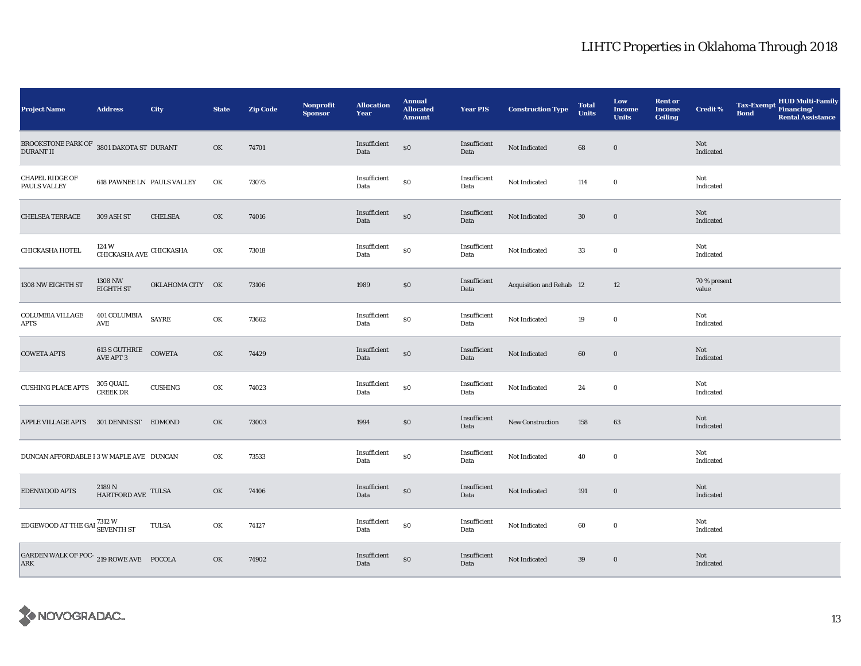| <b>Project Name</b>                                          | <b>Address</b>                                 | <b>City</b>      | <b>State</b> | <b>Zip Code</b> | Nonprofit<br><b>Sponsor</b> | <b>Allocation</b><br>Year | <b>Annual</b><br><b>Allocated</b><br><b>Amount</b> | <b>Year PIS</b>      | <b>Construction Type</b>        | <b>Total</b><br><b>Units</b> | Low<br><b>Income</b><br><b>Units</b> | <b>Rent or</b><br><b>Income</b><br><b>Ceiling</b> | <b>Credit %</b>         | <b>Tax-Exempt</b><br><b>Bond</b> | HUD Multi-Family<br>Financing/<br><b>Rental Assistance</b> |
|--------------------------------------------------------------|------------------------------------------------|------------------|--------------|-----------------|-----------------------------|---------------------------|----------------------------------------------------|----------------------|---------------------------------|------------------------------|--------------------------------------|---------------------------------------------------|-------------------------|----------------------------------|------------------------------------------------------------|
| BROOKSTONE PARK OF 3801 DAKOTA ST DURANT<br><b>DURANT II</b> |                                                |                  | OK           | 74701           |                             | Insufficient<br>Data      | $\$0$                                              | Insufficient<br>Data | Not Indicated                   | 68                           | $\bf{0}$                             |                                                   | Not<br>Indicated        |                                  |                                                            |
| <b>CHAPEL RIDGE OF</b><br>PAULS VALLEY                       | 618 PAWNEE LN PAULS VALLEY                     |                  | OK           | 73075           |                             | Insufficient<br>Data      | \$0                                                | Insufficient<br>Data | Not Indicated                   | 114                          | $\bf{0}$                             |                                                   | Not<br>Indicated        |                                  |                                                            |
| <b>CHELSEA TERRACE</b>                                       | 309 ASH ST                                     | <b>CHELSEA</b>   | OK           | 74016           |                             | Insufficient<br>Data      | $\$0$                                              | Insufficient<br>Data | Not Indicated                   | $30\,$                       | $\mathbf 0$                          |                                                   | Not<br>Indicated        |                                  |                                                            |
| CHICKASHA HOTEL                                              | $124\,\mathrm{W}$ CHICKASHA AVE $\,$ CHICKASHA |                  | OK           | 73018           |                             | Insufficient<br>Data      | $\$0$                                              | Insufficient<br>Data | Not Indicated                   | 33                           | $\bf{0}$                             |                                                   | Not<br>Indicated        |                                  |                                                            |
| 1308 NW EIGHTH ST                                            | 1308 NW<br><b>EIGHTH ST</b>                    | OKLAHOMA CITY OK |              | 73106           |                             | 1989                      | $\$0$                                              | Insufficient<br>Data | <b>Acquisition and Rehab 12</b> |                              | 12                                   |                                                   | 70 % present<br>value   |                                  |                                                            |
| <b>COLUMBIA VILLAGE</b><br>APTS                              | $401$ COLUMBIA $\;$ SAYRE<br>AVE               |                  | OK           | 73662           |                             | Insufficient<br>Data      | \$0                                                | Insufficient<br>Data | Not Indicated                   | 19                           | $\bf{0}$                             |                                                   | Not<br>Indicated        |                                  |                                                            |
| <b>COWETA APTS</b>                                           | $613$ S GUTHRIE $\quad$ COWETA AVE APT $3$     |                  | OK           | 74429           |                             | Insufficient<br>Data      | \$0                                                | Insufficient<br>Data | Not Indicated                   | 60                           | $\bf{0}$                             |                                                   | Not<br>Indicated        |                                  |                                                            |
| <b>CUSHING PLACE APTS</b>                                    | 305 QUAIL<br>CREEK DR                          | <b>CUSHING</b>   | OK           | 74023           |                             | Insufficient<br>Data      | \$0                                                | Insufficient<br>Data | Not Indicated                   | 24                           | $\bf{0}$                             |                                                   | Not<br>Indicated        |                                  |                                                            |
| APPLE VILLAGE APTS 301 DENNIS ST EDMOND                      |                                                |                  | OK           | 73003           |                             | 1994                      | \$0                                                | Insufficient<br>Data | New Construction                | 158                          | 63                                   |                                                   | Not<br>Indicated        |                                  |                                                            |
| DUNCAN AFFORDABLE I 3 W MAPLE AVE DUNCAN                     |                                                |                  | OK           | 73533           |                             | Insufficient<br>Data      | \$0                                                | Insufficient<br>Data | Not Indicated                   | 40                           | $\bf{0}$                             |                                                   | Not<br>Indicated        |                                  |                                                            |
| EDENWOOD APTS                                                | $2189$ N $$\tt HARTFORD\,\, AVE$$ TULSA        |                  | OK           | 74106           |                             | Insufficient<br>Data      | $\$0$                                              | Insufficient<br>Data | Not Indicated                   | 191                          | $\bf{0}$                             |                                                   | <b>Not</b><br>Indicated |                                  |                                                            |
| EDGEWOOD AT THE GAI 7312 W SEVENTH ST                        |                                                | <b>TULSA</b>     | OK           | 74127           |                             | Insufficient<br>Data      | \$0                                                | Insufficient<br>Data | Not Indicated                   | 60                           | $\bf{0}$                             |                                                   | Not<br>Indicated        |                                  |                                                            |
| GARDEN WALK OF POC- 219 ROWE AVE POCOLA<br>ARK               |                                                |                  | OK           | 74902           |                             | Insufficient<br>Data      | $\$0$                                              | Insufficient<br>Data | Not Indicated                   | 39                           | $\bf{0}$                             |                                                   | Not<br>Indicated        |                                  |                                                            |

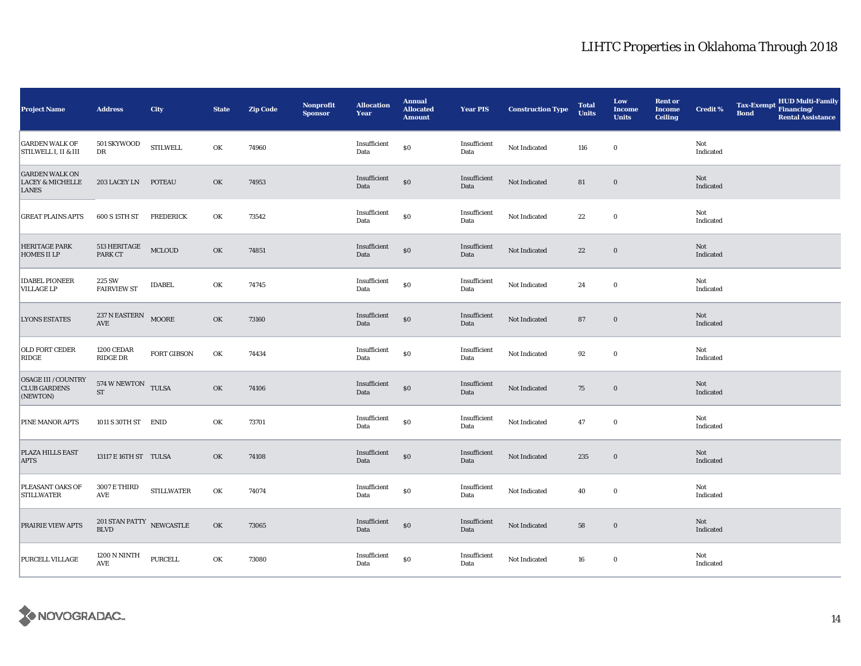| <b>Project Name</b>                                                  | <b>Address</b>                                       | City                                      | <b>State</b> | <b>Zip Code</b> | <b>Nonprofit</b><br><b>Sponsor</b> | <b>Allocation</b><br>Year | <b>Annual</b><br><b>Allocated</b><br><b>Amount</b> | <b>Year PIS</b>      | <b>Construction Type</b> | <b>Total</b><br><b>Units</b> | Low<br><b>Income</b><br><b>Units</b> | <b>Rent or</b><br><b>Income</b><br><b>Ceiling</b> | <b>Credit %</b>  | <b>Tax-Exempt</b><br><b>Bond</b> | HUD Multi-Family<br>Financing/<br><b>Rental Assistance</b> |
|----------------------------------------------------------------------|------------------------------------------------------|-------------------------------------------|--------------|-----------------|------------------------------------|---------------------------|----------------------------------------------------|----------------------|--------------------------|------------------------------|--------------------------------------|---------------------------------------------------|------------------|----------------------------------|------------------------------------------------------------|
| <b>GARDEN WALK OF</b><br><b>STILWELL I, II &amp; III</b>             | 501 SKYWOOD<br>DR                                    | <b>STILWELL</b>                           | OK           | 74960           |                                    | Insufficient<br>Data      | \$0                                                | Insufficient<br>Data | Not Indicated            | 116                          | $\bf{0}$                             |                                                   | Not<br>Indicated |                                  |                                                            |
| <b>GARDEN WALK ON</b><br><b>LACEY &amp; MICHELLE</b><br><b>LANES</b> | 203 LACEY LN POTEAU                                  |                                           | OK           | 74953           |                                    | Insufficient<br>Data      | $\$0$                                              | Insufficient<br>Data | Not Indicated            | 81                           | $\bf{0}$                             |                                                   | Not<br>Indicated |                                  |                                                            |
| <b>GREAT PLAINS APTS</b>                                             | 600 S 15TH ST                                        | <b>FREDERICK</b>                          | OK           | 73542           |                                    | Insufficient<br>Data      | ${\bf S0}$                                         | Insufficient<br>Data | Not Indicated            | $\bf{22}$                    | $\mathbf 0$                          |                                                   | Not<br>Indicated |                                  |                                                            |
| <b>HERITAGE PARK</b><br><b>HOMES II LP</b>                           | 513 HERITAGE<br>PARK CT                              | <b>MCLOUD</b>                             | OK           | 74851           |                                    | Insufficient<br>Data      | $\$0$                                              | Insufficient<br>Data | Not Indicated            | $\bf{22}$                    | $\bf{0}$                             |                                                   | Not<br>Indicated |                                  |                                                            |
| <b>IDABEL PIONEER</b><br><b>VILLAGE LP</b>                           | 225 SW<br><b>FAIRVIEW ST</b>                         | <b>IDABEL</b>                             | OK           | 74745           |                                    | Insufficient<br>Data      | $\$0$                                              | Insufficient<br>Data | Not Indicated            | 24                           | $\bf{0}$                             |                                                   | Not<br>Indicated |                                  |                                                            |
| <b>LYONS ESTATES</b>                                                 | 237 N EASTERN MOORE<br>$\operatorname{\mathbf{AVE}}$ |                                           | OK           | 73160           |                                    | Insufficient<br>Data      | $\$0$                                              | Insufficient<br>Data | Not Indicated            | 87                           | $\bf{0}$                             |                                                   | Not<br>Indicated |                                  |                                                            |
| <b>OLD FORT CEDER</b><br>RIDGE                                       | 1200 CEDAR<br>RIDGE DR                               | <b>FORT GIBSON</b>                        | OK           | 74434           |                                    | Insufficient<br>Data      | $\$0$                                              | Insufficient<br>Data | Not Indicated            | 92                           | $\mathbf 0$                          |                                                   | Not<br>Indicated |                                  |                                                            |
| <b>OSAGE III /COUNTRY</b><br><b>CLUB GARDENS</b><br>(NEWTON)         | 574 W NEWTON TULSA<br><b>ST</b>                      |                                           | OK           | 74106           |                                    | Insufficient<br>Data      | $\$0$                                              | Insufficient<br>Data | Not Indicated            | 75                           | $\boldsymbol{0}$                     |                                                   | Not<br>Indicated |                                  |                                                            |
| PINE MANOR APTS                                                      | 1011 S 30TH ST ENID                                  |                                           | OK           | 73701           |                                    | Insufficient<br>Data      | $\$0$                                              | Insufficient<br>Data | Not Indicated            | 47                           | $\bf{0}$                             |                                                   | Not<br>Indicated |                                  |                                                            |
| PLAZA HILLS EAST<br><b>APTS</b>                                      | 13117 E 16TH ST TULSA                                |                                           | OK           | 74108           |                                    | Insufficient<br>Data      | $\$0$                                              | Insufficient<br>Data | Not Indicated            | 235                          | $\bf{0}$                             |                                                   | Not<br>Indicated |                                  |                                                            |
| PLEASANT OAKS OF<br><b>STILLWATER</b>                                | <b>3007 E THIRD</b><br>AVE                           | ${\small\texttt{STILLWATER}}$             | OK           | 74074           |                                    | Insufficient<br>Data      | $\$0$                                              | Insufficient<br>Data | Not Indicated            | 40                           | $\bf{0}$                             |                                                   | Not<br>Indicated |                                  |                                                            |
| PRAIRIE VIEW APTS                                                    | $201$ STAN PATTY $$\tt NEWCASTLE$$ BLVD              |                                           | OK           | 73065           |                                    | Insufficient<br>Data      | $\$0$                                              | Insufficient<br>Data | Not Indicated            | 58                           | $\bf{0}$                             |                                                   | Not<br>Indicated |                                  |                                                            |
| PURCELL VILLAGE                                                      | 1200 N NINTH<br>AVE                                  | $\ensuremath{\mathsf{P} \mathsf{URCELL}}$ | OK           | 73080           |                                    | Insufficient<br>Data      | $\$0$                                              | Insufficient<br>Data | Not Indicated            | 16                           | $\bf{0}$                             |                                                   | Not<br>Indicated |                                  |                                                            |

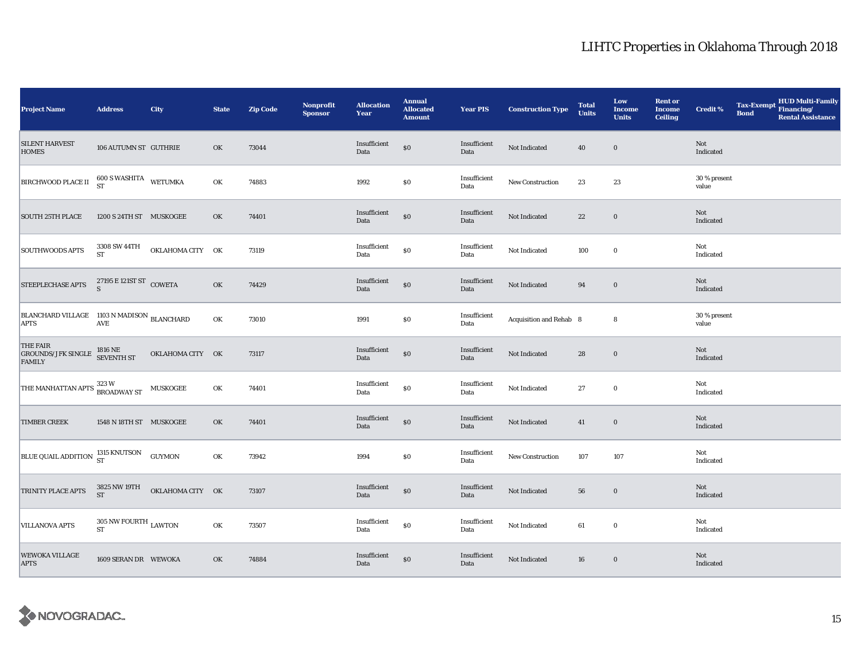| <b>Project Name</b>                                                                                            | <b>Address</b>                                                    | City             | <b>State</b> | <b>Zip Code</b> | <b>Nonprofit</b><br><b>Sponsor</b> | <b>Allocation</b><br>Year | <b>Annual</b><br><b>Allocated</b><br><b>Amount</b> | <b>Year PIS</b>      | <b>Construction Type</b> | <b>Total</b><br><b>Units</b> | Low<br><b>Income</b><br><b>Units</b> | <b>Rent or</b><br><b>Income</b><br><b>Ceiling</b> | <b>Credit %</b>       | <b>Tax-Exempt</b><br><b>Bond</b> | HUD Multi-Family<br>Financing/<br><b>Rental Assistance</b> |
|----------------------------------------------------------------------------------------------------------------|-------------------------------------------------------------------|------------------|--------------|-----------------|------------------------------------|---------------------------|----------------------------------------------------|----------------------|--------------------------|------------------------------|--------------------------------------|---------------------------------------------------|-----------------------|----------------------------------|------------------------------------------------------------|
| <b>SILENT HARVEST</b><br><b>HOMES</b>                                                                          | 106 AUTUMN ST GUTHRIE                                             |                  | OK           | 73044           |                                    | Insufficient<br>Data      | $\$0$                                              | Insufficient<br>Data | Not Indicated            | 40                           | $\bf{0}$                             |                                                   | Not<br>Indicated      |                                  |                                                            |
| <b>BIRCHWOOD PLACE II</b>                                                                                      | $600$ S WASHITA WETUMKA ST                                        |                  | OK           | 74883           |                                    | 1992                      | \$0                                                | Insufficient<br>Data | New Construction         | 23                           | 23                                   |                                                   | 30 % present<br>value |                                  |                                                            |
| <b>SOUTH 25TH PLACE</b>                                                                                        | 1200 S 24TH ST MUSKOGEE                                           |                  | OK           | 74401           |                                    | Insufficient<br>Data      | $\$0$                                              | Insufficient<br>Data | Not Indicated            | $2\sqrt{2}$                  | $\bf{0}$                             |                                                   | Not<br>Indicated      |                                  |                                                            |
| <b>SOUTHWOODS APTS</b>                                                                                         | 3308 SW 44TH<br><b>ST</b>                                         | OKLAHOMA CITY OK |              | 73119           |                                    | Insufficient<br>Data      | $\$0$                                              | Insufficient<br>Data | Not Indicated            | 100                          | $\bf{0}$                             |                                                   | Not<br>Indicated      |                                  |                                                            |
| STEEPLECHASE APTS                                                                                              | $\frac{27195\mathrm{~E}}{\mathrm{S}}$ 121<br>ST $\mathrm{COWETA}$ |                  | OK           | 74429           |                                    | Insufficient<br>Data      | $\$0$                                              | Insufficient<br>Data | Not Indicated            | 94                           | $\bf{0}$                             |                                                   | Not<br>Indicated      |                                  |                                                            |
| ${\begin{array}{ll} \text{BLANCHARD VILLAGE} & \text{1103 N MADISON} \\ \text{APTS} & \text{AVE} \end{array}}$ |                                                                   |                  | OK           | 73010           |                                    | 1991                      | \$0                                                | Insufficient<br>Data | Acquisition and Rehab 8  |                              | 8                                    |                                                   | 30 % present<br>value |                                  |                                                            |
| THE FAIR<br>GROUNDS/JFK SINGLE $\overline{1816}$ NE<br>SEVENTH ST<br><b>FAMILY</b>                             |                                                                   | OKLAHOMA CITY OK |              | 73117           |                                    | Insufficient<br>Data      | $\$0$                                              | Insufficient<br>Data | Not Indicated            | 28                           | $\bf{0}$                             |                                                   | Not<br>Indicated      |                                  |                                                            |
| THE MANHATTAN APTS <sup>323</sup> W<br>BROADWAY ST                                                             |                                                                   | <b>MUSKOGEE</b>  | OK           | 74401           |                                    | Insufficient<br>Data      | \$0                                                | Insufficient<br>Data | Not Indicated            | 27                           | $\mathbf 0$                          |                                                   | Not<br>Indicated      |                                  |                                                            |
| <b>TIMBER CREEK</b>                                                                                            | 1548 N 18TH ST MUSKOGEE                                           |                  | OK           | 74401           |                                    | Insufficient<br>Data      | $\$0$                                              | Insufficient<br>Data | Not Indicated            | 41                           | $\boldsymbol{0}$                     |                                                   | Not<br>Indicated      |                                  |                                                            |
| <b>BLUE QUAIL ADDITION</b> 1315 KNUTSON                                                                        |                                                                   | <b>GUYMON</b>    | OK           | 73942           |                                    | 1994                      | \$0                                                | Insufficient<br>Data | New Construction         | 107                          | 107                                  |                                                   | Not<br>Indicated      |                                  |                                                            |
| TRINITY PLACE APTS                                                                                             | 3825 NW 19TH<br><b>ST</b>                                         | OKLAHOMA CITY OK |              | 73107           |                                    | Insufficient<br>Data      | $\$0$                                              | Insufficient<br>Data | Not Indicated            | 56                           | $\bf{0}$                             |                                                   | Not<br>Indicated      |                                  |                                                            |
| <b>VILLANOVA APTS</b>                                                                                          | $305$ NW FOURTH $_{\rm LAWTON}$ $_{\rm ST}$                       |                  | OK           | 73507           |                                    | Insufficient<br>Data      | \$0                                                | Insufficient<br>Data | Not Indicated            | 61                           | $\bf{0}$                             |                                                   | Not<br>Indicated      |                                  |                                                            |
| <b>WEWOKA VILLAGE</b><br><b>APTS</b>                                                                           | 1609 SERAN DR WEWOKA                                              |                  | OK           | 74884           |                                    | Insufficient<br>Data      | $\$0$                                              | Insufficient<br>Data | Not Indicated            | 16                           | $\bf{0}$                             |                                                   | Not<br>Indicated      |                                  |                                                            |

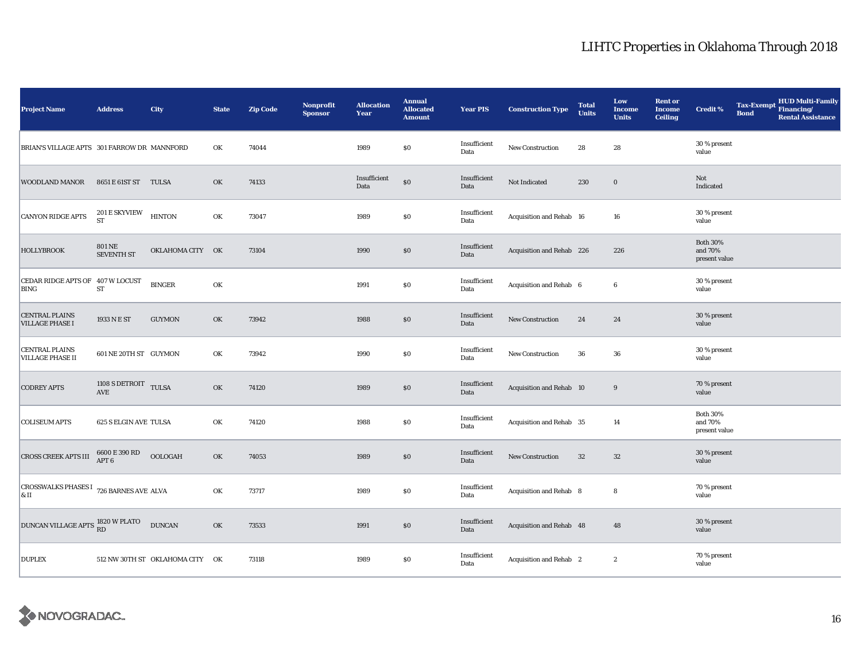| <b>Project Name</b>                                               | <b>Address</b>                         | <b>City</b>                     | <b>State</b>  | <b>Zip Code</b> | Nonprofit<br><b>Sponsor</b> | <b>Allocation</b><br>Year | <b>Annual</b><br><b>Allocated</b><br><b>Amount</b> | <b>Year PIS</b>      | <b>Construction Type</b>  | <b>Total</b><br><b>Units</b> | Low<br><b>Income</b><br><b>Units</b> | <b>Rent or</b><br><b>Income</b><br><b>Ceiling</b> | <b>Credit %</b>                             | <b>Tax-Exempt</b><br><b>Bond</b> | <b>HUD Multi-Family</b><br>Financing/<br><b>Rental Assistance</b> |
|-------------------------------------------------------------------|----------------------------------------|---------------------------------|---------------|-----------------|-----------------------------|---------------------------|----------------------------------------------------|----------------------|---------------------------|------------------------------|--------------------------------------|---------------------------------------------------|---------------------------------------------|----------------------------------|-------------------------------------------------------------------|
| BRIAN'S VILLAGE APTS 301 FARROW DR MANNFORD                       |                                        |                                 | OK            | 74044           |                             | 1989                      | \$0                                                | Insufficient<br>Data | New Construction          | 28                           | 28                                   |                                                   | 30 % present<br>value                       |                                  |                                                                   |
| <b>WOODLAND MANOR</b>                                             | 8651 E 61ST ST TULSA                   |                                 | OK            | 74133           |                             | Insufficient<br>Data      | \$0                                                | Insufficient<br>Data | Not Indicated             | 230                          | $\bf{0}$                             |                                                   | Not<br>Indicated                            |                                  |                                                                   |
| <b>CANYON RIDGE APTS</b>                                          | $201\,\mathrm{E}$ SKYVIEW<br><b>ST</b> | <b>HINTON</b>                   | OK            | 73047           |                             | 1989                      | $\$0$                                              | Insufficient<br>Data | Acquisition and Rehab 16  |                              | 16                                   |                                                   | 30 % present<br>value                       |                                  |                                                                   |
| <b>HOLLYBROOK</b>                                                 | <b>801 NE</b><br><b>SEVENTH ST</b>     | OKLAHOMA CITY OK                |               | 73104           |                             | 1990                      | $\$0$                                              | Insufficient<br>Data | Acquisition and Rehab 226 |                              | 226                                  |                                                   | <b>Both 30%</b><br>and 70%<br>present value |                                  |                                                                   |
| CEDAR RIDGE APTS OF 407 W LOCUST<br><b>BING</b>                   | ST                                     | <b>BINGER</b>                   | OK            |                 |                             | 1991                      | $\$0$                                              | Insufficient<br>Data | Acquisition and Rehab 6   |                              | 6                                    |                                                   | 30 % present<br>value                       |                                  |                                                                   |
| <b>CENTRAL PLAINS</b><br><b>VILLAGE PHASE I</b>                   | 1933 N E ST                            | <b>GUYMON</b>                   | OK            | 73942           |                             | 1988                      | $\$0$                                              | Insufficient<br>Data | New Construction          | 24                           | 24                                   |                                                   | 30 % present<br>value                       |                                  |                                                                   |
| <b>CENTRAL PLAINS</b><br><b>VILLAGE PHASE II</b>                  | 601 NE 20TH ST GUYMON                  |                                 | OK            | 73942           |                             | 1990                      | \$0                                                | Insufficient<br>Data | New Construction          | 36                           | 36                                   |                                                   | 30 % present<br>value                       |                                  |                                                                   |
| <b>CODREY APTS</b>                                                | 1108 S DETROIT TULSA<br>AVE            |                                 | OK            | 74120           |                             | 1989                      | $\$0$                                              | Insufficient<br>Data | Acquisition and Rehab 10  |                              | $\boldsymbol{9}$                     |                                                   | 70 % present<br>value                       |                                  |                                                                   |
| <b>COLISEUM APTS</b>                                              | <b>625 S ELGIN AVE TULSA</b>           |                                 | OK            | 74120           |                             | 1988                      | \$0                                                | Insufficient<br>Data | Acquisition and Rehab 35  |                              | 14                                   |                                                   | <b>Both 30%</b><br>and 70%<br>present value |                                  |                                                                   |
| <b>CROSS CREEK APTS III</b>                                       | $6600\to390$ RD APT $6$                | <b>OOLOGAH</b>                  | OK            | 74053           |                             | 1989                      | $\$0$                                              | Insufficient<br>Data | <b>New Construction</b>   | 32                           | $32\,$                               |                                                   | 30 % present<br>value                       |                                  |                                                                   |
| <b>CROSSWALKS PHASES I</b> 726 BARNES AVE ALVA<br>$\vert_{\& II}$ |                                        |                                 | OK            | 73717           |                             | 1989                      | $\$0$                                              | Insufficient<br>Data | Acquisition and Rehab 8   |                              | 8                                    |                                                   | 70 % present<br>value                       |                                  |                                                                   |
| DUNCAN VILLAGE APTS 1820 W PLATO                                  |                                        | <b>DUNCAN</b>                   | $\mathbf{OK}$ | 73533           |                             | 1991                      | $\$0$                                              | Insufficient<br>Data | Acquisition and Rehab 48  |                              | 48                                   |                                                   | 30 % present<br>value                       |                                  |                                                                   |
| <b>DUPLEX</b>                                                     |                                        | 512 NW 30TH ST OKLAHOMA CITY OK |               | 73118           |                             | 1989                      | \$0                                                | Insufficient<br>Data | Acquisition and Rehab 2   |                              | $\boldsymbol{2}$                     |                                                   | 70 % present<br>value                       |                                  |                                                                   |

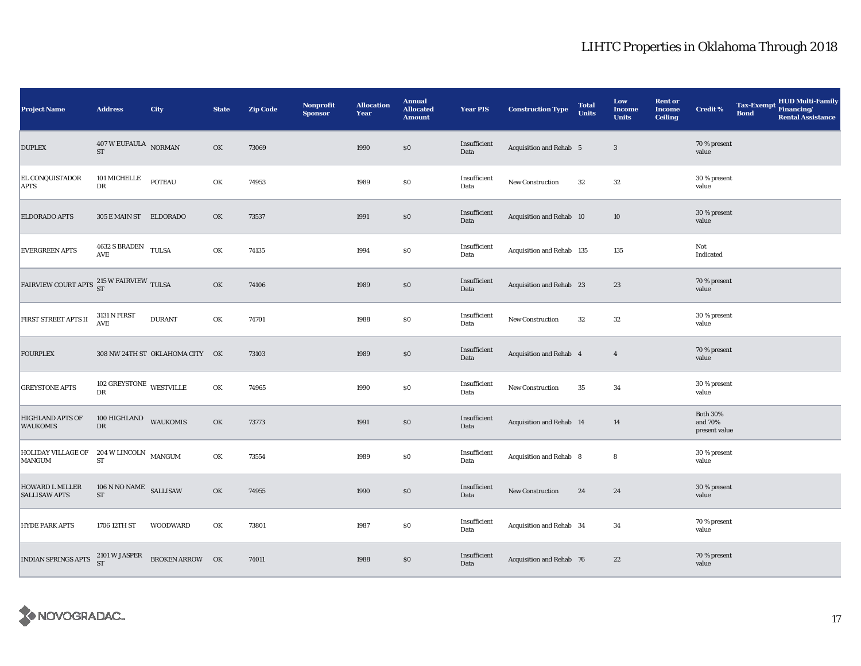| <b>Project Name</b>                                | <b>Address</b>                              | <b>City</b>                     | <b>State</b> | <b>Zip Code</b> | <b>Nonprofit</b><br><b>Sponsor</b> | <b>Allocation</b><br>Year | <b>Annual</b><br><b>Allocated</b><br><b>Amount</b> | <b>Year PIS</b>      | <b>Construction Type</b>  | <b>Total</b><br><b>Units</b> | Low<br><b>Income</b><br><b>Units</b> | <b>Rent or</b><br><b>Income</b><br><b>Ceiling</b> | <b>Credit %</b>                             | <b>Tax-Exempt</b><br><b>Bond</b> | HUD Multi-Family<br>Financing/<br><b>Rental Assistance</b> |
|----------------------------------------------------|---------------------------------------------|---------------------------------|--------------|-----------------|------------------------------------|---------------------------|----------------------------------------------------|----------------------|---------------------------|------------------------------|--------------------------------------|---------------------------------------------------|---------------------------------------------|----------------------------------|------------------------------------------------------------|
| <b>DUPLEX</b>                                      | $407\,\mathrm{W}$ EUFAULA $\,$ NORMAN<br>ST |                                 | OK           | 73069           |                                    | 1990                      | $\$0$                                              | Insufficient<br>Data | Acquisition and Rehab 5   |                              | $\mathbf{3}$                         |                                                   | 70 % present<br>value                       |                                  |                                                            |
| EL CONQUISTADOR<br>APTS                            | 101 MICHELLE<br>DR                          | <b>POTEAU</b>                   | OK           | 74953           |                                    | 1989                      | \$0                                                | Insufficient<br>Data | New Construction          | 32                           | 32                                   |                                                   | 30 % present<br>value                       |                                  |                                                            |
| ELDORADO APTS                                      | 305 E MAIN ST ELDORADO                      |                                 | OK           | 73537           |                                    | 1991                      | \$0                                                | Insufficient<br>Data | Acquisition and Rehab 10  |                              | 10                                   |                                                   | 30 % present<br>value                       |                                  |                                                            |
| <b>EVERGREEN APTS</b>                              | $4632$ S BRADEN $\quad$ TULSA<br>AVE        |                                 | OK           | 74135           |                                    | 1994                      | $\$0$                                              | Insufficient<br>Data | Acquisition and Rehab 135 |                              | 135                                  |                                                   | Not<br>Indicated                            |                                  |                                                            |
| FAIRVIEW COURT APTS $^{215}_{ST}$ W FAIRVIEW TULSA |                                             |                                 | OK           | 74106           |                                    | 1989                      | \$0                                                | Insufficient<br>Data | Acquisition and Rehab 23  |                              | 23                                   |                                                   | 70 % present<br>value                       |                                  |                                                            |
| FIRST STREET APTS II                               | 3131 N FIRST<br>AVE                         | <b>DURANT</b>                   | OK           | 74701           |                                    | 1988                      | \$0                                                | Insufficient<br>Data | New Construction          | 32                           | 32                                   |                                                   | 30 % present<br>value                       |                                  |                                                            |
| <b>FOURPLEX</b>                                    |                                             | 308 NW 24TH ST OKLAHOMA CITY OK |              | 73103           |                                    | 1989                      | $\$0$                                              | Insufficient<br>Data | Acquisition and Rehab 4   |                              | $\overline{4}$                       |                                                   | 70 % present<br>value                       |                                  |                                                            |
| <b>GREYSTONE APTS</b>                              | 102 GREYSTONE WESTVILLE<br>DR               |                                 | OK           | 74965           |                                    | 1990                      | \$0                                                | Insufficient<br>Data | New Construction          | 35                           | 34                                   |                                                   | 30 % present<br>value                       |                                  |                                                            |
| <b>HIGHLAND APTS OF</b><br><b>WAUKOMIS</b>         | 100 HIGHLAND WAUKOMIS<br>DR                 |                                 | OK           | 73773           |                                    | 1991                      | \$0                                                | Insufficient<br>Data | Acquisition and Rehab 14  |                              | 14                                   |                                                   | <b>Both 30%</b><br>and 70%<br>present value |                                  |                                                            |
| HOLIDAY VILLAGE OF 204 W LINCOLN MANGUM<br>MANGUM  | ST                                          |                                 | OK           | 73554           |                                    | 1989                      | \$0                                                | Insufficient<br>Data | Acquisition and Rehab 8   |                              | 8                                    |                                                   | 30 % present<br>value                       |                                  |                                                            |
| <b>HOWARD L MILLER</b><br><b>SALLISAW APTS</b>     | $106$ N NO NAME $\,$ SALLISAW<br>${\rm ST}$ |                                 | OK           | 74955           |                                    | 1990                      | $\$0$                                              | Insufficient<br>Data | New Construction          | 24                           | 24                                   |                                                   | 30 % present<br>value                       |                                  |                                                            |
| <b>HYDE PARK APTS</b>                              | 1706 12TH ST                                | <b>WOODWARD</b>                 | OK           | 73801           |                                    | 1987                      | \$0                                                | Insufficient<br>Data | Acquisition and Rehab 34  |                              | 34                                   |                                                   | 70 % present<br>value                       |                                  |                                                            |
| INDIAN SPRINGS APTS                                | 2101 W JASPER<br>ST                         | BROKEN ARROW OK                 |              | 74011           |                                    | 1988                      | \$0                                                | Insufficient<br>Data | Acquisition and Rehab 76  |                              | 22                                   |                                                   | 70 % present<br>value                       |                                  |                                                            |

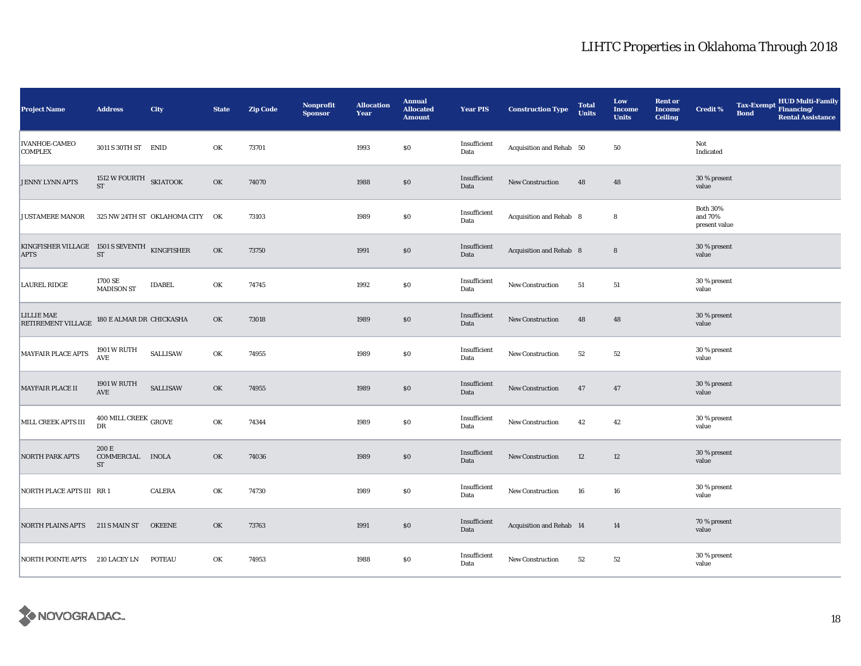| <b>Project Name</b>                                         | <b>Address</b>                                 | City                            | <b>State</b> | <b>Zip Code</b> | <b>Nonprofit</b><br><b>Sponsor</b> | <b>Allocation</b><br>Year | <b>Annual</b><br><b>Allocated</b><br><b>Amount</b> | <b>Year PIS</b>      | <b>Construction Type</b> | <b>Total</b><br><b>Units</b> | Low<br><b>Income</b><br><b>Units</b> | <b>Rent or</b><br><b>Income</b><br><b>Ceiling</b> | <b>Credit %</b>                             | <b>Tax-Exempt</b><br><b>Bond</b> | HUD Multi-Family<br>Financing/<br><b>Rental Assistance</b> |
|-------------------------------------------------------------|------------------------------------------------|---------------------------------|--------------|-----------------|------------------------------------|---------------------------|----------------------------------------------------|----------------------|--------------------------|------------------------------|--------------------------------------|---------------------------------------------------|---------------------------------------------|----------------------------------|------------------------------------------------------------|
| <b>IVANHOE-CAMEO</b><br><b>COMPLEX</b>                      | 3011 S 30TH ST ENID                            |                                 | OK           | 73701           |                                    | 1993                      | \$0                                                | Insufficient<br>Data | Acquisition and Rehab 50 |                              | 50                                   |                                                   | Not<br>Indicated                            |                                  |                                                            |
| JENNY LYNN APTS                                             | 1512 W FOURTH SKIATOOK<br><b>ST</b>            |                                 | OK           | 74070           |                                    | 1988                      | $\$0$                                              | Insufficient<br>Data | New Construction         | 48                           | 48                                   |                                                   | 30 % present<br>value                       |                                  |                                                            |
| <b>JUSTAMERE MANOR</b>                                      |                                                | 325 NW 24TH ST OKLAHOMA CITY OK |              | 73103           |                                    | 1989                      | $\$0$                                              | Insufficient<br>Data | Acquisition and Rehab 8  |                              | 8                                    |                                                   | <b>Both 30%</b><br>and 70%<br>present value |                                  |                                                            |
| KINGFISHER VILLAGE 1501 S SEVENTH KINGFISHER<br><b>APTS</b> | $\operatorname{ST}$                            |                                 | OK           | 73750           |                                    | 1991                      | \$0                                                | Insufficient<br>Data | Acquisition and Rehab 8  |                              | $\bf 8$                              |                                                   | 30 % present<br>value                       |                                  |                                                            |
| <b>LAUREL RIDGE</b>                                         | 1700 SE<br><b>MADISON ST</b>                   | <b>IDABEL</b>                   | OK           | 74745           |                                    | 1992                      | \$0                                                | Insufficient<br>Data | New Construction         | 51                           | 51                                   |                                                   | 30 % present<br>value                       |                                  |                                                            |
| <b>LILLIE MAE</b><br>RETIREMENT VILLAGE                     | 180 E ALMAR DR CHICKASHA                       |                                 | OK           | 73018           |                                    | 1989                      | $\$0$                                              | Insufficient<br>Data | New Construction         | 48                           | 48                                   |                                                   | 30 % present<br>value                       |                                  |                                                            |
| <b>MAYFAIR PLACE APTS</b>                                   | 1901 W RUTH<br>$\operatorname{\mathbf{AVE}}$   | SALLISAW                        | OK           | 74955           |                                    | 1989                      | \$0                                                | Insufficient<br>Data | New Construction         | 52                           | 52                                   |                                                   | 30 % present<br>value                       |                                  |                                                            |
| MAYFAIR PLACE II                                            | 1901 W RUTH<br><b>AVE</b>                      | <b>SALLISAW</b>                 | OK           | 74955           |                                    | 1989                      | $\$0$                                              | Insufficient<br>Data | New Construction         | 47                           | 47                                   |                                                   | 30 % present<br>value                       |                                  |                                                            |
| MILL CREEK APTS III                                         | $400$ MILL CREEK $_{\rm{GROVE}}$<br>${\rm DR}$ |                                 | OK           | 74344           |                                    | 1989                      | \$0                                                | Insufficient<br>Data | New Construction         | 42                           | 42                                   |                                                   | 30 % present<br>value                       |                                  |                                                            |
| <b>NORTH PARK APTS</b>                                      | 200 E<br>COMMERCIAL INOLA<br>ST                |                                 | OK           | 74036           |                                    | 1989                      | \$0                                                | Insufficient<br>Data | New Construction         | 12                           | 12                                   |                                                   | 30 % present<br>value                       |                                  |                                                            |
| NORTH PLACE APTS III RR 1                                   |                                                | <b>CALERA</b>                   | OK           | 74730           |                                    | 1989                      | \$0                                                | Insufficient<br>Data | New Construction         | 16                           | 16                                   |                                                   | 30 % present<br>value                       |                                  |                                                            |
| NORTH PLAINS APTS 211 S MAIN ST                             |                                                | <b>OKEENE</b>                   | OK           | 73763           |                                    | 1991                      | \$0                                                | Insufficient<br>Data | Acquisition and Rehab 14 |                              | 14                                   |                                                   | 70 % present<br>value                       |                                  |                                                            |
| NORTH POINTE APTS 210 LACEY LN                              |                                                | <b>POTEAU</b>                   | OK           | 74953           |                                    | 1988                      | \$0                                                | Insufficient<br>Data | New Construction         | 52                           | 52                                   |                                                   | 30 % present<br>value                       |                                  |                                                            |

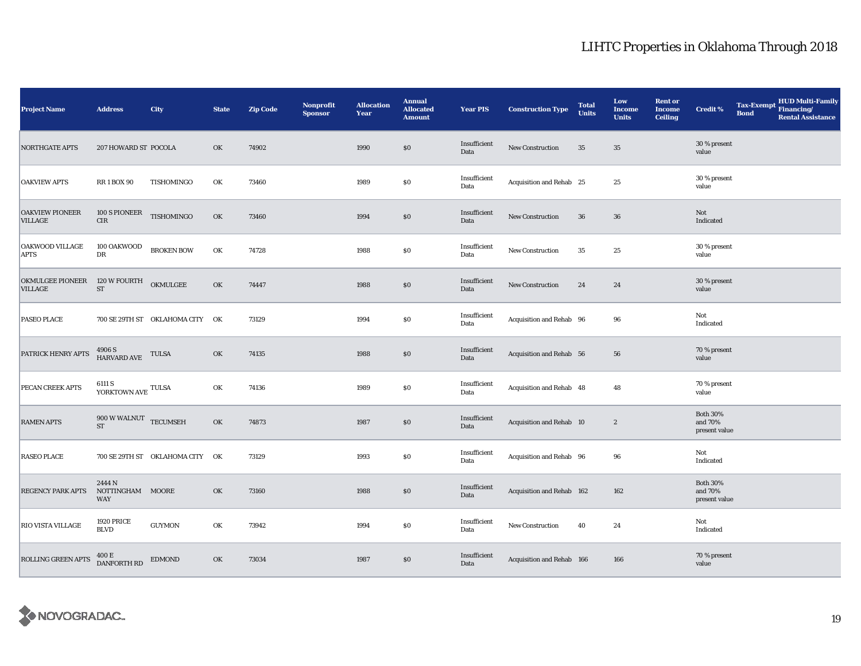| <b>Project Name</b>               | <b>Address</b>                                      | <b>City</b>                     | <b>State</b> | <b>Zip Code</b> | <b>Nonprofit</b><br><b>Sponsor</b> | <b>Allocation</b><br>Year | <b>Annual</b><br><b>Allocated</b><br><b>Amount</b> | <b>Year PIS</b>      | <b>Construction Type</b>  | <b>Total</b><br><b>Units</b> | Low<br><b>Income</b><br><b>Units</b> | <b>Rent or</b><br><b>Income</b><br><b>Ceiling</b> | <b>Credit %</b>                             | <b>Tax-Exempt</b><br><b>Bond</b> | HUD Multi-Family<br>Financing/<br><b>Rental Assistance</b> |
|-----------------------------------|-----------------------------------------------------|---------------------------------|--------------|-----------------|------------------------------------|---------------------------|----------------------------------------------------|----------------------|---------------------------|------------------------------|--------------------------------------|---------------------------------------------------|---------------------------------------------|----------------------------------|------------------------------------------------------------|
| <b>NORTHGATE APTS</b>             | 207 HOWARD ST POCOLA                                |                                 | OK           | 74902           |                                    | 1990                      | \$0                                                | Insufficient<br>Data | New Construction          | 35                           | 35                                   |                                                   | 30 % present<br>value                       |                                  |                                                            |
| <b>OAKVIEW APTS</b>               | <b>RR1BOX90</b>                                     | TISHOMINGO                      | OK           | 73460           |                                    | 1989                      | \$0                                                | Insufficient<br>Data | Acquisition and Rehab 25  |                              | 25                                   |                                                   | 30 % present<br>value                       |                                  |                                                            |
| OAKVIEW PIONEER<br><b>VILLAGE</b> | 100 S PIONEER<br>$\rm CIR$                          | TISHOMINGO                      | OK           | 73460           |                                    | 1994                      | \$0                                                | Insufficient<br>Data | New Construction          | 36                           | 36                                   |                                                   | Not<br>Indicated                            |                                  |                                                            |
| OAKWOOD VILLAGE<br><b>APTS</b>    | 100 OAKWOOD<br>DR                                   | <b>BROKEN BOW</b>               | OK           | 74728           |                                    | 1988                      | \$0                                                | Insufficient<br>Data | New Construction          | 35                           | 25                                   |                                                   | 30 % present<br>value                       |                                  |                                                            |
| OKMULGEE PIONEER<br>VILLAGE       | 120 W FOURTH<br>${\rm ST}$                          | OKMULGEE                        | OK           | 74447           |                                    | 1988                      | \$0                                                | Insufficient<br>Data | New Construction          | 24                           | 24                                   |                                                   | 30 % present<br>value                       |                                  |                                                            |
| PASEO PLACE                       |                                                     | 700 SE 29TH ST OKLAHOMA CITY OK |              | 73129           |                                    | 1994                      | \$0                                                | Insufficient<br>Data | Acquisition and Rehab 96  |                              | 96                                   |                                                   | Not<br>Indicated                            |                                  |                                                            |
| PATRICK HENRY APTS                | $4906$ S $$\tt HARKVARD\ AVE$$ $$\tt TULSA$$        |                                 | OK           | 74135           |                                    | 1988                      | \$0                                                | Insufficient<br>Data | Acquisition and Rehab 56  |                              | 56                                   |                                                   | 70 % present<br>value                       |                                  |                                                            |
| PECAN CREEK APTS                  | 6111 S<br>YORKTOWN AVE $\,$ TULSA $\,$              |                                 | OK           | 74136           |                                    | 1989                      | \$0                                                | Insufficient<br>Data | Acquisition and Rehab 48  |                              | 48                                   |                                                   | 70 % present<br>value                       |                                  |                                                            |
| <b>RAMEN APTS</b>                 | $900\ \text{W}\ \text{WALNUT}\quad \text{TECUMSEH}$ |                                 | OK           | 74873           |                                    | 1987                      | \$0                                                | Insufficient<br>Data | Acquisition and Rehab 10  |                              | $\boldsymbol{2}$                     |                                                   | <b>Both 30%</b><br>and 70%<br>present value |                                  |                                                            |
| <b>RASEO PLACE</b>                |                                                     | 700 SE 29TH ST OKLAHOMA CITY OK |              | 73129           |                                    | 1993                      | \$0                                                | Insufficient<br>Data | Acquisition and Rehab 96  |                              | 96                                   |                                                   | Not<br>Indicated                            |                                  |                                                            |
| REGENCY PARK APTS                 | 2444 N<br>NOTTINGHAM MOORE<br>WAY                   |                                 | OK           | 73160           |                                    | 1988                      | \$0                                                | Insufficient<br>Data | Acquisition and Rehab 162 |                              | 162                                  |                                                   | <b>Both 30%</b><br>and 70%<br>present value |                                  |                                                            |
| RIO VISTA VILLAGE                 | <b>1920 PRICE</b><br><b>BLVD</b>                    | <b>GUYMON</b>                   | OK           | 73942           |                                    | 1994                      | \$0                                                | Insufficient<br>Data | New Construction          | 40                           | 24                                   |                                                   | Not<br>Indicated                            |                                  |                                                            |
| ROLLING GREEN APTS                | 400 E<br>DANFORTH RD                                | <b>EDMOND</b>                   | OK           | 73034           |                                    | 1987                      | \$0                                                | Insufficient<br>Data | Acquisition and Rehab 166 |                              | 166                                  |                                                   | 70 % present<br>value                       |                                  |                                                            |

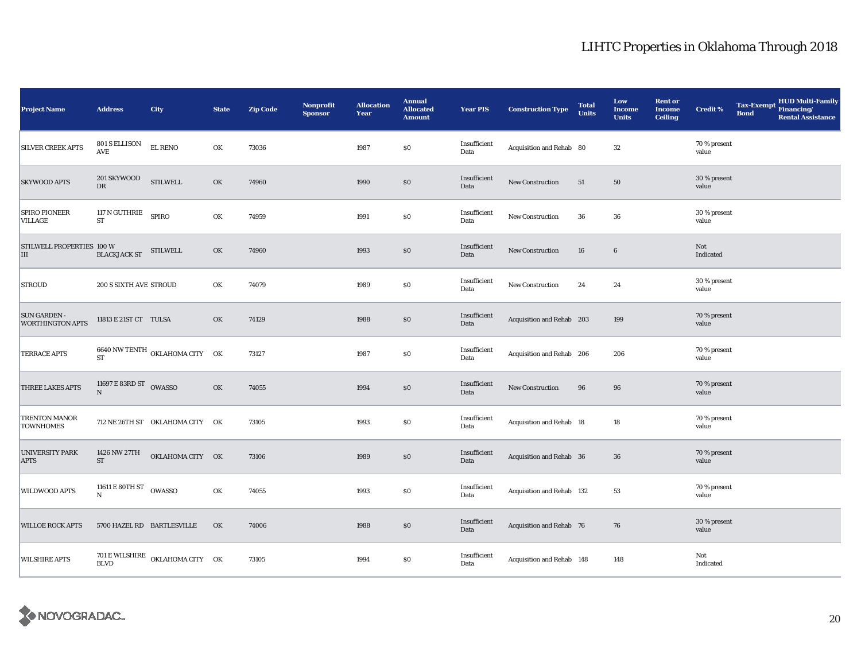| Project Name                                   | <b>Address</b>                   | City                            | <b>State</b> | <b>Zip Code</b> | <b>Nonprofit</b><br><b>Sponsor</b> | <b>Allocation</b><br>Year | <b>Annual</b><br><b>Allocated</b><br><b>Amount</b> | <b>Year PIS</b>      | <b>Construction Type</b>  | <b>Total</b><br><b>Units</b> | Low<br><b>Income</b><br><b>Units</b> | <b>Rent or</b><br><b>Income</b><br><b>Ceiling</b> | <b>Credit %</b>       | <b>Tax-Exempt</b><br><b>Bond</b> | HUD Multi-Family<br>Financing/<br><b>Rental Assistance</b> |
|------------------------------------------------|----------------------------------|---------------------------------|--------------|-----------------|------------------------------------|---------------------------|----------------------------------------------------|----------------------|---------------------------|------------------------------|--------------------------------------|---------------------------------------------------|-----------------------|----------------------------------|------------------------------------------------------------|
| <b>SILVER CREEK APTS</b>                       | 801 S ELLISON<br>AVE             | <b>EL RENO</b>                  | OK           | 73036           |                                    | 1987                      | \$0                                                | Insufficient<br>Data | Acquisition and Rehab 80  |                              | 32                                   |                                                   | 70 % present<br>value |                                  |                                                            |
| <b>SKYWOOD APTS</b>                            | 201 SKYWOOD<br>DR                | <b>STILWELL</b>                 | OK           | 74960           |                                    | 1990                      | $\$0$                                              | Insufficient<br>Data | New Construction          | 51                           | 50                                   |                                                   | 30 % present<br>value |                                  |                                                            |
| <b>SPIRO PIONEER</b><br>VILLAGE                | 117 N GUTHRIE SPIRO<br><b>ST</b> |                                 | OK           | 74959           |                                    | 1991                      | $\$0$                                              | Insufficient<br>Data | <b>New Construction</b>   | ${\bf 36}$                   | 36                                   |                                                   | 30 % present<br>value |                                  |                                                            |
| STILWELL PROPERTIES 100 W<br>Ш                 | <b>BLACKJACK ST</b>              | <b>STILWELL</b>                 | OK           | 74960           |                                    | 1993                      | \$0                                                | Insufficient<br>Data | New Construction          | 16                           | 6                                    |                                                   | Not<br>Indicated      |                                  |                                                            |
| <b>STROUD</b>                                  | 200 S SIXTH AVE STROUD           |                                 | OK           | 74079           |                                    | 1989                      | \$0                                                | Insufficient<br>Data | <b>New Construction</b>   | 24                           | 24                                   |                                                   | 30 % present<br>value |                                  |                                                            |
| <b>SUN GARDEN -</b><br><b>WORTHINGTON APTS</b> | 11813 E 21ST CT TULSA            |                                 | OK           | 74129           |                                    | 1988                      | \$0                                                | Insufficient<br>Data | Acquisition and Rehab 203 |                              | 199                                  |                                                   | 70 % present<br>value |                                  |                                                            |
| TERRACE APTS                                   | <b>ST</b>                        | 6640 NW TENTH OKLAHOMA CITY OK  |              | 73127           |                                    | 1987                      | $\$0$                                              | Insufficient<br>Data | Acquisition and Rehab 206 |                              | 206                                  |                                                   | 70 % present<br>value |                                  |                                                            |
| THREE LAKES APTS                               | 11697 E 83RD ST OWASSO           |                                 | OK           | 74055           |                                    | 1994                      | \$0                                                | Insufficient<br>Data | <b>New Construction</b>   | 96                           | 96                                   |                                                   | 70 % present<br>value |                                  |                                                            |
| TRENTON MANOR<br><b>TOWNHOMES</b>              |                                  | 712 NE 26TH ST OKLAHOMA CITY OK |              | 73105           |                                    | 1993                      | $\$0$                                              | Insufficient<br>Data | Acquisition and Rehab 18  |                              | 18                                   |                                                   | 70 % present<br>value |                                  |                                                            |
| <b>UNIVERSITY PARK</b><br><b>APTS</b>          | 1426 NW 27TH<br>ST               | OKLAHOMA CITY OK                |              | 73106           |                                    | 1989                      | $\$0$                                              | Insufficient<br>Data | Acquisition and Rehab 36  |                              | 36                                   |                                                   | 70 % present<br>value |                                  |                                                            |
| WILDWOOD APTS                                  | 11611 E 80TH ST OWASSO<br>N      |                                 | OK           | 74055           |                                    | 1993                      | \$0                                                | Insufficient<br>Data | Acquisition and Rehab 132 |                              | 53                                   |                                                   | 70 % present<br>value |                                  |                                                            |
| <b>WILLOE ROCK APTS</b>                        |                                  | 5700 HAZEL RD BARTLESVILLE      | OK           | 74006           |                                    | 1988                      | $\$0$                                              | Insufficient<br>Data | Acquisition and Rehab 76  |                              | 76                                   |                                                   | 30 % present<br>value |                                  |                                                            |
| <b>WILSHIRE APTS</b>                           | <b>BLVD</b>                      | 701 E WILSHIRE OKLAHOMA CITY OK |              | 73105           |                                    | 1994                      | \$0                                                | Insufficient<br>Data | Acquisition and Rehab 148 |                              | 148                                  |                                                   | Not<br>Indicated      |                                  |                                                            |

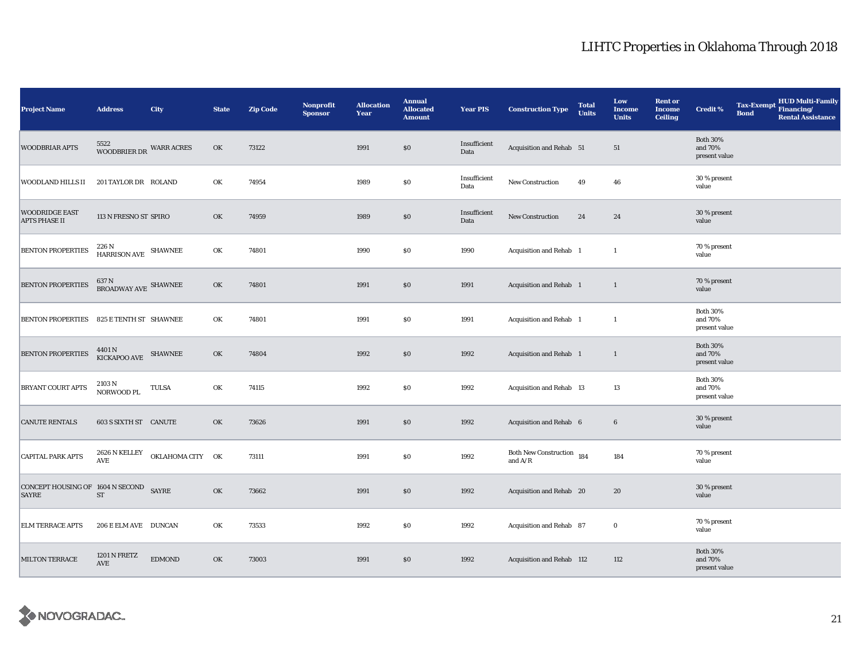| <b>Project Name</b>                                    | <b>Address</b>                                      | City             | <b>State</b> | <b>Zip Code</b> | <b>Nonprofit</b><br><b>Sponsor</b> | <b>Allocation</b><br>Year | <b>Annual</b><br><b>Allocated</b><br><b>Amount</b> | <b>Year PIS</b>      | <b>Construction Type</b>               | <b>Total</b><br><b>Units</b> | Low<br><b>Income</b><br><b>Units</b> | <b>Rent or</b><br><b>Income</b><br><b>Ceiling</b> | <b>Credit %</b>                             | <b>Tax-Exempt</b><br><b>Bond</b> | <b>HUD Multi-Family</b><br>Financing/<br><b>Rental Assistance</b> |
|--------------------------------------------------------|-----------------------------------------------------|------------------|--------------|-----------------|------------------------------------|---------------------------|----------------------------------------------------|----------------------|----------------------------------------|------------------------------|--------------------------------------|---------------------------------------------------|---------------------------------------------|----------------------------------|-------------------------------------------------------------------|
| <b>WOODBRIAR APTS</b>                                  | 5522<br>WOODBRIER DR WARR ACRES                     |                  | OK           | 73122           |                                    | 1991                      | \$0                                                | Insufficient<br>Data | Acquisition and Rehab 51               |                              | 51                                   |                                                   | <b>Both 30%</b><br>and 70%<br>present value |                                  |                                                                   |
| WOODLAND HILLS II                                      | 201 TAYLOR DR ROLAND                                |                  | OK           | 74954           |                                    | 1989                      | \$0                                                | Insufficient<br>Data | New Construction                       | 49                           | 46                                   |                                                   | 30 % present<br>value                       |                                  |                                                                   |
| <b>WOODRIDGE EAST</b><br><b>APTS PHASE II</b>          | 113 N FRESNO ST SPIRO                               |                  | OK           | 74959           |                                    | 1989                      | \$0                                                | Insufficient<br>Data | New Construction                       | 24                           | 24                                   |                                                   | 30 % present<br>value                       |                                  |                                                                   |
| <b>BENTON PROPERTIES</b>                               | 226 N<br>HARRISON AVE SHAWNEE                       |                  | OK           | 74801           |                                    | 1990                      | \$0                                                | 1990                 | Acquisition and Rehab 1                |                              | $\mathbf{1}$                         |                                                   | 70 % present<br>value                       |                                  |                                                                   |
| <b>BENTON PROPERTIES</b>                               | 637 N<br><b>BROADWAY AVE SHAWNEE</b>                |                  | OK           | 74801           |                                    | 1991                      | $\$0$                                              | 1991                 | Acquisition and Rehab 1                |                              | $\mathbf{1}$                         |                                                   | 70 % present<br>value                       |                                  |                                                                   |
| <b>BENTON PROPERTIES</b>                               | 825 E TENTH ST SHAWNEE                              |                  | OK           | 74801           |                                    | 1991                      | $\$0$                                              | 1991                 | Acquisition and Rehab 1                |                              | $\mathbf{1}$                         |                                                   | <b>Both 30%</b><br>and 70%<br>present value |                                  |                                                                   |
| <b>BENTON PROPERTIES</b>                               | $4401\,\mathrm{N}$ $$\,$ KICKAPOO AVE $$\,$ SHAWNEE |                  | OK           | 74804           |                                    | 1992                      | \$0                                                | 1992                 | Acquisition and Rehab 1                |                              | $\mathbf{1}$                         |                                                   | <b>Both 30%</b><br>and 70%<br>present value |                                  |                                                                   |
| BRYANT COURT APTS                                      | 2103 N<br>NORWOOD PL                                | TULSA            | OK           | 74115           |                                    | 1992                      | \$0                                                | 1992                 | Acquisition and Rehab 13               |                              | 13                                   |                                                   | <b>Both 30%</b><br>and 70%<br>present value |                                  |                                                                   |
| <b>CANUTE RENTALS</b>                                  | 603 S SIXTH ST CANUTE                               |                  | OK           | 73626           |                                    | 1991                      | $\$0$                                              | 1992                 | Acquisition and Rehab 6                |                              | $6\phantom{.}6$                      |                                                   | 30 % present<br>value                       |                                  |                                                                   |
| <b>CAPITAL PARK APTS</b>                               | 2626 N KELLEY<br>AVE                                | OKLAHOMA CITY OK |              | 73111           |                                    | 1991                      | \$0                                                | 1992                 | Both New Construction 184<br>and $A/R$ |                              | 184                                  |                                                   | 70 % present<br>value                       |                                  |                                                                   |
| CONCEPT HOUSING OF 1604 N SECOND SAYRE<br><b>SAYRE</b> | $\operatorname{ST}$                                 |                  | OK           | 73662           |                                    | 1991                      | \$0                                                | 1992                 | Acquisition and Rehab 20               |                              | 20                                   |                                                   | 30 % present<br>value                       |                                  |                                                                   |
| <b>ELM TERRACE APTS</b>                                | 206 E ELM AVE DUNCAN                                |                  | OK           | 73533           |                                    | 1992                      | \$0                                                | 1992                 | Acquisition and Rehab 87               |                              | $\bf{0}$                             |                                                   | 70 % present<br>value                       |                                  |                                                                   |
| <b>MILTON TERRACE</b>                                  | <b>1201 N FRETZ</b><br>AVE                          | <b>EDMOND</b>    | OK           | 73003           |                                    | 1991                      | \$0                                                | 1992                 | Acquisition and Rehab 112              |                              | 112                                  |                                                   | <b>Both 30%</b><br>and 70%<br>present value |                                  |                                                                   |

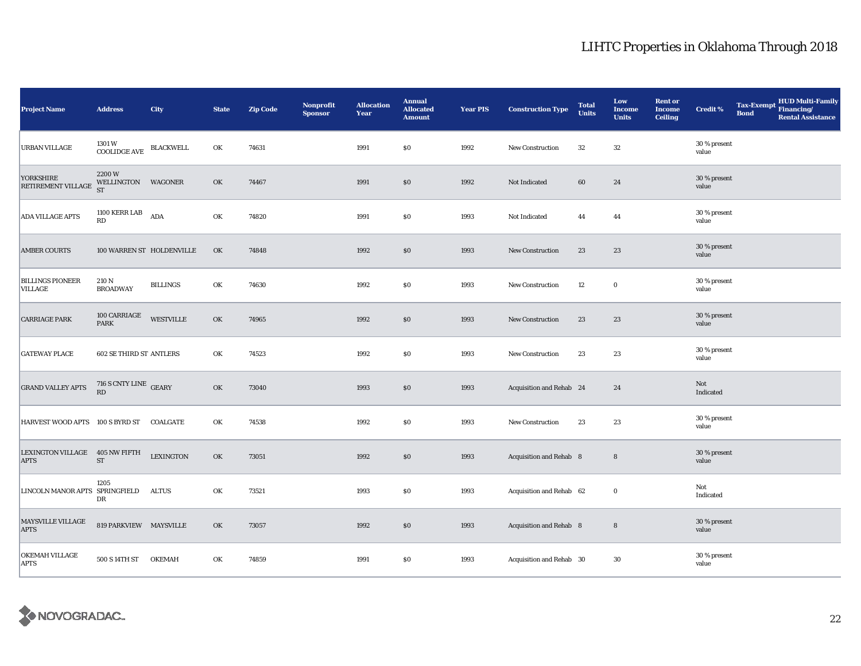| <b>Project Name</b>                           | <b>Address</b>                           | City                      | <b>State</b> | <b>Zip Code</b> | Nonprofit<br><b>Sponsor</b> | <b>Allocation</b><br>Year | <b>Annual</b><br><b>Allocated</b><br><b>Amount</b> | <b>Year PIS</b> | <b>Construction Type</b> | <b>Total</b><br><b>Units</b> | Low<br><b>Income</b><br><b>Units</b> | <b>Rent or</b><br><b>Income</b><br><b>Ceiling</b> | <b>Credit %</b>       | <b>Tax-Exempt</b><br><b>Bond</b> | HUD Multi-Family<br>Financing/<br><b>Rental Assistance</b> |
|-----------------------------------------------|------------------------------------------|---------------------------|--------------|-----------------|-----------------------------|---------------------------|----------------------------------------------------|-----------------|--------------------------|------------------------------|--------------------------------------|---------------------------------------------------|-----------------------|----------------------------------|------------------------------------------------------------|
| URBAN VILLAGE                                 | 1301 W<br>$\operatorname{COOLIDGE}$ AVE  | <b>BLACKWELL</b>          | OK           | 74631           |                             | 1991                      | \$0                                                | 1992            | New Construction         | 32                           | 32                                   |                                                   | 30 % present<br>value |                                  |                                                            |
| YORKSHIRE<br>RETIREMENT VILLAGE               | 2200W<br>WELLINGTON WAGONER<br><b>ST</b> |                           | OK           | 74467           |                             | 1991                      | $\$0$                                              | 1992            | Not Indicated            | 60                           | 24                                   |                                                   | 30 % present<br>value |                                  |                                                            |
| <b>ADA VILLAGE APTS</b>                       | 1100 KERR LAB $ADA$<br>RD                |                           | OK           | 74820           |                             | 1991                      | \$0                                                | 1993            | Not Indicated            | 44                           | 44                                   |                                                   | 30 % present<br>value |                                  |                                                            |
| <b>AMBER COURTS</b>                           |                                          | 100 WARREN ST HOLDENVILLE | OK           | 74848           |                             | 1992                      | $\$0$                                              | 1993            | <b>New Construction</b>  | 23                           | 23                                   |                                                   | 30 % present<br>value |                                  |                                                            |
| <b>BILLINGS PIONEER</b><br>VILLAGE            | 210 N<br><b>BROADWAY</b>                 | <b>BILLINGS</b>           | OK           | 74630           |                             | 1992                      | \$0                                                | 1993            | New Construction         | 12                           | $\bf{0}$                             |                                                   | 30 % present<br>value |                                  |                                                            |
| <b>CARRIAGE PARK</b>                          | 100 CARRIAGE<br><b>PARK</b>              | <b>WESTVILLE</b>          | OK           | 74965           |                             | 1992                      | \$0                                                | 1993            | New Construction         | 23                           | 23                                   |                                                   | 30 % present<br>value |                                  |                                                            |
| <b>GATEWAY PLACE</b>                          | <b>602 SE THIRD ST ANTLERS</b>           |                           | OK           | 74523           |                             | 1992                      | \$0                                                | 1993            | New Construction         | 23                           | 23                                   |                                                   | 30 % present<br>value |                                  |                                                            |
| <b>GRAND VALLEY APTS</b>                      | 716 S CNTY LINE GEARY<br>RD              |                           | OK           | 73040           |                             | 1993                      | \$0                                                | 1993            | Acquisition and Rehab 24 |                              | 24                                   |                                                   | Not<br>Indicated      |                                  |                                                            |
| HARVEST WOOD APTS 100 S BYRD ST COALGATE      |                                          |                           | OK           | 74538           |                             | 1992                      | \$0                                                | 1993            | New Construction         | 23                           | 23                                   |                                                   | 30 % present<br>value |                                  |                                                            |
| LEXINGTON VILLAGE 405 NW FIFTH<br><b>APTS</b> | ${\rm ST}$                               | <b>LEXINGTON</b>          | OK           | 73051           |                             | 1992                      | \$0                                                | 1993            | Acquisition and Rehab 8  |                              | 8                                    |                                                   | 30 % present<br>value |                                  |                                                            |
| LINCOLN MANOR APTS SPRINGFIELD                | 1205<br>DR                               | <b>ALTUS</b>              | OK           | 73521           |                             | 1993                      | \$0                                                | 1993            | Acquisition and Rehab 62 |                              | $\bf{0}$                             |                                                   | Not<br>Indicated      |                                  |                                                            |
| MAYSVILLE VILLAGE<br><b>APTS</b>              | 819 PARKVIEW MAYSVILLE                   |                           | OK           | 73057           |                             | 1992                      | \$0                                                | 1993            | Acquisition and Rehab 8  |                              | $\bf8$                               |                                                   | 30 % present<br>value |                                  |                                                            |
| OKEMAH VILLAGE<br><b>APTS</b>                 | 500 S 14TH ST                            | <b>OKEMAH</b>             | OK           | 74859           |                             | 1991                      | \$0                                                | 1993            | Acquisition and Rehab 30 |                              | 30                                   |                                                   | 30 % present<br>value |                                  |                                                            |

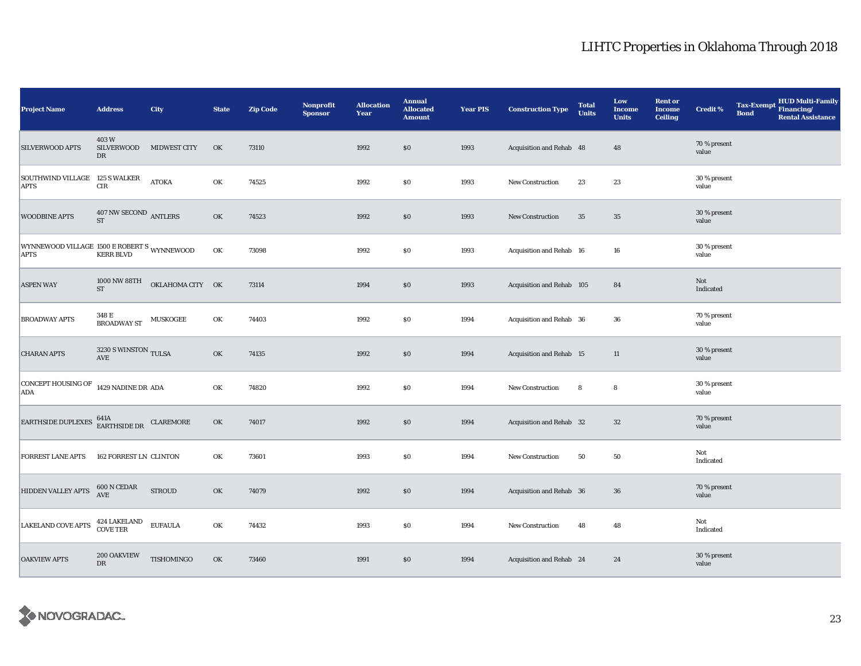| <b>Project Name</b>                                                                                                                              | <b>Address</b>                               | City                | <b>State</b> | <b>Zip Code</b> | Nonprofit<br><b>Sponsor</b> | <b>Allocation</b><br>Year | <b>Annual</b><br><b>Allocated</b><br><b>Amount</b> | <b>Year PIS</b> | <b>Construction Type</b>        | <b>Total</b><br><b>Units</b> | Low<br><b>Income</b><br><b>Units</b> | <b>Rent or</b><br><b>Income</b><br><b>Ceiling</b> | <b>Credit %</b>       | <b>Tax-Exempt</b><br><b>Bond</b> | <b>HUD Multi-Family</b><br>Financing/<br><b>Rental Assistance</b> |
|--------------------------------------------------------------------------------------------------------------------------------------------------|----------------------------------------------|---------------------|--------------|-----------------|-----------------------------|---------------------------|----------------------------------------------------|-----------------|---------------------------------|------------------------------|--------------------------------------|---------------------------------------------------|-----------------------|----------------------------------|-------------------------------------------------------------------|
| SILVERWOOD APTS                                                                                                                                  | 403W<br>SILVERWOOD<br>DR                     | <b>MIDWEST CITY</b> | OK           | 73110           |                             | 1992                      | \$0                                                | 1993            | Acquisition and Rehab 48        |                              | 48                                   |                                                   | 70 % present<br>value |                                  |                                                                   |
| SOUTHWIND VILLAGE 125 S WALKER<br><b>APTS</b>                                                                                                    | $\rm CIR$                                    | <b>ATOKA</b>        | OK           | 74525           |                             | 1992                      | $\$0$                                              | 1993            | New Construction                | 23                           | 23                                   |                                                   | 30 % present<br>value |                                  |                                                                   |
| <b>WOODBINE APTS</b>                                                                                                                             | 407 NW SECOND ANTLERS<br>${\rm ST}$          |                     | OK           | 74523           |                             | 1992                      | \$0                                                | 1993            | New Construction                | 35                           | $35\,$                               |                                                   | 30 % present<br>value |                                  |                                                                   |
| WYNNEWOOD VILLAGE $\,$ 1500 E ROBERT S $\,$ WYNNEWOOD APTS $\,$ KERR BLVD $\,$                                                                   |                                              |                     | OK           | 73098           |                             | 1992                      | \$0                                                | 1993            | Acquisition and Rehab 16        |                              | 16                                   |                                                   | 30 % present<br>value |                                  |                                                                   |
| <b>ASPEN WAY</b>                                                                                                                                 | 1000 NW 88TH<br>$\operatorname{ST}$          | OKLAHOMA CITY OK    |              | 73114           |                             | 1994                      | \$0                                                | 1993            | Acquisition and Rehab 105       |                              | 84                                   |                                                   | Not<br>Indicated      |                                  |                                                                   |
| <b>BROADWAY APTS</b>                                                                                                                             | 348 E<br>BROADWAY ST MUSKOGEE                |                     | OK           | 74403           |                             | 1992                      | $\$0$                                              | 1994            | Acquisition and Rehab 36        |                              | 36                                   |                                                   | 70 % present<br>value |                                  |                                                                   |
| <b>CHARAN APTS</b>                                                                                                                               | 3230 S WINSTON TULSA<br>$\operatorname{AVE}$ |                     | OK           | 74135           |                             | 1992                      | \$0                                                | 1994            | <b>Acquisition and Rehab 15</b> |                              | 11                                   |                                                   | 30 % present<br>value |                                  |                                                                   |
| CONCEPT HOUSING OF 1429 NADINE DR ADA<br><b>ADA</b>                                                                                              |                                              |                     | OK           | 74820           |                             | 1992                      | $\$0$                                              | 1994            | New Construction                | 8                            | 8                                    |                                                   | 30 % present<br>value |                                  |                                                                   |
| $\begin{tabular}{ll} \bf{EARTHSIDE DUPLEXES} & \begin{tabular}{ll} \bf 641A \\ \bf EARTHSIDE DR \\ \end{tabular} & \bf{CLAREMORE} \end{tabular}$ |                                              |                     | OK           | 74017           |                             | 1992                      | \$0                                                | 1994            | Acquisition and Rehab 32        |                              | $32\,$                               |                                                   | 70 % present<br>value |                                  |                                                                   |
| <b>FORREST LANE APTS</b>                                                                                                                         | <b>162 FORREST LN CLINTON</b>                |                     | OK           | 73601           |                             | 1993                      | \$0                                                | 1994            | <b>New Construction</b>         | 50                           | ${\bf 50}$                           |                                                   | Not<br>Indicated      |                                  |                                                                   |
| HIDDEN VALLEY APTS                                                                                                                               | 600 N CEDAR<br>AVE                           | <b>STROUD</b>       | OK           | 74079           |                             | 1992                      | \$0                                                | 1994            | Acquisition and Rehab 36        |                              | 36                                   |                                                   | 70 % present<br>value |                                  |                                                                   |
| <b>LAKELAND COVE APTS</b>                                                                                                                        | 424 LAKELAND<br>COVE TER                     | <b>EUFAULA</b>      | OK           | 74432           |                             | 1993                      | \$0                                                | 1994            | <b>New Construction</b>         | 48                           | 48                                   |                                                   | Not<br>Indicated      |                                  |                                                                   |
| <b>OAKVIEW APTS</b>                                                                                                                              | 200 OAKVIEW<br>DR                            | TISHOMINGO          | OK           | 73460           |                             | 1991                      | $\$0$                                              | 1994            | Acquisition and Rehab 24        |                              | 24                                   |                                                   | 30 % present<br>value |                                  |                                                                   |

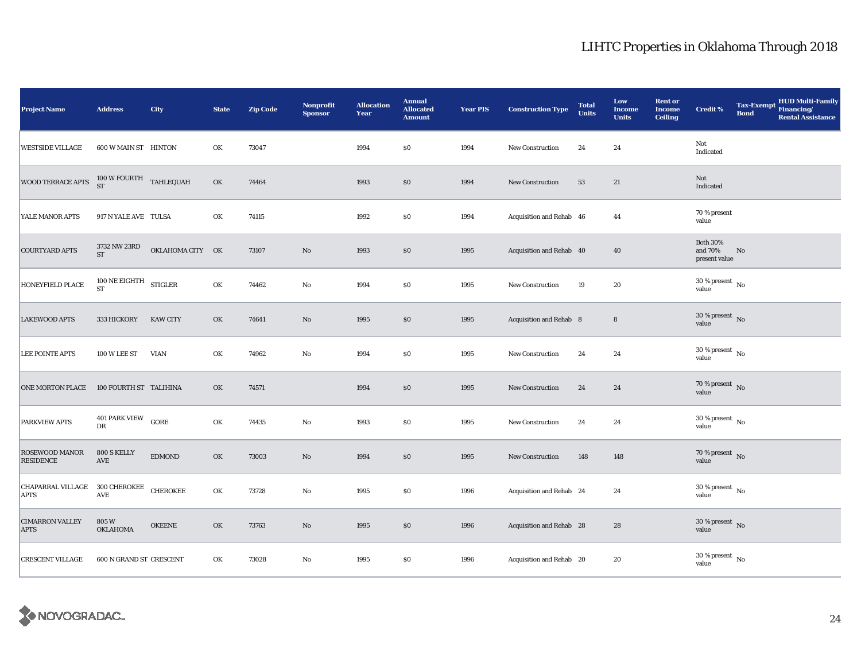| <b>Project Name</b>                           | <b>Address</b>                        | City             | <b>State</b> | <b>Zip Code</b> | Nonprofit<br><b>Sponsor</b> | <b>Allocation</b><br>Year | <b>Annual</b><br><b>Allocated</b><br><b>Amount</b> | <b>Year PIS</b> | <b>Construction Type</b> | <b>Total</b><br><b>Units</b> | Low<br><b>Income</b><br><b>Units</b> | <b>Rent or</b><br><b>Income</b><br><b>Ceiling</b> | <b>Credit %</b>                             | <b>Tax-Exempt</b><br><b>Bond</b> | HUD Multi-Family<br>Financing/<br><b>Rental Assistance</b> |
|-----------------------------------------------|---------------------------------------|------------------|--------------|-----------------|-----------------------------|---------------------------|----------------------------------------------------|-----------------|--------------------------|------------------------------|--------------------------------------|---------------------------------------------------|---------------------------------------------|----------------------------------|------------------------------------------------------------|
| <b>WESTSIDE VILLAGE</b>                       | 600 W MAIN ST HINTON                  |                  | OK           | 73047           |                             | 1994                      | \$0                                                | 1994            | New Construction         | 24                           | 24                                   |                                                   | Not<br>Indicated                            |                                  |                                                            |
| <b>WOOD TERRACE APTS</b>                      | $100\,\mathrm{W}$ FOURTH TAHLEQUAH ST |                  | OK           | 74464           |                             | 1993                      | $\$0$                                              | 1994            | <b>New Construction</b>  | 53                           | 21                                   |                                                   | Not<br>Indicated                            |                                  |                                                            |
| YALE MANOR APTS                               | 917 N YALE AVE TULSA                  |                  | OK           | 74115           |                             | 1992                      | $\$0$                                              | 1994            | Acquisition and Rehab 46 |                              | 44                                   |                                                   | 70 % present<br>value                       |                                  |                                                            |
| <b>COURTYARD APTS</b>                         | 3732 NW 23RD<br><b>ST</b>             | OKLAHOMA CITY OK |              | 73107           | $\rm No$                    | 1993                      | \$0                                                | 1995            | Acquisition and Rehab 40 |                              | 40                                   |                                                   | <b>Both 30%</b><br>and 70%<br>present value | No                               |                                                            |
| HONEYFIELD PLACE                              | 100 NE EIGHTH<br><b>ST</b>            | <b>STIGLER</b>   | OK           | 74462           | $\mathbf{No}$               | 1994                      | $\$0$                                              | 1995            | New Construction         | 19                           | 20                                   |                                                   | $30\,\%$ present $\,$ No value              |                                  |                                                            |
| <b>LAKEWOOD APTS</b>                          | 333 HICKORY                           | <b>KAW CITY</b>  | OK           | 74641           | $\rm\thinspace No$          | 1995                      | $\$0$                                              | 1995            | Acquisition and Rehab 8  |                              | $\bf8$                               |                                                   | $30$ % present $\,$ No value                |                                  |                                                            |
| <b>LEE POINTE APTS</b>                        | 100 W LEE ST                          | <b>VIAN</b>      | OK           | 74962           | $\mathbf{No}$               | 1994                      | $\$0$                                              | 1995            | New Construction         | 24                           | 24                                   |                                                   | $30\,\%$ present $\,$ No value              |                                  |                                                            |
| <b>ONE MORTON PLACE</b>                       | 100 FOURTH ST TALIHINA                |                  | OK           | 74571           |                             | 1994                      | $\$0$                                              | 1995            | <b>New Construction</b>  | 24                           | 24                                   |                                                   | $70\,\%$ present $\,$ No value              |                                  |                                                            |
| <b>PARKVIEW APTS</b>                          | 401 PARK VIEW GORE<br>DR              |                  | OK           | 74435           | $\mathbf{No}$               | 1993                      | $\$0$                                              | 1995            | New Construction         | 24                           | 24                                   |                                                   | $30$ % present $\,$ No $\,$<br>value        |                                  |                                                            |
| ROSEWOOD MANOR<br><b>RESIDENCE</b>            | 800 S KELLY<br>$\operatorname{AVE}$   | <b>EDMOND</b>    | OK           | 73003           | $\rm No$                    | 1994                      | \$0                                                | 1995            | New Construction         | 148                          | 148                                  |                                                   | $70\,\%$ present $${\rm No}$$ value         |                                  |                                                            |
| CHAPARRAL VILLAGE 300 CHEROKEE<br><b>APTS</b> | $\operatorname{AVE}$                  | <b>CHEROKEE</b>  | OK           | 73728           | No                          | 1995                      | $\$0$                                              | 1996            | Acquisition and Rehab 24 |                              | 24                                   |                                                   | $30\,\%$ present $\,$ No value              |                                  |                                                            |
| <b>CIMARRON VALLEY</b><br><b>APTS</b>         | 805W<br>OKLAHOMA                      | <b>OKEENE</b>    | OK           | 73763           | $\rm No$                    | 1995                      | \$0                                                | 1996            | Acquisition and Rehab 28 |                              | 28                                   |                                                   | $30$ % present $\,$ No value                |                                  |                                                            |
| <b>CRESCENT VILLAGE</b>                       | 600 N GRAND ST CRESCENT               |                  | OK           | 73028           | No                          | 1995                      | $\$0$                                              | 1996            | Acquisition and Rehab 20 |                              | 20                                   |                                                   | $30\,\%$ present $\,$ No value              |                                  |                                                            |

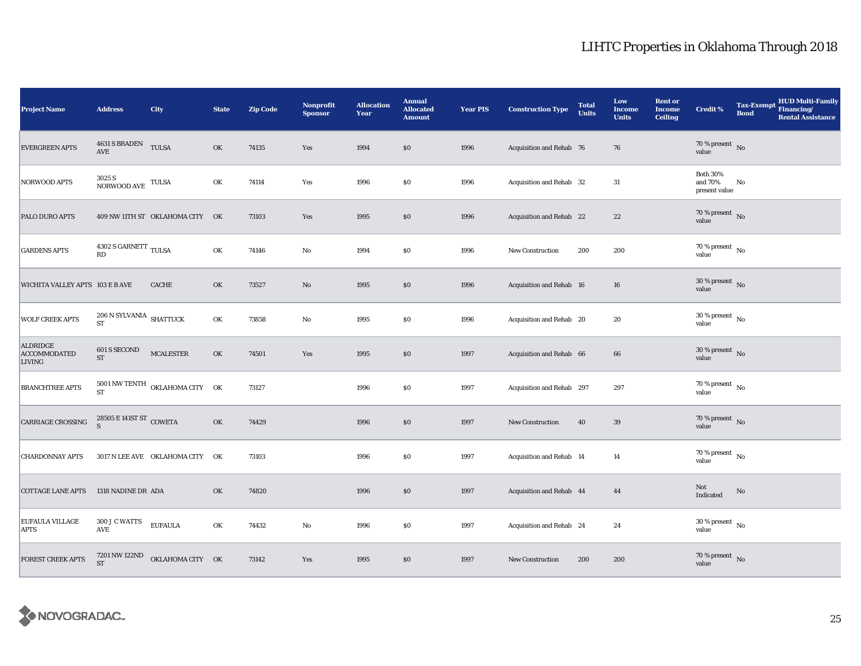| <b>Project Name</b>                       | <b>Address</b>                                | City                                               | <b>State</b> | <b>Zip Code</b> | <b>Nonprofit</b><br><b>Sponsor</b> | <b>Allocation</b><br>Year | <b>Annual</b><br><b>Allocated</b><br><b>Amount</b> | <b>Year PIS</b> | <b>Construction Type</b>  | <b>Total</b><br><b>Units</b> | Low<br><b>Income</b><br><b>Units</b> | <b>Rent or</b><br><b>Income</b><br><b>Ceiling</b> | <b>Credit %</b>                             | <b>Tax-Exempt</b><br><b>Bond</b> | <b>HUD Multi-Family</b><br>Financing/<br><b>Rental Assistance</b> |
|-------------------------------------------|-----------------------------------------------|----------------------------------------------------|--------------|-----------------|------------------------------------|---------------------------|----------------------------------------------------|-----------------|---------------------------|------------------------------|--------------------------------------|---------------------------------------------------|---------------------------------------------|----------------------------------|-------------------------------------------------------------------|
| <b>EVERGREEN APTS</b>                     | 4631 S BRADEN TULSA<br>AVE                    |                                                    | OK           | 74135           | Yes                                | 1994                      | $\$0$                                              | 1996            | Acquisition and Rehab 76  |                              | 76                                   |                                                   | $70\,\%$ present $\,$ No value              |                                  |                                                                   |
| NORWOOD APTS                              | $3025\,\mathrm{S}$ NORWOOD AVE TULSA          |                                                    | OK           | 74114           | Yes                                | 1996                      | $\$0$                                              | 1996            | Acquisition and Rehab 32  |                              | 31                                   |                                                   | <b>Both 30%</b><br>and 70%<br>present value | No                               |                                                                   |
| PALO DURO APTS                            |                                               | 409 NW 11TH ST OKLAHOMA CITY OK                    |              | 73103           | Yes                                | 1995                      | \$0                                                | 1996            | Acquisition and Rehab 22  |                              | 22                                   |                                                   | $70\,\%$ present $\,$ No value              |                                  |                                                                   |
| <b>GARDENS APTS</b>                       | $4302$ S GARNETT $_\mathrm{TULSA}$            |                                                    | OK           | 74146           | $\mathbf{No}$                      | 1994                      | \$0                                                | 1996            | New Construction          | 200                          | 200                                  |                                                   | $70\,\%$ present $\,$ No value              |                                  |                                                                   |
| WICHITA VALLEY APTS 103 E B AVE           |                                               | <b>CACHE</b>                                       | OK           | 73527           | No                                 | 1995                      | \$0                                                | 1996            | Acquisition and Rehab 16  |                              | 16                                   |                                                   | $30\,\%$ present $\,$ No value              |                                  |                                                                   |
| <b>WOLF CREEK APTS</b>                    | $206$ N SYLVANIA $\,$ SHATTUCK<br>ST          |                                                    | OK           | 73858           | $\mathbf{No}$                      | 1995                      | \$0                                                | 1996            | Acquisition and Rehab 20  |                              | 20                                   |                                                   | $30\,\%$ present $\,$ No $\,$<br>value      |                                  |                                                                   |
| ALDRIDGE<br><b>ACCOMMODATED</b><br>LIVING | 601 S SECOND<br>$\operatorname{ST}$           | $\sf MCALESTER$                                    | OK           | 74501           | Yes                                | 1995                      | \$0                                                | 1997            | Acquisition and Rehab 66  |                              | 66                                   |                                                   | $30\,\%$ present $\,$ No value              |                                  |                                                                   |
| <b>BRANCHTREE APTS</b>                    | <b>ST</b>                                     | $5001$ NW TENTH $\,$ OKLAHOMA CITY $\,$ OK $^{-1}$ |              | 73127           |                                    | 1996                      | \$0                                                | 1997            | Acquisition and Rehab 297 |                              | 297                                  |                                                   | $70\,\%$ present $\,$ No value              |                                  |                                                                   |
| CARRIAGE CROSSING                         | $28505 \to 141 \text{ST}$ ST $_{\rm{COMETA}}$ |                                                    | OK           | 74429           |                                    | 1996                      | \$0                                                | 1997            | New Construction          | 40                           | 39                                   |                                                   | $70\,\%$ present $\,$ No value              |                                  |                                                                   |
| <b>CHARDONNAY APTS</b>                    |                                               | 3017 N LEE AVE OKLAHOMA CITY OK                    |              | 73103           |                                    | 1996                      | $\$0$                                              | 1997            | Acquisition and Rehab 14  |                              | 14                                   |                                                   | $70$ % present $\,$ No $\,$<br>value        |                                  |                                                                   |
| <b>COTTAGE LANE APTS</b>                  | 1318 NADINE DR ADA                            |                                                    | OK           | 74820           |                                    | 1996                      | $\$0$                                              | 1997            | Acquisition and Rehab 44  |                              | 44                                   |                                                   | Not<br>Indicated                            | No                               |                                                                   |
| <b>EUFAULA VILLAGE</b><br><b>APTS</b>     | 300 J C WATTS<br>AVE                          | <b>EUFAULA</b>                                     | OK           | 74432           | No                                 | 1996                      | \$0                                                | 1997            | Acquisition and Rehab 24  |                              | 24                                   |                                                   | $30\,\%$ present $\,$ No value              |                                  |                                                                   |
| <b>FOREST CREEK APTS</b>                  | 7201 NW 122ND<br><b>ST</b>                    | OKLAHOMA CITY OK                                   |              | 73142           | Yes                                | 1995                      | $\$0$                                              | 1997            | New Construction          | 200                          | 200                                  |                                                   | $70\,\%$ present $\;$ No value              |                                  |                                                                   |

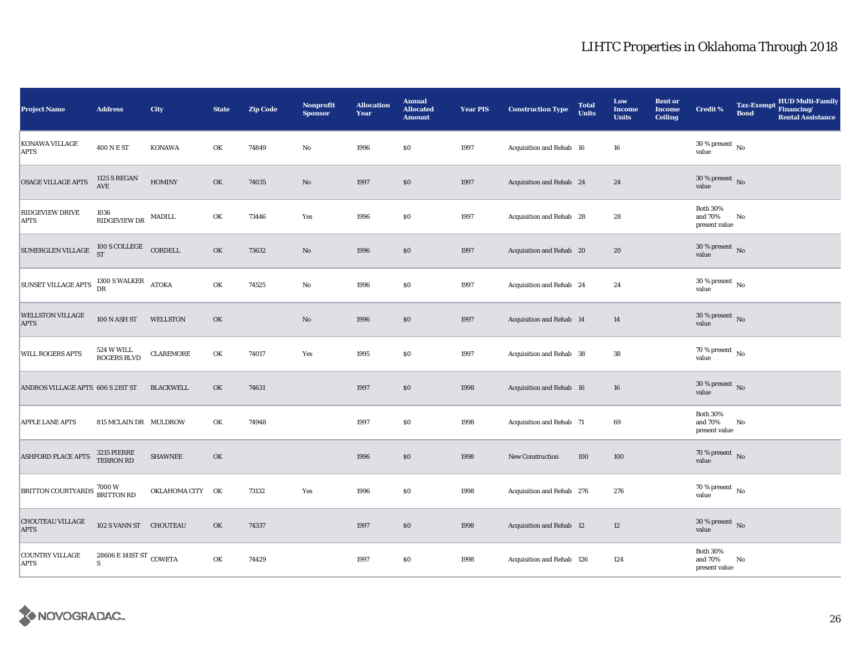| <b>Project Name</b>                                  | <b>Address</b>                                  | City             | <b>State</b> | <b>Zip Code</b> | Nonprofit<br><b>Sponsor</b> | <b>Allocation</b><br>Year | <b>Annual</b><br><b>Allocated</b><br><b>Amount</b> | <b>Year PIS</b> | <b>Construction Type</b>  | <b>Total</b><br><b>Units</b> | Low<br><b>Income</b><br><b>Units</b> | <b>Rent or</b><br><b>Income</b><br><b>Ceiling</b> | <b>Credit %</b>                             | <b>Tax-Exempt</b><br><b>Bond</b> | <b>HUD Multi-Family</b><br>Financing/<br><b>Rental Assistance</b> |
|------------------------------------------------------|-------------------------------------------------|------------------|--------------|-----------------|-----------------------------|---------------------------|----------------------------------------------------|-----------------|---------------------------|------------------------------|--------------------------------------|---------------------------------------------------|---------------------------------------------|----------------------------------|-------------------------------------------------------------------|
| KONAWA VILLAGE<br><b>APTS</b>                        | 400 N E ST                                      | <b>KONAWA</b>    | OK           | 74849           | No                          | 1996                      | \$0                                                | 1997            | Acquisition and Rehab 16  |                              | 16                                   |                                                   | $30\,\%$ present $\,$ No value              |                                  |                                                                   |
| OSAGE VILLAGE APTS                                   | <b>1125 S REGAN</b><br>$\operatorname{AVE}$     | <b>HOMINY</b>    | OK           | 74035           | $\rm No$                    | 1997                      | \$0                                                | 1997            | Acquisition and Rehab 24  |                              | 24                                   |                                                   | 30 % present $\,$ No $\,$<br>value          |                                  |                                                                   |
| <b>RIDGEVIEW DRIVE</b><br><b>APTS</b>                | 1036<br>$\mathbb{R}$ IDGEVIEW DR $\quad$ MADILL |                  | OK           | 73446           | Yes                         | 1996                      | \$0                                                | 1997            | Acquisition and Rehab 28  |                              | 28                                   |                                                   | <b>Both 30%</b><br>and 70%<br>present value | No                               |                                                                   |
| SUMERGLEN VILLAGE $^{100 \text{ S}}$ COLLEGE CORDELL |                                                 |                  | OK           | 73632           | $\rm No$                    | 1996                      | \$0                                                | 1997            | Acquisition and Rehab 20  |                              | 20                                   |                                                   | $30\,\%$ present $\,$ No value              |                                  |                                                                   |
| <b>SUNSET VILLAGE APTS</b>                           | $1300$ S WALKER $$\,{\rm ATOKA}$$ DR            |                  | OK           | 74525           | $\rm No$                    | 1996                      | \$0                                                | 1997            | Acquisition and Rehab 24  |                              | 24                                   |                                                   | $30$ % present $\,$ No $\,$<br>value        |                                  |                                                                   |
| <b>WELLSTON VILLAGE</b><br><b>APTS</b>               | 100 N ASH ST                                    | WELLSTON         | OK           |                 | $\mathbf{N}\mathbf{o}$      | 1996                      | \$0                                                | 1997            | Acquisition and Rehab 14  |                              | 14                                   |                                                   | $30\,\%$ present $\,$ No value              |                                  |                                                                   |
| WILL ROGERS APTS                                     | 524 W WILL<br>ROGERS BLVD                       | CLAREMORE        | OK           | 74017           | Yes                         | 1995                      | \$0                                                | 1997            | Acquisition and Rehab 38  |                              | ${\bf 38}$                           |                                                   | $70\%$ present $\overline{N_0}$<br>value    |                                  |                                                                   |
| ANDROS VILLAGE APTS 606 S 21ST ST                    |                                                 | <b>BLACKWELL</b> | OK           | 74631           |                             | 1997                      | \$0                                                | 1998            | Acquisition and Rehab 16  |                              | 16                                   |                                                   | $30\%$ present No<br>value                  |                                  |                                                                   |
| <b>APPLE LANE APTS</b>                               | 815 MCLAIN DR MULDROW                           |                  | OK           | 74948           |                             | 1997                      | \$0                                                | 1998            | Acquisition and Rehab 71  |                              | 69                                   |                                                   | <b>Both 30%</b><br>and 70%<br>present value | No                               |                                                                   |
| <b>ASHFORD PLACE APTS</b>                            | 3215 PIERRE<br>TERRON RD                        | <b>SHAWNEE</b>   | OK           |                 |                             | 1996                      | \$0                                                | 1998            | <b>New Construction</b>   | 100                          | 100                                  |                                                   | $70\,\%$ present $\,$ No value              |                                  |                                                                   |
| BRITTON COURTYARDS 7000 W<br>BRITTON RD              |                                                 | OKLAHOMA CITY OK |              | 73132           | Yes                         | 1996                      | \$0                                                | 1998            | Acquisition and Rehab 276 |                              | 276                                  |                                                   | $70\,\%$ present $\,$ No value              |                                  |                                                                   |
| <b>CHOUTEAU VILLAGE</b><br><b>APTS</b>               | 102 S VANN ST CHOUTEAU                          |                  | OK           | 74337           |                             | 1997                      | \$0                                                | 1998            | Acquisition and Rehab 12  |                              | $12\,$                               |                                                   | $30\,\%$ present $\,$ No value              |                                  |                                                                   |
| COUNTRY VILLAGE<br><b>APTS</b>                       | 28606 E 141ST ST COWETA<br>S                    |                  | OK           | 74429           |                             | 1997                      | \$0                                                | 1998            | Acquisition and Rehab 126 |                              | 124                                  |                                                   | <b>Both 30%</b><br>and 70%<br>present value | No                               |                                                                   |

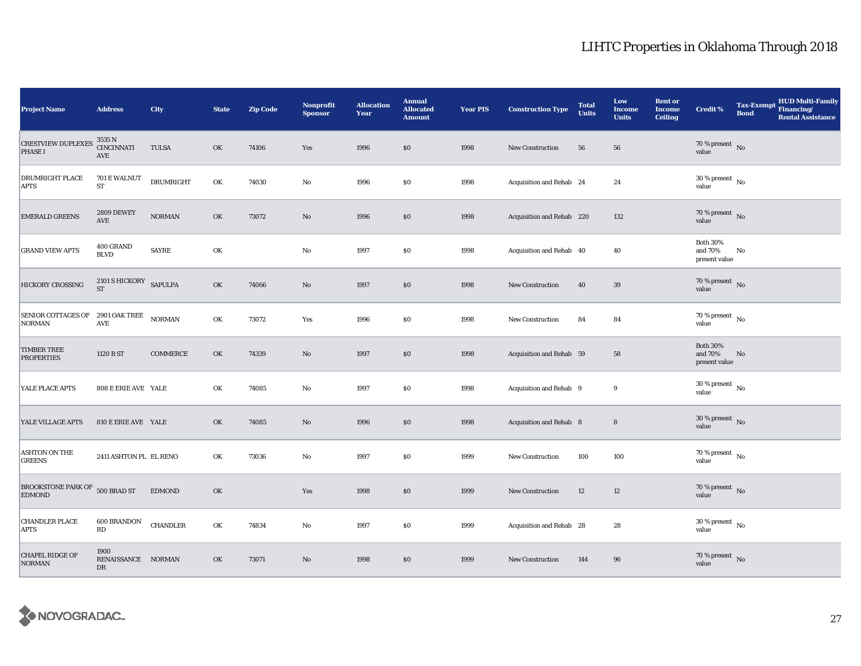| <b>Project Name</b>                                      | <b>Address</b>                                | City             | <b>State</b> | <b>Zip Code</b> | Nonprofit<br><b>Sponsor</b> | <b>Allocation</b><br>Year | <b>Annual</b><br><b>Allocated</b><br><b>Amount</b> | <b>Year PIS</b> | <b>Construction Type</b>  | <b>Total</b><br><b>Units</b> | Low<br><b>Income</b><br><b>Units</b> | <b>Rent or</b><br><b>Income</b><br><b>Ceiling</b> | Credit %                                    | <b>Tax-Exempt</b><br><b>Bond</b> | <b>HUD Multi-Family</b><br>Financing/<br><b>Rental Assistance</b> |
|----------------------------------------------------------|-----------------------------------------------|------------------|--------------|-----------------|-----------------------------|---------------------------|----------------------------------------------------|-----------------|---------------------------|------------------------------|--------------------------------------|---------------------------------------------------|---------------------------------------------|----------------------------------|-------------------------------------------------------------------|
| <b>CRESTVIEW DUPLEXES</b><br><b>PHASE I</b>              | 3535 N<br><b>CINCINNATI</b><br>AVE            | <b>TULSA</b>     | OK           | 74106           | Yes                         | 1996                      | \$0                                                | 1998            | <b>New Construction</b>   | 56                           | 56                                   |                                                   | 70 % present $\hbox{~No}$<br>value          |                                  |                                                                   |
| DRUMRIGHT PLACE<br><b>APTS</b>                           | 701 E WALNUT<br>ST                            | <b>DRUMRIGHT</b> | OK           | 74030           | $\rm No$                    | 1996                      | \$0                                                | 1998            | Acquisition and Rehab 24  |                              | 24                                   |                                                   | $30\,\%$ present $\,$ No $\,$<br>value      |                                  |                                                                   |
| <b>EMERALD GREENS</b>                                    | <b>2809 DEWEY</b><br>AVE                      | $NORMAN$         | OK           | 73072           | $\rm No$                    | 1996                      | \$0                                                | 1998            | Acquisition and Rehab 220 |                              | 132                                  |                                                   | 70 % present $\hbox{~No}$<br>value          |                                  |                                                                   |
| <b>GRAND VIEW APTS</b>                                   | 400 GRAND<br><b>BLVD</b>                      | <b>SAYRE</b>     | OK           |                 | $\mathbf {No}$              | 1997                      | \$0                                                | 1998            | Acquisition and Rehab 40  |                              | 40                                   |                                                   | <b>Both 30%</b><br>and 70%<br>present value | No                               |                                                                   |
| <b>HICKORY CROSSING</b>                                  | 2101 S HICKORY SAPULPA<br>$\operatorname{ST}$ |                  | OK           | 74066           | No                          | 1997                      | \$0                                                | 1998            | <b>New Construction</b>   | 40                           | 39                                   |                                                   | $70\,\%$ present $\,$ No value              |                                  |                                                                   |
| SENIOR COTTAGES OF 2901 OAK TREE NORMAN<br><b>NORMAN</b> | $\operatorname{AVE}$                          |                  | OK           | 73072           | Yes                         | 1996                      | \$0                                                | 1998            | New Construction          | 84                           | 84                                   |                                                   | $70$ % present $\,$ No $\,$<br>value        |                                  |                                                                   |
| <b>TIMBER TREE</b><br><b>PROPERTIES</b>                  | 1120 B ST                                     | COMMERCE         | OK           | 74339           | $\rm No$                    | 1997                      | \$0                                                | 1998            | Acquisition and Rehab 59  |                              | 58                                   |                                                   | <b>Both 30%</b><br>and 70%<br>present value | $\mathbf{No}$                    |                                                                   |
| YALE PLACE APTS                                          | 808 E ERIE AVE YALE                           |                  | OK           | 74085           | $\rm No$                    | 1997                      | \$0                                                | 1998            | Acquisition and Rehab 9   |                              | 9                                    |                                                   | $30$ % present $\,$ No $\,$<br>value        |                                  |                                                                   |
| YALE VILLAGE APTS                                        | 810 E ERIE AVE YALE                           |                  | OK           | 74085           | No                          | 1996                      | \$0                                                | 1998            | Acquisition and Rehab 8   |                              | $\bf 8$                              |                                                   | $30\,\%$ present $\,$ No value              |                                  |                                                                   |
| <b>ASHTON ON THE</b><br><b>GREENS</b>                    | 2411 ASHTON PL EL RENO                        |                  | OK           | 73036           | No                          | 1997                      | \$0                                                | 1999            | <b>New Construction</b>   | 100                          | 100                                  |                                                   | $70$ % present $\,$ No $\,$<br>value        |                                  |                                                                   |
| BROOKSTONE PARK OF 500 BRAD ST<br><b>EDMOND</b>          |                                               | <b>EDMOND</b>    | OK           |                 | Yes                         | 1998                      | \$0                                                | 1999            | New Construction          | 12                           | 12                                   |                                                   | $70\,\%$ present $\,$ No value              |                                  |                                                                   |
| <b>CHANDLER PLACE</b><br><b>APTS</b>                     | 600 BRANDON<br>RD                             | CHANDLER         | OK           | 74834           | No                          | 1997                      | \$0                                                | 1999            | Acquisition and Rehab 28  |                              | 28                                   |                                                   | $30$ % present $\,$ No $\,$<br>value        |                                  |                                                                   |
| <b>CHAPEL RIDGE OF</b><br><b>NORMAN</b>                  | 1900<br>RENAISSANCE NORMAN<br>DR              |                  | OK           | 73071           | $\mathbf{No}$               | 1998                      | \$0                                                | 1999            | <b>New Construction</b>   | 144                          | 96                                   |                                                   | $70\,\%$ present $\,$ No value              |                                  |                                                                   |

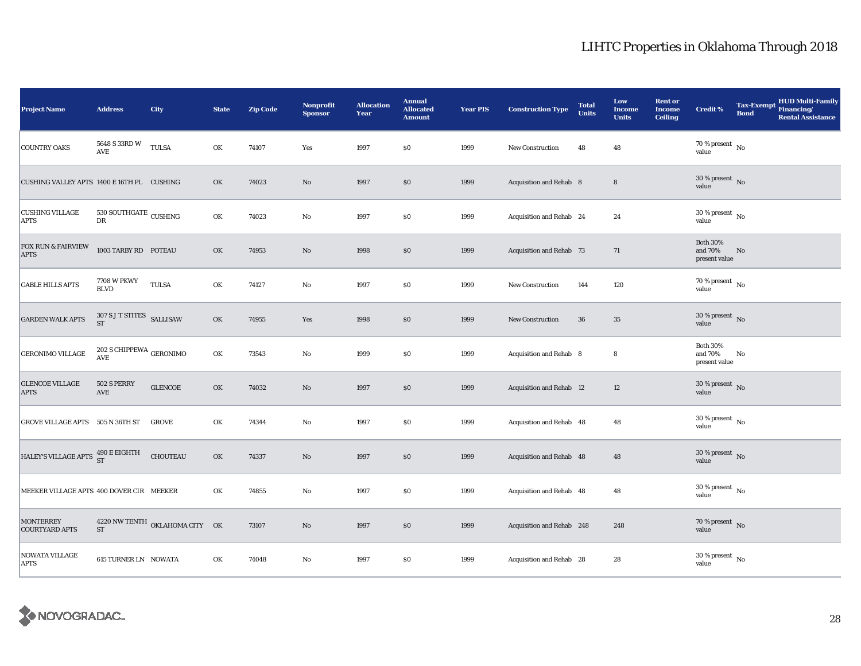| <b>Project Name</b>                          | <b>Address</b>                                   | City                           | <b>State</b> | <b>Zip Code</b> | <b>Nonprofit</b><br><b>Sponsor</b> | <b>Allocation</b><br>Year | <b>Annual</b><br><b>Allocated</b><br><b>Amount</b> | <b>Year PIS</b> | <b>Construction Type</b>  | <b>Total</b><br><b>Units</b> | Low<br><b>Income</b><br><b>Units</b> | <b>Rent or</b><br><b>Income</b><br><b>Ceiling</b> | <b>Credit %</b>                             | <b>Tax-Exempt</b><br><b>Bond</b> | <b>HUD Multi-Family</b><br>Financing/<br><b>Rental Assistance</b> |
|----------------------------------------------|--------------------------------------------------|--------------------------------|--------------|-----------------|------------------------------------|---------------------------|----------------------------------------------------|-----------------|---------------------------|------------------------------|--------------------------------------|---------------------------------------------------|---------------------------------------------|----------------------------------|-------------------------------------------------------------------|
| <b>COUNTRY OAKS</b>                          | 5648 S 33RD W<br>$\operatorname{\mathbf{AVE}}$   | <b>TULSA</b>                   | OK           | 74107           | Yes                                | 1997                      | \$0                                                | 1999            | New Construction          | 48                           | 48                                   |                                                   | 70 % present $\hbox{~No}$<br>value          |                                  |                                                                   |
| CUSHING VALLEY APTS 1400 E 16TH PL CUSHING   |                                                  |                                | OK           | 74023           | $\rm No$                           | 1997                      | \$0                                                | 1999            | Acquisition and Rehab 8   |                              | $\bf 8$                              |                                                   | $30\%$ present No<br>value                  |                                  |                                                                   |
| <b>CUSHING VILLAGE</b><br><b>APTS</b>        | 530 SOUTHGATE $_{\rm CUSHING}$<br>DR             |                                | OK           | 74023           | No                                 | 1997                      | $\$0$                                              | 1999            | Acquisition and Rehab 24  |                              | 24                                   |                                                   | $30\,\%$ present $_{\, \rm No}$<br>value    |                                  |                                                                   |
| <b>FOX RUN &amp; FAIRVIEW</b><br><b>APTS</b> | 1003 TARBY RD POTEAU                             |                                | OK           | 74953           | $\mathbf{No}$                      | 1998                      | \$0                                                | 1999            | Acquisition and Rehab 73  |                              | 71                                   |                                                   | <b>Both 30%</b><br>and 70%<br>present value | No                               |                                                                   |
| <b>GABLE HILLS APTS</b>                      | <b>7708 W PKWY</b><br><b>BLVD</b>                | TULSA                          | OK           | 74127           | No                                 | 1997                      | \$0                                                | 1999            | New Construction          | 144                          | 120                                  |                                                   | $70$ % present $\,$ No $\,$<br>value        |                                  |                                                                   |
| <b>GARDEN WALK APTS</b>                      | 307 S J T STITES SALLISAW<br>$\operatorname{ST}$ |                                | OK           | 74955           | Yes                                | 1998                      | \$0                                                | 1999            | New Construction          | 36                           | 35                                   |                                                   | 30 % present $\overline{N_0}$<br>value      |                                  |                                                                   |
| <b>GERONIMO VILLAGE</b>                      | 202 S CHIPPEWA $_{\rm GERONIMO}$<br>AVE          |                                | OK           | 73543           | $\rm No$                           | 1999                      | \$0                                                | 1999            | Acquisition and Rehab 8   |                              | 8                                    |                                                   | <b>Both 30%</b><br>and 70%<br>present value | No                               |                                                                   |
| <b>GLENCOE VILLAGE</b><br><b>APTS</b>        | 502 S PERRY<br>$\operatorname{AVE}$              | <b>GLENCOE</b>                 | OK           | 74032           | $\rm No$                           | 1997                      | $\$0$                                              | 1999            | Acquisition and Rehab 12  |                              | 12                                   |                                                   | $30$ % present $\,$ No $\,$<br>value        |                                  |                                                                   |
| GROVE VILLAGE APTS 505 N 36TH ST             |                                                  | <b>GROVE</b>                   | OK           | 74344           | $\mathbf{No}$                      | 1997                      | $\boldsymbol{\mathsf{S}}\boldsymbol{\mathsf{0}}$   | 1999            | Acquisition and Rehab 48  |                              | 48                                   |                                                   | $30\,\%$ present $_{\, \rm No}$<br>value    |                                  |                                                                   |
| HALEY'S VILLAGE APTS 490 E EIGHTH            |                                                  | <b>CHOUTEAU</b>                | OK           | 74337           | $\rm No$                           | 1997                      | \$0                                                | 1999            | Acquisition and Rehab 48  |                              | 48                                   |                                                   | $30\,\%$ present $\,$ No $\,$<br>value      |                                  |                                                                   |
| MEEKER VILLAGE APTS 400 DOVER CIR MEEKER     |                                                  |                                | OK           | 74855           | $\rm No$                           | 1997                      | \$0                                                | 1999            | Acquisition and Rehab 48  |                              | 48                                   |                                                   | $30$ % present $\,$ No $\,$<br>value        |                                  |                                                                   |
| <b>MONTERREY</b><br><b>COURTYARD APTS</b>    | ST                                               | 4220 NW TENTH OKLAHOMA CITY OK |              | 73107           | $\rm No$                           | 1997                      | \$0                                                | 1999            | Acquisition and Rehab 248 |                              | 248                                  |                                                   | 70 % present $\hbox{~No}$<br>value          |                                  |                                                                   |
| NOWATA VILLAGE<br><b>APTS</b>                | <b>615 TURNER LN NOWATA</b>                      |                                | OK           | 74048           | $\mathbf{No}$                      | 1997                      | \$0                                                | 1999            | Acquisition and Rehab 28  |                              | 28                                   |                                                   | $30$ % present $\,$ No $\,$<br>value        |                                  |                                                                   |

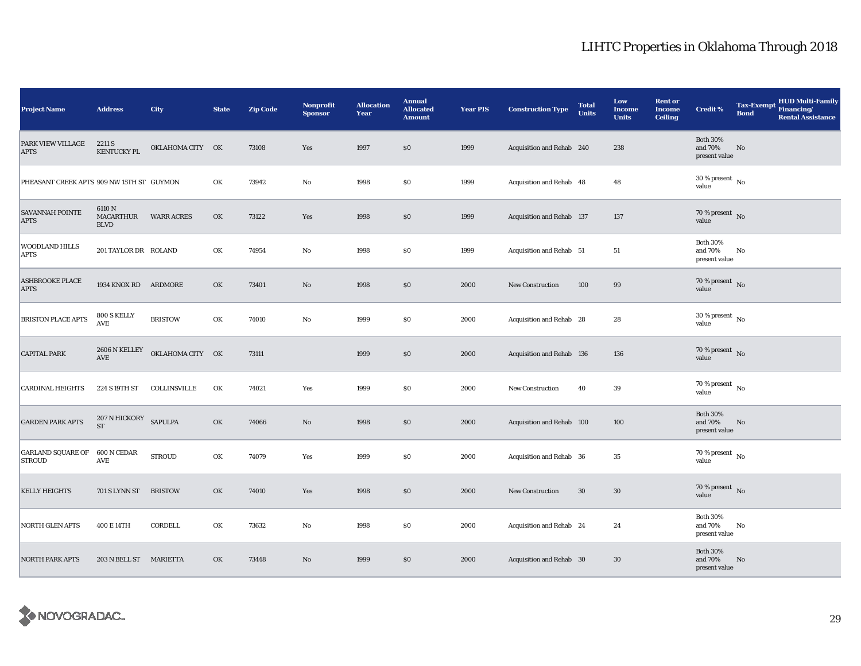| <b>Project Name</b>                       | <b>Address</b>                      | City              | <b>State</b> | <b>Zip Code</b> | <b>Nonprofit</b><br><b>Sponsor</b> | <b>Allocation</b><br>Year | <b>Annual</b><br><b>Allocated</b><br><b>Amount</b> | <b>Year PIS</b> | <b>Construction Type</b>  | <b>Total</b><br><b>Units</b> | Low<br><b>Income</b><br><b>Units</b> | <b>Rent or</b><br><b>Income</b><br><b>Ceiling</b> | <b>Credit %</b>                             | <b>Tax-Exempt</b><br><b>Bond</b> | HUD Multi-Family<br>Financing/<br><b>Rental Assistance</b> |
|-------------------------------------------|-------------------------------------|-------------------|--------------|-----------------|------------------------------------|---------------------------|----------------------------------------------------|-----------------|---------------------------|------------------------------|--------------------------------------|---------------------------------------------------|---------------------------------------------|----------------------------------|------------------------------------------------------------|
| PARK VIEW VILLAGE<br><b>APTS</b>          | 2211 S<br><b>KENTUCKY PL</b>        | OKLAHOMA CITY OK  |              | 73108           | Yes                                | 1997                      | \$0                                                | 1999            | Acquisition and Rehab 240 |                              | 238                                  |                                                   | <b>Both 30%</b><br>and 70%<br>present value | No                               |                                                            |
| PHEASANT CREEK APTS 909 NW 15TH ST GUYMON |                                     |                   | OK           | 73942           | $\rm No$                           | 1998                      | \$0                                                | 1999            | Acquisition and Rehab 48  |                              | 48                                   |                                                   | $30\,\%$ present $_{\, \rm No}$<br>value    |                                  |                                                            |
| <b>SAVANNAH POINTE</b><br><b>APTS</b>     | 6110 N<br>MACARTHUR<br><b>BLVD</b>  | <b>WARR ACRES</b> | OK           | 73122           | Yes                                | 1998                      | \$0                                                | 1999            | Acquisition and Rehab 137 |                              | 137                                  |                                                   | 70 % present $\hbox{~No}$<br>value          |                                  |                                                            |
| <b>WOODLAND HILLS</b><br><b>APTS</b>      | 201 TAYLOR DR ROLAND                |                   | OK           | 74954           | No                                 | 1998                      | \$0                                                | 1999            | Acquisition and Rehab 51  |                              | 51                                   |                                                   | <b>Both 30%</b><br>and 70%<br>present value | No                               |                                                            |
| <b>ASHBROOKE PLACE</b><br><b>APTS</b>     | 1934 KNOX RD ARDMORE                |                   | OK           | 73401           | $\rm No$                           | 1998                      | $\$0$                                              | 2000            | New Construction          | 100                          | 99                                   |                                                   | 70 % present $\,$ No $\,$<br>value          |                                  |                                                            |
| <b>BRISTON PLACE APTS</b>                 | 800 S KELLY<br>$\operatorname{AVE}$ | <b>BRISTOW</b>    | OK           | 74010           | $\rm No$                           | 1999                      | \$0                                                | 2000            | Acquisition and Rehab 28  |                              | 28                                   |                                                   | 30 % present $\,$ No $\,$<br>value          |                                  |                                                            |
| <b>CAPITAL PARK</b>                       | 2606 N KELLEY<br>AVE                | OKLAHOMA CITY OK  |              | 73111           |                                    | 1999                      | $\$0$                                              | 2000            | Acquisition and Rehab 136 |                              | 136                                  |                                                   | $70\,\%$ present $\,$ No value              |                                  |                                                            |
| <b>CARDINAL HEIGHTS</b>                   | 224 S 19TH ST                       | COLLINSVILLE      | OK           | 74021           | Yes                                | 1999                      | \$0                                                | 2000            | New Construction          | 40                           | 39                                   |                                                   | $70\%$ present $\overline{N_0}$<br>value    |                                  |                                                            |
| <b>GARDEN PARK APTS</b>                   | $207$ N HICKORY SAPULPA ST          |                   | OK           | 74066           | No                                 | 1998                      | $\$0$                                              | 2000            | Acquisition and Rehab 100 |                              | 100                                  |                                                   | <b>Both 30%</b><br>and 70%<br>present value | No                               |                                                            |
| <b>GARLAND SQUARE OF</b><br><b>STROUD</b> | 600 N CEDAR<br>AVE                  | <b>STROUD</b>     | OK           | 74079           | Yes                                | 1999                      | \$0                                                | 2000            | Acquisition and Rehab 36  |                              | 35                                   |                                                   | $70$ % present $\,$ No $\,$<br>value        |                                  |                                                            |
| <b>KELLY HEIGHTS</b>                      | 701 S LYNN ST                       | <b>BRISTOW</b>    | OK           | 74010           | Yes                                | 1998                      | \$0                                                | 2000            | New Construction          | 30                           | 30                                   |                                                   | 70 % present $\hbox{~No}$<br>value          |                                  |                                                            |
| <b>NORTH GLEN APTS</b>                    | 400 E 14TH                          | CORDELL           | OK           | 73632           | No                                 | 1998                      | \$0                                                | 2000            | Acquisition and Rehab 24  |                              | 24                                   |                                                   | <b>Both 30%</b><br>and 70%<br>present value | No                               |                                                            |
| <b>NORTH PARK APTS</b>                    | 203 N BELL ST MARIETTA              |                   | OK           | 73448           | No                                 | 1999                      | \$0                                                | 2000            | Acquisition and Rehab 30  |                              | 30                                   |                                                   | <b>Both 30%</b><br>and 70%<br>present value | No                               |                                                            |

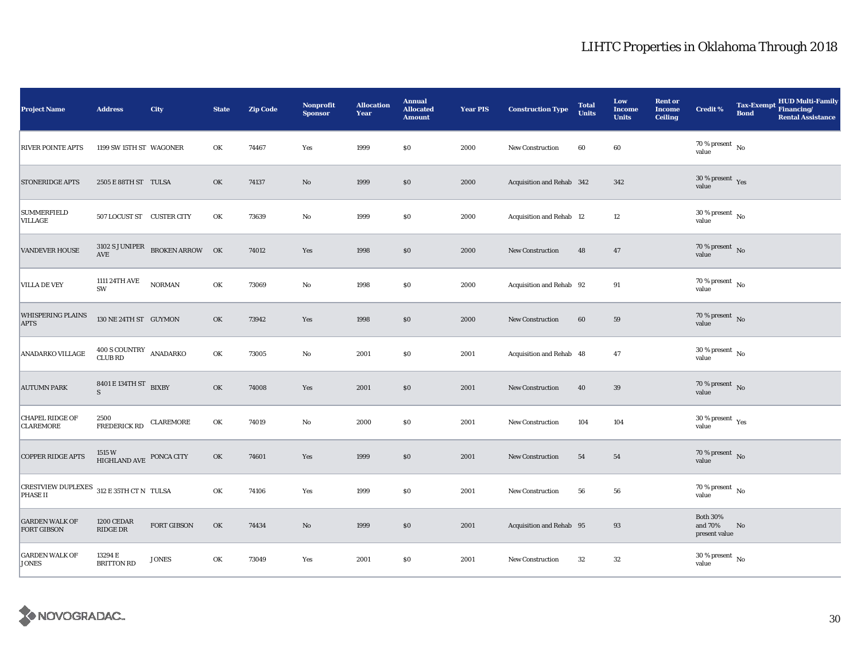| <b>Project Name</b>                                         | <b>Address</b>                                  | City                                               | <b>State</b> | <b>Zip Code</b> | <b>Nonprofit</b><br><b>Sponsor</b> | <b>Allocation</b><br>Year | <b>Annual</b><br><b>Allocated</b><br><b>Amount</b> | <b>Year PIS</b> | <b>Construction Type</b>  | <b>Total</b><br><b>Units</b> | Low<br><b>Income</b><br><b>Units</b> | <b>Rent or</b><br><b>Income</b><br><b>Ceiling</b> | Credit %                                    | <b>Tax-Exempt</b><br><b>Bond</b> | <b>HUD Multi-Family</b><br>Financing/<br><b>Rental Assistance</b> |
|-------------------------------------------------------------|-------------------------------------------------|----------------------------------------------------|--------------|-----------------|------------------------------------|---------------------------|----------------------------------------------------|-----------------|---------------------------|------------------------------|--------------------------------------|---------------------------------------------------|---------------------------------------------|----------------------------------|-------------------------------------------------------------------|
| <b>RIVER POINTE APTS</b>                                    | 1199 SW 15TH ST WAGONER                         |                                                    | OK           | 74467           | Yes                                | 1999                      | \$0                                                | 2000            | <b>New Construction</b>   | 60                           | 60                                   |                                                   | $70$ % present $\,$ No $\,$<br>value        |                                  |                                                                   |
| <b>STONERIDGE APTS</b>                                      | 2505 E 88TH ST TULSA                            |                                                    | OK           | 74137           | $\rm No$                           | 1999                      | \$0                                                | 2000            | Acquisition and Rehab 342 |                              | 342                                  |                                                   | $30\,\%$ present $\,$ Yes value             |                                  |                                                                   |
| <b>SUMMERFIELD</b><br><b>VILLAGE</b>                        | 507 LOCUST ST CUSTER CITY                       |                                                    | OK           | 73639           | $\rm No$                           | 1999                      | \$0                                                | 2000            | Acquisition and Rehab 12  |                              | $12\,$                               |                                                   | $30$ % present $\,$ No $\,$<br>value        |                                  |                                                                   |
| <b>VANDEVER HOUSE</b>                                       |                                                 | $3102$ S JUNIPER $$\sf BROKEN\; ARROW$$ $$\sf OK$$ |              | 74012           | Yes                                | 1998                      | $\$0$                                              | 2000            | <b>New Construction</b>   | 48                           | 47                                   |                                                   | $70\,\%$ present $\,$ No value              |                                  |                                                                   |
| <b>VILLA DE VEY</b>                                         | 1111 24TH AVE<br>SW                             | <b>NORMAN</b>                                      | OK           | 73069           | No                                 | 1998                      | \$0                                                | 2000            | Acquisition and Rehab 92  |                              | 91                                   |                                                   | $70\,\%$ present $\,$ No value              |                                  |                                                                   |
| <b>WHISPERING PLAINS</b><br><b>APTS</b>                     | 130 NE 24TH ST GUYMON                           |                                                    | OK           | 73942           | Yes                                | 1998                      | \$0                                                | 2000            | New Construction          | 60                           | 59                                   |                                                   | 70 % present $\hbox{~No}$<br>value          |                                  |                                                                   |
| ANADARKO VILLAGE                                            | $400$ S COUNTRY ANADARKO CLUB RD                |                                                    | OK           | 73005           | $\rm No$                           | 2001                      | \$0                                                | 2001            | Acquisition and Rehab 48  |                              | 47                                   |                                                   | $30$ % present $\,$ No $\,$<br>value        |                                  |                                                                   |
| <b>AUTUMN PARK</b>                                          | 8401 E 134TH ST BIXBY<br>$\overline{S}$         |                                                    | OK           | 74008           | Yes                                | 2001                      | \$0                                                | 2001            | New Construction          | 40                           | 39                                   |                                                   | 70 % present $\,$ No $\,$<br>value          |                                  |                                                                   |
| <b>CHAPEL RIDGE OF</b><br><b>CLAREMORE</b>                  | 2500<br><b>FREDERICK RD</b>                     | CLAREMORE                                          | OK           | 74019           | No                                 | 2000                      | \$0                                                | 2001            | <b>New Construction</b>   | 104                          | 104                                  |                                                   | $30\,\%$ present $\,$ Yes value             |                                  |                                                                   |
| <b>COPPER RIDGE APTS</b>                                    | $1515\,\mathrm{W}$ HIGHLAND AVE $\,$ PONCA CITY |                                                    | OK           | 74601           | Yes                                | 1999                      | \$0                                                | 2001            | <b>New Construction</b>   | 54                           | 54                                   |                                                   | $70\,\%$ present $\,$ No value              |                                  |                                                                   |
| CRESTVIEW DUPLEXES 312 E 35TH CT N TULSA<br><b>PHASE II</b> |                                                 |                                                    | OK           | 74106           | Yes                                | 1999                      | \$0                                                | 2001            | New Construction          | 56                           | 56                                   |                                                   | 70 % present $\hbox{~No}$<br>value          |                                  |                                                                   |
| <b>GARDEN WALK OF</b><br><b>FORT GIBSON</b>                 | 1200 CEDAR<br>RIDGE DR                          | <b>FORT GIBSON</b>                                 | OK           | 74434           | No                                 | 1999                      | \$0                                                | 2001            | Acquisition and Rehab 95  |                              | 93                                   |                                                   | <b>Both 30%</b><br>and 70%<br>present value | No                               |                                                                   |
| <b>GARDEN WALK OF</b><br><b>JONES</b>                       | 13294 E<br><b>BRITTON RD</b>                    | <b>JONES</b>                                       | OK           | 73049           | Yes                                | 2001                      | \$0                                                | 2001            | New Construction          | $32\,$                       | 32                                   |                                                   | $30\,\%$ present $\,$ No value              |                                  |                                                                   |

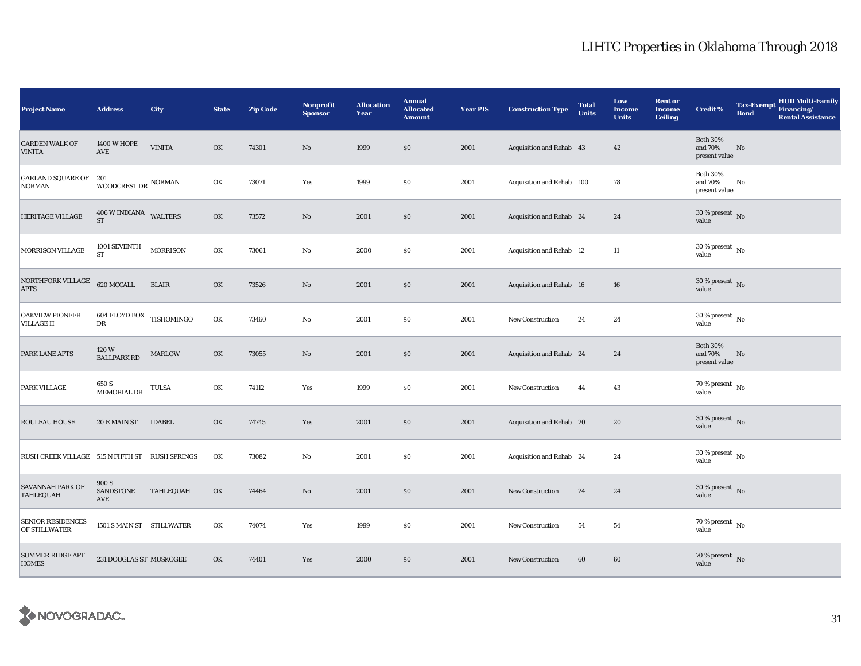| <b>Project Name</b>                              | <b>Address</b>                             | City            | <b>State</b> | <b>Zip Code</b> | Nonprofit<br><b>Sponsor</b> | <b>Allocation</b><br>Year | <b>Annual</b><br><b>Allocated</b><br><b>Amount</b> | <b>Year PIS</b> | <b>Construction Type</b>  | <b>Total</b><br><b>Units</b> | Low<br><b>Income</b><br><b>Units</b> | <b>Rent or</b><br><b>Income</b><br><b>Ceiling</b> | <b>Credit %</b>                             | <b>Tax-Exempt</b><br><b>Bond</b> | HUD Multi-Family<br>Financing/<br><b>Rental Assistance</b> |
|--------------------------------------------------|--------------------------------------------|-----------------|--------------|-----------------|-----------------------------|---------------------------|----------------------------------------------------|-----------------|---------------------------|------------------------------|--------------------------------------|---------------------------------------------------|---------------------------------------------|----------------------------------|------------------------------------------------------------|
| <b>GARDEN WALK OF</b><br><b>VINITA</b>           | <b>1400 W HOPE</b><br>$\operatorname{AVE}$ | <b>VINITA</b>   | OK           | 74301           | $\rm No$                    | 1999                      | $\$0$                                              | 2001            | Acquisition and Rehab 43  |                              | 42                                   |                                                   | <b>Both 30%</b><br>and 70%<br>present value | No                               |                                                            |
| <b>GARLAND SQUARE OF</b><br><b>NORMAN</b>        | 201<br>WOODCREST DR $\,$ NORMAN            |                 | OK           | 73071           | Yes                         | 1999                      | $\$0$                                              | 2001            | Acquisition and Rehab 100 |                              | 78                                   |                                                   | <b>Both 30%</b><br>and 70%<br>present value | No                               |                                                            |
| <b>HERITAGE VILLAGE</b>                          | 406 W INDIANA WALTERS<br><b>ST</b>         |                 | OK           | 73572           | $\rm No$                    | 2001                      | \$0                                                | 2001            | Acquisition and Rehab 24  |                              | 24                                   |                                                   | $30$ % present $\,$ No $\,$<br>value        |                                  |                                                            |
| MORRISON VILLAGE                                 | 1001 SEVENTH<br><b>ST</b>                  | <b>MORRISON</b> | OK           | 73061           | No                          | 2000                      | \$0                                                | 2001            | Acquisition and Rehab 12  |                              | $11\,$                               |                                                   | $30\,\%$ present $\,$ No value              |                                  |                                                            |
| NORTHFORK VILLAGE<br><b>APTS</b>                 | 620 MCCALL                                 | <b>BLAIR</b>    | OK           | 73526           | $\rm No$                    | 2001                      | \$0                                                | 2001            | Acquisition and Rehab 16  |                              | 16                                   |                                                   | $30\,\%$ present $\,$ No value              |                                  |                                                            |
| <b>OAKVIEW PIONEER</b><br><b>VILLAGE II</b>      | $604$ FLOYD BOX $\,$ TISHOMINGO $\,$<br>DR |                 | OK           | 73460           | $\rm No$                    | 2001                      | \$0                                                | 2001            | New Construction          | 24                           | 24                                   |                                                   | $30\,\%$ present $\,$ No $\,$<br>value      |                                  |                                                            |
| PARK LANE APTS                                   | 120W<br><b>BALLPARK RD</b>                 | <b>MARLOW</b>   | OK           | 73055           | $\rm No$                    | 2001                      | \$0                                                | 2001            | Acquisition and Rehab 24  |                              | 24                                   |                                                   | <b>Both 30%</b><br>and 70%<br>present value | $\mathbf{No}$                    |                                                            |
| PARK VILLAGE                                     | 650 S<br>MEMORIAL DR                       | TULSA           | OK           | 74112           | Yes                         | 1999                      | $\$0$                                              | 2001            | New Construction          | 44                           | $\bf 43$                             |                                                   | 70 % present $\,$ No $\,$<br>value          |                                  |                                                            |
| ROULEAU HOUSE                                    | 20 E MAIN ST                               | <b>IDABEL</b>   | OK           | 74745           | Yes                         | 2001                      | \$0                                                | 2001            | Acquisition and Rehab 20  |                              | 20                                   |                                                   | $30\,\%$ present $\,$ No value              |                                  |                                                            |
| RUSH CREEK VILLAGE 515 N FIFTH ST RUSH SPRINGS   |                                            |                 | OK           | 73082           | No                          | 2001                      | $\$0$                                              | 2001            | Acquisition and Rehab 24  |                              | 24                                   |                                                   | $30\,\%$ present $\,$ No $\,$<br>value      |                                  |                                                            |
| <b>SAVANNAH PARK OF</b><br><b>TAHLEQUAH</b>      | 900 S<br><b>SANDSTONE</b><br>AVE           | TAHLEQUAH       | OK           | 74464           | $\rm No$                    | 2001                      | $\$0$                                              | 2001            | New Construction          | 24                           | 24                                   |                                                   | $30\,\%$ present $\,$ No value              |                                  |                                                            |
| <b>SENIOR RESIDENCES</b><br><b>OF STILLWATER</b> | 1501 S MAIN ST STILLWATER                  |                 | OK           | 74074           | Yes                         | 1999                      | \$0                                                | 2001            | <b>New Construction</b>   | 54                           | 54                                   |                                                   | 70 % present $\hbox{~No}$<br>value          |                                  |                                                            |
| <b>SUMMER RIDGE APT</b><br><b>HOMES</b>          | 231 DOUGLAS ST MUSKOGEE                    |                 | OK           | 74401           | Yes                         | 2000                      | $\$0$                                              | 2001            | New Construction          | 60                           | 60                                   |                                                   | $70\,\%$ present $\,$ No value              |                                  |                                                            |

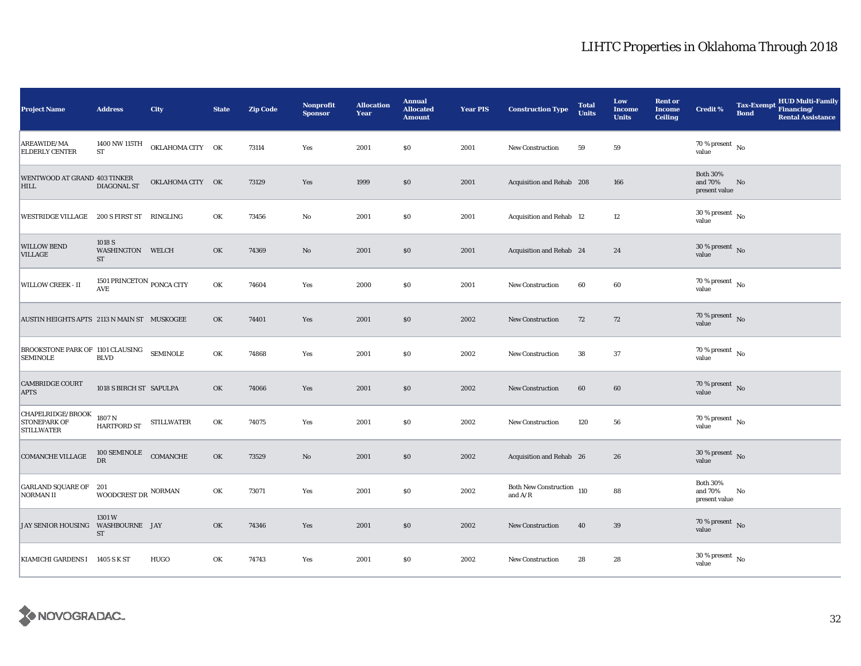| <b>Project Name</b>                                           | <b>Address</b>                          | City              | <b>State</b> | <b>Zip Code</b> | <b>Nonprofit</b><br><b>Sponsor</b> | <b>Allocation</b><br>Year | <b>Annual</b><br><b>Allocated</b><br><b>Amount</b> | <b>Year PIS</b> | <b>Construction Type</b>                         | <b>Total</b><br><b>Units</b> | Low<br><b>Income</b><br><b>Units</b> | <b>Rent or</b><br><b>Income</b><br><b>Ceiling</b> | Credit %                                    | <b>Tax-Exempt</b><br><b>Bond</b> | <b>HUD Multi-Family</b><br>Financing/<br><b>Rental Assistance</b> |
|---------------------------------------------------------------|-----------------------------------------|-------------------|--------------|-----------------|------------------------------------|---------------------------|----------------------------------------------------|-----------------|--------------------------------------------------|------------------------------|--------------------------------------|---------------------------------------------------|---------------------------------------------|----------------------------------|-------------------------------------------------------------------|
| AREAWIDE/MA<br><b>ELDERLY CENTER</b>                          | 1400 NW 115TH<br>${\rm ST}$             | OKLAHOMA CITY OK  |              | 73114           | Yes                                | 2001                      | \$0                                                | 2001            | <b>New Construction</b>                          | 59                           | 59                                   |                                                   | $70\,\%$ present $\,$ No $\,$<br>value      |                                  |                                                                   |
| WENTWOOD AT GRAND 403 TINKER<br><b>HILL</b>                   | DIAGONAL ST                             | OKLAHOMA CITY OK  |              | 73129           | Yes                                | 1999                      | \$0                                                | 2001            | Acquisition and Rehab 208                        |                              | 166                                  |                                                   | <b>Both 30%</b><br>and 70%<br>present value | No                               |                                                                   |
| WESTRIDGE VILLAGE 200 S FIRST ST RINGLING                     |                                         |                   | OK           | 73456           | $\mathbf{No}$                      | 2001                      | \$0                                                | 2001            | Acquisition and Rehab 12                         |                              | 12                                   |                                                   | $30$ % present $\,$ No $\,$<br>value        |                                  |                                                                   |
| <b>WILLOW BEND</b><br><b>VILLAGE</b>                          | 1018 S<br>WASHINGTON WELCH<br><b>ST</b> |                   | OK           | 74369           | $\mathbf{N}\mathbf{o}$             | 2001                      | \$0                                                | 2001            | Acquisition and Rehab 24                         |                              | 24                                   |                                                   | $30\,\%$ present $\,$ No value              |                                  |                                                                   |
| WILLOW CREEK - II                                             | 1501 PRINCETON PONCA CITY<br><b>AVE</b> |                   | OK           | 74604           | Yes                                | 2000                      | \$0                                                | 2001            | <b>New Construction</b>                          | 60                           | 60                                   |                                                   | 70 % present $\hbox{~No}$<br>value          |                                  |                                                                   |
| AUSTIN HEIGHTS APTS 2113 N MAIN ST MUSKOGEE                   |                                         |                   | OK           | 74401           | Yes                                | 2001                      | \$0                                                | 2002            | New Construction                                 | 72                           | 72                                   |                                                   | $70\,\%$ present $\,$ No value              |                                  |                                                                   |
| BROOKSTONE PARK OF 1101 CLAUSING<br><b>SEMINOLE</b>           | <b>BLVD</b>                             | <b>SEMINOLE</b>   | OK           | 74868           | Yes                                | 2001                      | \$0                                                | 2002            | <b>New Construction</b>                          | 38                           | 37                                   |                                                   | $70\%$ present $\overline{N_0}$<br>value    |                                  |                                                                   |
| <b>CAMBRIDGE COURT</b><br><b>APTS</b>                         | 1018 S BIRCH ST SAPULPA                 |                   | OK           | 74066           | Yes                                | 2001                      | \$0                                                | 2002            | New Construction                                 | 60                           | 60                                   |                                                   | $70\%$ present No<br>value                  |                                  |                                                                   |
| CHAPELRIDGE/BROOK<br><b>STONEPARK OF</b><br><b>STILLWATER</b> | 1807 <sub>N</sub><br>HARTFORD ST        | <b>STILLWATER</b> | OK           | 74075           | Yes                                | 2001                      | \$0                                                | 2002            | <b>New Construction</b>                          | 120                          | 56                                   |                                                   | $70$ % present $\,$ No $\,$<br>value        |                                  |                                                                   |
| $\operatorname{COMANCHE}\nolimits$ VILLAGE                    | $100$ SEMINOLE $\quad$ COMANCHE<br>DR   |                   | OK           | 73529           | $\mathbf{N}\mathbf{o}$             | 2001                      | \$0                                                | 2002            | Acquisition and Rehab 26                         |                              | 26                                   |                                                   | $30\,\%$ present $\,$ No value              |                                  |                                                                   |
| GARLAND SQUARE OF 201<br>NORMAN II                            | WOODCREST DR $\,$ NORMAN                |                   | OK           | 73071           | Yes                                | 2001                      | \$0                                                | 2002            | Both New Construction $\,$ 110 $\,$ and A/R $\,$ |                              | 88                                   |                                                   | <b>Both 30%</b><br>and 70%<br>present value | No                               |                                                                   |
| JAY SENIOR HOUSING WASHBOURNE JAY                             | 1301W<br><b>ST</b>                      |                   | OK           | 74346           | Yes                                | 2001                      | \$0                                                | 2002            | <b>New Construction</b>                          | 40                           | $39\,$                               |                                                   | $70\,\%$ present $\,$ No value              |                                  |                                                                   |
| KIAMICHI GARDENS I 1405 S K ST                                |                                         | HUGO              | OK           | 74743           | Yes                                | 2001                      | \$0                                                | 2002            | New Construction                                 | 28                           | 28                                   |                                                   | 30 % present $\overline{N_0}$<br>value      |                                  |                                                                   |

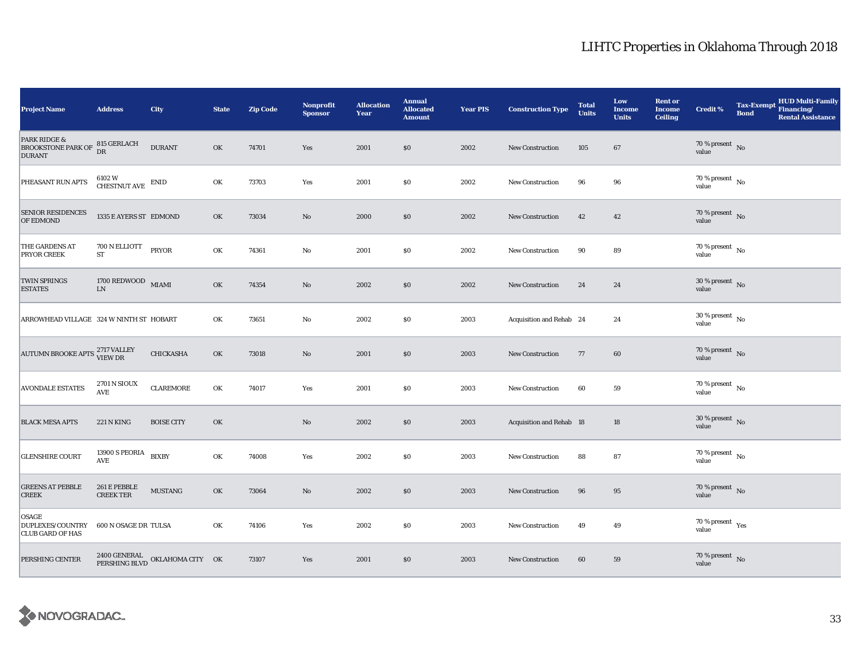| <b>Project Name</b>                                                   | <b>Address</b>                                       | <b>City</b>                                   | <b>State</b> | <b>Zip Code</b> | <b>Nonprofit</b><br><b>Sponsor</b> | <b>Allocation</b><br>Year | <b>Annual</b><br><b>Allocated</b><br><b>Amount</b> | <b>Year PIS</b> | <b>Construction Type</b>        | <b>Total</b><br><b>Units</b> | Low<br><b>Income</b><br><b>Units</b> | <b>Rent or</b><br><b>Income</b><br><b>Ceiling</b> | <b>Credit %</b>                             | <b>Tax-Exempt</b><br><b>Bond</b> | <b>HUD Multi-Family</b><br>Financing/<br><b>Rental Assistance</b> |
|-----------------------------------------------------------------------|------------------------------------------------------|-----------------------------------------------|--------------|-----------------|------------------------------------|---------------------------|----------------------------------------------------|-----------------|---------------------------------|------------------------------|--------------------------------------|---------------------------------------------------|---------------------------------------------|----------------------------------|-------------------------------------------------------------------|
| <b>PARK RIDGE &amp;</b><br><b>BROOKSTONE PARK OF</b><br><b>DURANT</b> | 815 GERLACH<br><b>DR</b>                             | <b>DURANT</b>                                 | OK           | 74701           | Yes                                | 2001                      | \$0                                                | 2002            | <b>New Construction</b>         | 105                          | 67                                   |                                                   | $70\,\%$ present $\,$ No value              |                                  |                                                                   |
| PHEASANT RUN APTS                                                     | $6102~\mathrm{W}$ $$\rm CHESTNUT\; AVE$$ $$\rm END$$ |                                               | OK           | 73703           | Yes                                | 2001                      | \$0                                                | 2002            | New Construction                | 96                           | 96                                   |                                                   | $70$ % present $\,$ No $\,$<br>value        |                                  |                                                                   |
| <b>SENIOR RESIDENCES</b><br>OF EDMOND                                 | 1335 E AYERS ST EDMOND                               |                                               | OK           | 73034           | $\mathbf{No}$                      | 2000                      | \$0                                                | 2002            | New Construction                | 42                           | 42                                   |                                                   | $70\,\%$ present $\,$ No value              |                                  |                                                                   |
| THE GARDENS AT<br>PRYOR CREEK                                         | 700 N ELLIOTT<br>${\rm ST}$                          | PRYOR                                         | OK           | 74361           | $\mathbf{No}$                      | 2001                      | \$0                                                | 2002            | <b>New Construction</b>         | 90                           | 89                                   |                                                   | $70\,\%$ present $\,$ No value              |                                  |                                                                   |
| <b>TWIN SPRINGS</b><br><b>ESTATES</b>                                 | $1700$ REDWOOD $$\rm MIAMI$$<br>${\rm LN}$           |                                               | OK           | 74354           | $\mathbf{N}\mathbf{o}$             | 2002                      | \$0                                                | 2002            | <b>New Construction</b>         | 24                           | 24                                   |                                                   | $30\,\%$ present $\,$ No value              |                                  |                                                                   |
| ARROWHEAD VILLAGE 324 W NINTH ST HOBART                               |                                                      |                                               | OK           | 73651           | No                                 | 2002                      | \$0                                                | 2003            | Acquisition and Rehab 24        |                              | 24                                   |                                                   | $30\,\%$ present $_{\, \rm No}$<br>value    |                                  |                                                                   |
| AUTUMN BROOKE APTS <sup>2717</sup> VALLEY                             |                                                      | CHICKASHA                                     | OK           | 73018           | $\mathbf{N}\mathbf{o}$             | 2001                      | \$0                                                | 2003            | New Construction                | 77                           | 60                                   |                                                   | $70\,\%$ present $\,$ No value              |                                  |                                                                   |
| <b>AVONDALE ESTATES</b>                                               | <b>2701 N SIOUX</b><br><b>AVE</b>                    | ${\tt CLARE MORE}$                            | OK           | 74017           | Yes                                | 2001                      | \$0                                                | 2003            | New Construction                | 60                           | 59                                   |                                                   | 70 % present $\,$ No $\,$<br>value          |                                  |                                                                   |
| <b>BLACK MESA APTS</b>                                                | <b>221 N KING</b>                                    | <b>BOISE CITY</b>                             | OK           |                 | No                                 | 2002                      | \$0                                                | 2003            | <b>Acquisition and Rehab 18</b> |                              | 18                                   |                                                   | $30\,\%$ present $\,$ No value              |                                  |                                                                   |
| <b>GLENSHIRE COURT</b>                                                | 13900 S PEORIA BIXBY<br>AVE                          |                                               | OK           | 74008           | Yes                                | 2002                      | \$0                                                | 2003            | <b>New Construction</b>         | 88                           | 87                                   |                                                   | $70$ % present $\,$ No $\,$<br>value        |                                  |                                                                   |
| <b>GREENS AT PEBBLE</b><br><b>CREEK</b>                               | 261 E PEBBLE<br><b>CREEK TER</b>                     | <b>MUSTANG</b>                                | OK           | 73064           | $\mathbf{N}\mathbf{o}$             | 2002                      | \$0                                                | 2003            | New Construction                | 96                           | 95                                   |                                                   | $70\,\%$ present $\,$ No value              |                                  |                                                                   |
| OSAGE<br><b>DUPLEXES/COUNTRY</b><br><b>CLUB GARD OF HAS</b>           | 600 N OSAGE DR TULSA                                 |                                               | OK           | 74106           | Yes                                | 2002                      | \$0                                                | 2003            | <b>New Construction</b>         | 49                           | 49                                   |                                                   | 70 % present $\rm\thinspace_{Yes}$<br>value |                                  |                                                                   |
| PERSHING CENTER                                                       |                                                      | $2400$ GENERAL OKLAHOMA CITY OK PERSHING BLVD |              | 73107           | Yes                                | 2001                      | \$0                                                | 2003            | New Construction                | 60                           | 59                                   |                                                   | $70\,\%$ present $\,$ No value              |                                  |                                                                   |

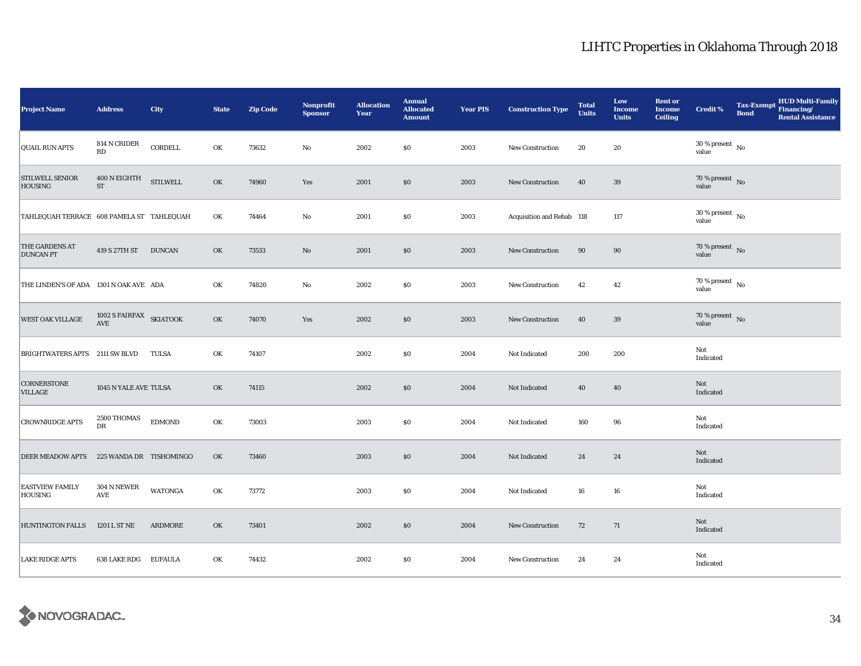| <b>Project Name</b>                       | <b>Address</b>                                  | City                   | <b>State</b> | <b>Zip Code</b> | <b>Nonprofit</b><br><b>Sponsor</b> | <b>Allocation</b><br>Year | <b>Annual</b><br><b>Allocated</b><br><b>Amount</b> | <b>Year PIS</b> | <b>Construction Type</b>  | <b>Total</b><br><b>Units</b> | Low<br><b>Income</b><br><b>Units</b> | <b>Rent or</b><br><b>Income</b><br><b>Ceiling</b> | <b>Credit %</b>                      | <b>Tax-Exempt</b><br><b>Bond</b> | <b>HUD Multi-Family</b><br>Financing/<br><b>Rental Assistance</b> |
|-------------------------------------------|-------------------------------------------------|------------------------|--------------|-----------------|------------------------------------|---------------------------|----------------------------------------------------|-----------------|---------------------------|------------------------------|--------------------------------------|---------------------------------------------------|--------------------------------------|----------------------------------|-------------------------------------------------------------------|
| <b>QUAIL RUN APTS</b>                     | 814 N CRIDER<br>RD                              | CORDELL                | OK           | 73632           | $\rm No$                           | 2002                      | \$0                                                | 2003            | New Construction          | 20                           | 20                                   |                                                   | $30$ % present $\,$ No $\,$<br>value |                                  |                                                                   |
| <b>STILWELL SENIOR</b><br>HOUSING         | 400 N EIGHTH<br>${\rm ST}$                      | <b>STILWELL</b>        | OK           | 74960           | Yes                                | 2001                      | \$0                                                | 2003            | New Construction          | 40                           | 39                                   |                                                   | $70\,\%$ present $\,$ No value       |                                  |                                                                   |
| TAHLEQUAH TERRACE 608 PAMELA ST TAHLEQUAH |                                                 |                        | OK           | 74464           | $\rm No$                           | 2001                      | \$0                                                | 2003            | Acquisition and Rehab 118 |                              | 117                                  |                                                   | $30\,\%$ present $\,$ No value       |                                  |                                                                   |
| THE GARDENS AT<br><b>DUNCAN PT</b>        | 419 S 27TH ST DUNCAN                            |                        | OK           | 73533           | No                                 | 2001                      | \$0                                                | 2003            | <b>New Construction</b>   | 90                           | 90                                   |                                                   | $70\,\%$ present $${\rm No}$$ value  |                                  |                                                                   |
| THE LINDEN'S OF ADA 1301 N OAK AVE ADA    |                                                 |                        | OK           | 74820           | No                                 | 2002                      | \$0                                                | 2003            | New Construction          | 42                           | 42                                   |                                                   | $70\,\%$ present $\,$ No value       |                                  |                                                                   |
| WEST OAK VILLAGE                          | 1002 S FAIRFAX SKIATOOK<br>$\operatorname{AVE}$ |                        | OK           | 74070           | Yes                                | 2002                      | \$0                                                | 2003            | New Construction          | 40                           | 39                                   |                                                   | 70 % present $\hbox{~No}$<br>value   |                                  |                                                                   |
| BRIGHTWATERS APTS 2111 SW BLVD            |                                                 | TULSA                  | OK           | 74107           |                                    | 2002                      | \$0                                                | 2004            | Not Indicated             | 200                          | 200                                  |                                                   | Not<br>Indicated                     |                                  |                                                                   |
| CORNERSTONE<br><b>VILLAGE</b>             | 1045 N YALE AVE TULSA                           |                        | OK           | 74115           |                                    | 2002                      | $\$0$                                              | 2004            | Not Indicated             | 40                           | 40                                   |                                                   | Not<br>Indicated                     |                                  |                                                                   |
| <b>CROWNRIDGE APTS</b>                    | 2500 THOMAS<br>DR                               | $\operatorname{EDMON}$ | OK           | 73003           |                                    | 2003                      | \$0                                                | 2004            | Not Indicated             | 160                          | 96                                   |                                                   | Not<br>Indicated                     |                                  |                                                                   |
| DEER MEADOW APTS                          | 225 WANDA DR TISHOMINGO                         |                        | OK           | 73460           |                                    | 2003                      | \$0                                                | 2004            | Not Indicated             | 24                           | 24                                   |                                                   | Not<br>Indicated                     |                                  |                                                                   |
| <b>EASTVIEW FAMILY</b><br><b>HOUSING</b>  | 304 N NEWER<br><b>AVE</b>                       | <b>WATONGA</b>         | OK           | 73772           |                                    | 2003                      | \$0                                                | 2004            | Not Indicated             | 16                           | 16                                   |                                                   | Not<br>Indicated                     |                                  |                                                                   |
| <b>HUNTINGTON FALLS</b>                   | 1201 L ST NE                                    | <b>ARDMORE</b>         | OK           | 73401           |                                    | 2002                      | \$0                                                | 2004            | New Construction          | 72                           | 71                                   |                                                   | Not<br>Indicated                     |                                  |                                                                   |
| <b>LAKE RIDGE APTS</b>                    | 638 LAKE RDG EUFAULA                            |                        | OK           | 74432           |                                    | 2002                      | \$0                                                | 2004            | New Construction          | 24                           | 24                                   |                                                   | Not<br>Indicated                     |                                  |                                                                   |

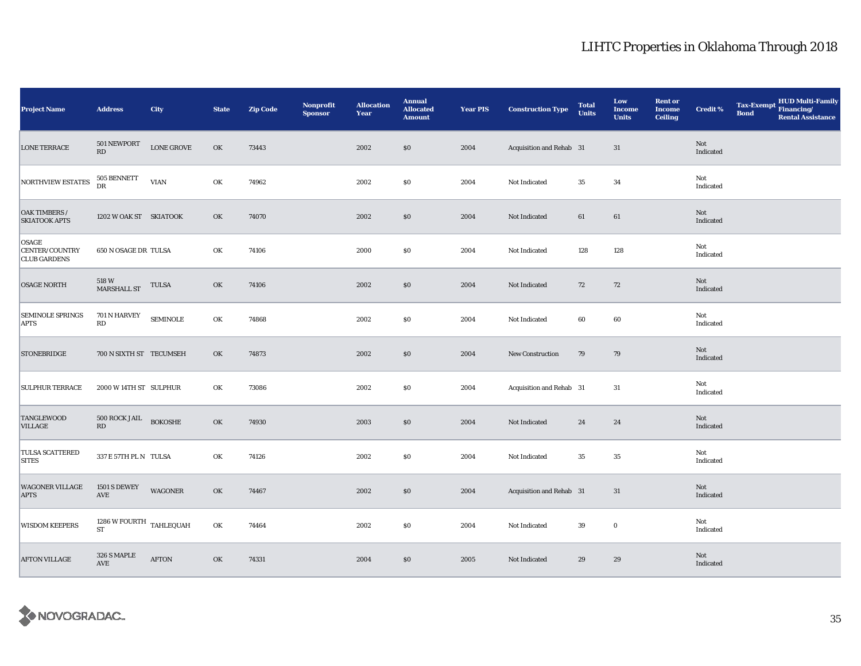| <b>Project Name</b>                                   | <b>Address</b>                              | City              | <b>State</b> | <b>Zip Code</b> | Nonprofit<br><b>Sponsor</b> | <b>Allocation</b><br>Year | <b>Annual</b><br><b>Allocated</b><br><b>Amount</b> | <b>Year PIS</b> | <b>Construction Type</b> | <b>Total</b><br><b>Units</b> | Low<br><b>Income</b><br><b>Units</b> | <b>Rent or</b><br><b>Income</b><br><b>Ceiling</b> | Credit %         | <b>Tax-Exempt</b><br><b>Bond</b> | HUD Multi-Family<br>Financing/<br><b>Rental Assistance</b> |
|-------------------------------------------------------|---------------------------------------------|-------------------|--------------|-----------------|-----------------------------|---------------------------|----------------------------------------------------|-----------------|--------------------------|------------------------------|--------------------------------------|---------------------------------------------------|------------------|----------------------------------|------------------------------------------------------------|
| <b>LONE TERRACE</b>                                   | $501\,\mathrm{NEWPORT}$<br>RD               | <b>LONE GROVE</b> | OK           | 73443           |                             | 2002                      | \$0                                                | 2004            | Acquisition and Rehab 31 |                              | 31                                   |                                                   | Not<br>Indicated |                                  |                                                            |
| NORTHVIEW ESTATES                                     | 505 BENNETT<br>DR                           | <b>VIAN</b>       | OK           | 74962           |                             | 2002                      | $\$0$                                              | 2004            | Not Indicated            | $35\,$                       | 34                                   |                                                   | Not<br>Indicated |                                  |                                                            |
| OAK TIMBERS /<br><b>SKIATOOK APTS</b>                 | 1202 W OAK ST SKIATOOK                      |                   | OK           | 74070           |                             | 2002                      | \$0                                                | 2004            | Not Indicated            | 61                           | 61                                   |                                                   | Not<br>Indicated |                                  |                                                            |
| <b>OSAGE</b><br>CENTER/COUNTRY<br><b>CLUB GARDENS</b> | 650 N OSAGE DR TULSA                        |                   | OK           | 74106           |                             | 2000                      | \$0                                                | 2004            | Not Indicated            | 128                          | 128                                  |                                                   | Not<br>Indicated |                                  |                                                            |
| <b>OSAGE NORTH</b>                                    | 518 W<br>MARSHALL ST                        | <b>TULSA</b>      | OK           | 74106           |                             | 2002                      | \$0                                                | 2004            | Not Indicated            | 72                           | 72                                   |                                                   | Not<br>Indicated |                                  |                                                            |
| <b>SEMINOLE SPRINGS</b><br><b>APTS</b>                | 701 N HARVEY<br>RD                          | <b>SEMINOLE</b>   | OK           | 74868           |                             | 2002                      | \$0                                                | 2004            | Not Indicated            | 60                           | 60                                   |                                                   | Not<br>Indicated |                                  |                                                            |
| <b>STONEBRIDGE</b>                                    | 700 N SIXTH ST TECUMSEH                     |                   | OK           | 74873           |                             | 2002                      | \$0                                                | 2004            | New Construction         | 79                           | 79                                   |                                                   | Not<br>Indicated |                                  |                                                            |
| <b>SULPHUR TERRACE</b>                                | 2000 W 14TH ST SULPHUR                      |                   | OK           | 73086           |                             | 2002                      | \$0                                                | 2004            | Acquisition and Rehab 31 |                              | 31                                   |                                                   | Not<br>Indicated |                                  |                                                            |
| <b>TANGLEWOOD</b><br><b>VILLAGE</b>                   | 500 ROCK JAIL BOKOSHE<br>RD                 |                   | OK           | 74930           |                             | 2003                      | \$0                                                | 2004            | Not Indicated            | 24                           | 24                                   |                                                   | Not<br>Indicated |                                  |                                                            |
| TULSA SCATTERED<br><b>SITES</b>                       | 337 E 57TH PL N TULSA                       |                   | OK           | 74126           |                             | 2002                      | \$0                                                | 2004            | Not Indicated            | 35                           | 35                                   |                                                   | Not<br>Indicated |                                  |                                                            |
| <b>WAGONER VILLAGE</b><br><b>APTS</b>                 | <b>1501 S DEWEY</b><br>$\operatorname{AVE}$ | <b>WAGONER</b>    | OK           | 74467           |                             | 2002                      | $\$0$                                              | 2004            | Acquisition and Rehab 31 |                              | 31                                   |                                                   | Not<br>Indicated |                                  |                                                            |
| <b>WISDOM KEEPERS</b>                                 | $1286\ \mathrm{W}$ FOURTH TAHLEQUAH ST      |                   | OK           | 74464           |                             | 2002                      | \$0                                                | 2004            | Not Indicated            | 39                           | $\bf{0}$                             |                                                   | Not<br>Indicated |                                  |                                                            |
| <b>AFTON VILLAGE</b>                                  | 326 S MAPLE<br>AVE                          | <b>AFTON</b>      | OK           | 74331           |                             | 2004                      | \$0                                                | 2005            | Not Indicated            | 29                           | 29                                   |                                                   | Not<br>Indicated |                                  |                                                            |

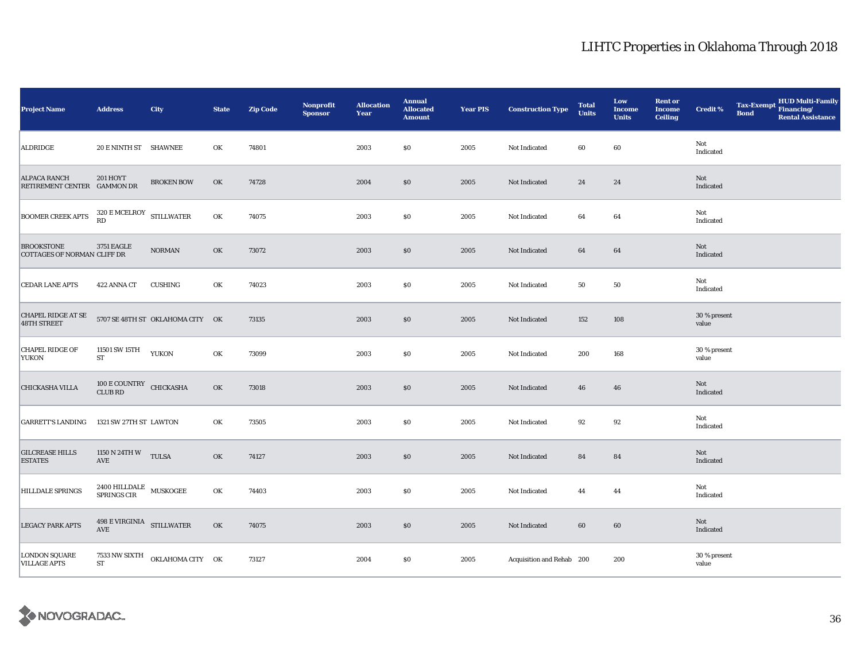| <b>Project Name</b>                                | <b>Address</b>                              | City                             | <b>State</b> | <b>Zip Code</b> | <b>Nonprofit</b><br><b>Sponsor</b> | <b>Allocation</b><br>Year | <b>Annual</b><br><b>Allocated</b><br><b>Amount</b> | <b>Year PIS</b> | <b>Construction Type</b>  | <b>Total</b><br><b>Units</b> | Low<br><b>Income</b><br><b>Units</b> | <b>Rent or</b><br><b>Income</b><br><b>Ceiling</b> | <b>Credit %</b>       | <b>Tax-Exempt</b><br><b>Bond</b> | HUD Multi-Family<br>Financing/<br><b>Rental Assistance</b> |
|----------------------------------------------------|---------------------------------------------|----------------------------------|--------------|-----------------|------------------------------------|---------------------------|----------------------------------------------------|-----------------|---------------------------|------------------------------|--------------------------------------|---------------------------------------------------|-----------------------|----------------------------------|------------------------------------------------------------|
| <b>ALDRIDGE</b>                                    | 20 E NINTH ST SHAWNEE                       |                                  | OK           | 74801           |                                    | 2003                      | \$0                                                | 2005            | Not Indicated             | 60                           | 60                                   |                                                   | Not<br>Indicated      |                                  |                                                            |
| <b>ALPACA RANCH</b><br>RETIREMENT CENTER GAMMON DR | <b>201 HOYT</b>                             | <b>BROKEN BOW</b>                | OK           | 74728           |                                    | 2004                      | $\$0$                                              | 2005            | Not Indicated             | 24                           | 24                                   |                                                   | Not<br>Indicated      |                                  |                                                            |
| <b>BOOMER CREEK APTS</b>                           | $320\,$ E MCELROY $$\rm STILLWATER$$ RD     |                                  | OK           | 74075           |                                    | 2003                      | \$0                                                | 2005            | Not Indicated             | 64                           | 64                                   |                                                   | Not<br>Indicated      |                                  |                                                            |
| <b>BROOKSTONE</b><br>COTTAGES OF NORMAN CLIFF DR   | <b>3751 EAGLE</b>                           | <b>NORMAN</b>                    | OK           | 73072           |                                    | 2003                      | \$0                                                | 2005            | Not Indicated             | 64                           | 64                                   |                                                   | Not<br>Indicated      |                                  |                                                            |
| <b>CEDAR LANE APTS</b>                             | 422 ANNA CT                                 | <b>CUSHING</b>                   | OK           | 74023           |                                    | 2003                      | S <sub>0</sub>                                     | 2005            | Not Indicated             | 50                           | 50                                   |                                                   | Not<br>Indicated      |                                  |                                                            |
| CHAPEL RIDGE AT SE<br>48TH STREET                  |                                             | 5707 SE 48TH ST OKLAHOMA CITY OK |              | 73135           |                                    | 2003                      | \$0                                                | 2005            | Not Indicated             | 152                          | 108                                  |                                                   | 30 % present<br>value |                                  |                                                            |
| <b>CHAPEL RIDGE OF</b><br><b>YUKON</b>             | 11501 SW 15TH<br>ST                         | <b>YUKON</b>                     | OK           | 73099           |                                    | 2003                      | \$0                                                | 2005            | Not Indicated             | 200                          | 168                                  |                                                   | 30 % present<br>value |                                  |                                                            |
| CHICKASHA VILLA                                    | 100 E COUNTRY CHICKASHA<br><b>CLUB RD</b>   |                                  | OK           | 73018           |                                    | 2003                      | $\$0$                                              | 2005            | Not Indicated             | 46                           | 46                                   |                                                   | Not<br>Indicated      |                                  |                                                            |
| <b>GARRETT'S LANDING</b>                           | 1321 SW 27TH ST LAWTON                      |                                  | OK           | 73505           |                                    | 2003                      | \$0                                                | 2005            | Not Indicated             | 92                           | 92                                   |                                                   | Not<br>Indicated      |                                  |                                                            |
| <b>GILCREASE HILLS</b><br><b>ESTATES</b>           | 1150 N 24TH W TULSA<br>$\operatorname{AVE}$ |                                  | OK           | 74127           |                                    | 2003                      | \$0                                                | 2005            | Not Indicated             | 84                           | 84                                   |                                                   | Not<br>Indicated      |                                  |                                                            |
| HILLDALE SPRINGS                                   | 2400 HILLDALE MUSKOGEE<br>SPRINGS CIR       |                                  | OK           | 74403           |                                    | 2003                      | \$0                                                | 2005            | Not Indicated             | 44                           | 44                                   |                                                   | Not<br>Indicated      |                                  |                                                            |
| <b>LEGACY PARK APTS</b>                            | 498 E VIRGINIA STILLWATER<br>AVE            |                                  | OK           | 74075           |                                    | 2003                      | \$0                                                | 2005            | Not Indicated             | 60                           | 60                                   |                                                   | Not<br>Indicated      |                                  |                                                            |
| <b>LONDON SQUARE</b><br><b>VILLAGE APTS</b>        | 7533 NW SIXTH<br>${\rm ST}$                 | OKLAHOMA CITY OK                 |              | 73127           |                                    | 2004                      | \$0                                                | 2005            | Acquisition and Rehab 200 |                              | 200                                  |                                                   | 30 % present<br>value |                                  |                                                            |

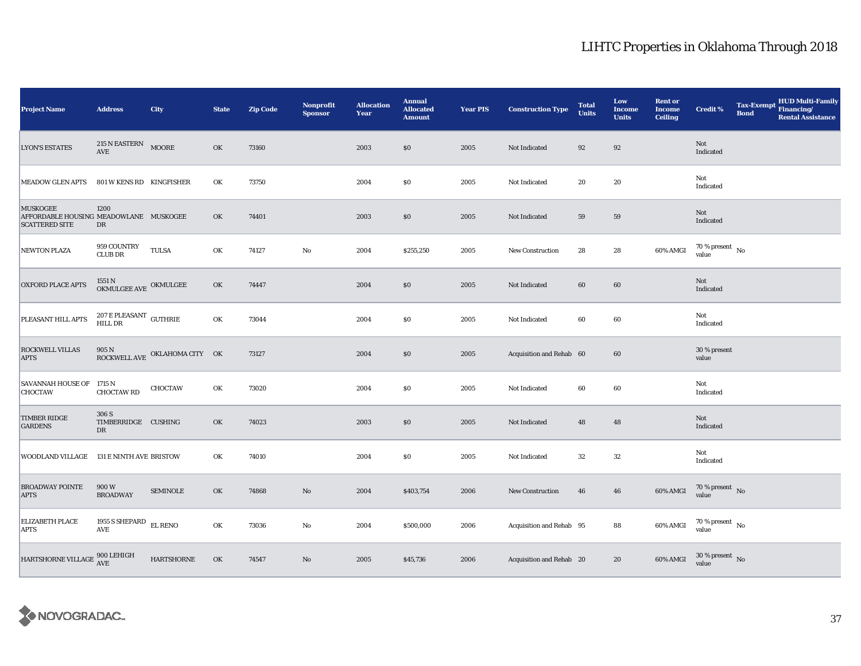| <b>Project Name</b>                                                                | <b>Address</b>                                       | City                          | <b>State</b> | <b>Zip Code</b> | Nonprofit<br><b>Sponsor</b> | <b>Allocation</b><br>Year | <b>Annual</b><br><b>Allocated</b><br><b>Amount</b> | <b>Year PIS</b> | <b>Construction Type</b> | <b>Total</b><br><b>Units</b> | Low<br><b>Income</b><br><b>Units</b> | <b>Rent or</b><br><b>Income</b><br><b>Ceiling</b> | Credit %                                 | <b>Tax-Exempt</b><br><b>Bond</b> | <b>HUD Multi-Family</b><br>Financing/<br><b>Rental Assistance</b> |
|------------------------------------------------------------------------------------|------------------------------------------------------|-------------------------------|--------------|-----------------|-----------------------------|---------------------------|----------------------------------------------------|-----------------|--------------------------|------------------------------|--------------------------------------|---------------------------------------------------|------------------------------------------|----------------------------------|-------------------------------------------------------------------|
| <b>LYON'S ESTATES</b>                                                              | 215 N EASTERN MOORE<br>$\operatorname{\mathbf{AVE}}$ |                               | OK           | 73160           |                             | 2003                      | \$0                                                | 2005            | Not Indicated            | $\bf{92}$                    | 92                                   |                                                   | Not<br>Indicated                         |                                  |                                                                   |
| <b>MEADOW GLEN APTS</b>                                                            | 801 W KENS RD KINGFISHER                             |                               | OK           | 73750           |                             | 2004                      | \$0                                                | 2005            | Not Indicated            | 20                           | 20                                   |                                                   | Not<br>Indicated                         |                                  |                                                                   |
| <b>MUSKOGEE</b><br>AFFORDABLE HOUSING MEADOWLANE MUSKOGEE<br><b>SCATTERED SITE</b> | 1200<br>DR                                           |                               | OK           | 74401           |                             | 2003                      | \$0                                                | 2005            | Not Indicated            | 59                           | 59                                   |                                                   | Not<br>Indicated                         |                                  |                                                                   |
| <b>NEWTON PLAZA</b>                                                                | 959 COUNTRY<br><b>CLUB DR</b>                        | <b>TULSA</b>                  | OK           | 74127           | $\rm No$                    | 2004                      | \$255,250                                          | 2005            | <b>New Construction</b>  | 28                           | 28                                   | 60% AMGI                                          | $70\,\%$ present $_{\, \rm No}$<br>value |                                  |                                                                   |
| <b>OXFORD PLACE APTS</b>                                                           | $1551$ N $$\sf OKMULGEE$ AVE $\sf OKMULGEE$          |                               | OK           | 74447           |                             | 2004                      | \$0                                                | 2005            | Not Indicated            | 60                           | 60                                   |                                                   | Not<br>Indicated                         |                                  |                                                                   |
| PLEASANT HILL APTS                                                                 | $207\,\mathrm{E}\,\mathrm{PLEASANT}$ GUTHRIE HILL DR |                               | OK           | 73044           |                             | 2004                      | \$0                                                | 2005            | Not Indicated            | 60                           | 60                                   |                                                   | Not<br>Indicated                         |                                  |                                                                   |
| <b>ROCKWELL VILLAS</b><br><b>APTS</b>                                              | 905 N                                                | ROCKWELL AVE OKLAHOMA CITY OK |              | 73127           |                             | 2004                      | \$0                                                | 2005            | Acquisition and Rehab 60 |                              | 60                                   |                                                   | 30 % present<br>value                    |                                  |                                                                   |
| SAVANNAH HOUSE OF 1715 N<br><b>CHOCTAW</b>                                         | <b>CHOCTAW RD</b>                                    | <b>CHOCTAW</b>                | OK           | 73020           |                             | 2004                      | \$0                                                | 2005            | Not Indicated            | 60                           | 60                                   |                                                   | Not<br>Indicated                         |                                  |                                                                   |
| <b>TIMBER RIDGE</b><br><b>GARDENS</b>                                              | 306 S<br>TIMBERRIDGE CUSHING<br>DR                   |                               | OK           | 74023           |                             | 2003                      | \$0                                                | 2005            | Not Indicated            | 48                           | 48                                   |                                                   | Not<br>Indicated                         |                                  |                                                                   |
| WOODLAND VILLAGE                                                                   | 131 E NINTH AVE BRISTOW                              |                               | OK           | 74010           |                             | 2004                      | SO.                                                | 2005            | Not Indicated            | 32                           | 32                                   |                                                   | Not<br>Indicated                         |                                  |                                                                   |
| <b>BROADWAY POINTE</b><br><b>APTS</b>                                              | 900 W<br><b>BROADWAY</b>                             | <b>SEMINOLE</b>               | OK           | 74868           | $\rm No$                    | 2004                      | \$403,754                                          | 2006            | New Construction         | 46                           | 46                                   | 60% AMGI                                          | $70\%$ present No<br>value               |                                  |                                                                   |
| ELIZABETH PLACE<br><b>APTS</b>                                                     | 1955 S SHEPARD $\,$ EL RENO $\,$<br>AVE              |                               | OK           | 73036           | $\mathbf{No}$               | 2004                      | \$500,000                                          | 2006            | Acquisition and Rehab 95 |                              | 88                                   | 60% AMGI                                          | $70\,\%$ present $\,$ No value           |                                  |                                                                   |
| HARTSHORNE VILLAGE $\frac{900}{\rm AVE}$                                           |                                                      | <b>HARTSHORNE</b>             | OK           | 74547           | $\rm No$                    | 2005                      | \$45,736                                           | 2006            | Acquisition and Rehab 20 |                              | 20                                   | 60% AMGI                                          | $30\,\%$ present $\,$ No value           |                                  |                                                                   |

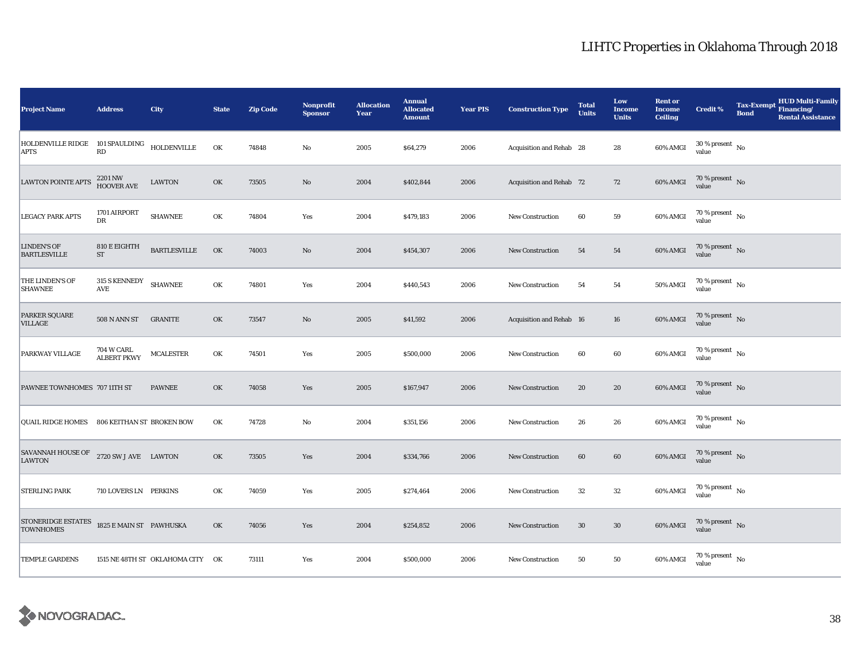| <b>Project Name</b>                                        | <b>Address</b>                        | City                             | <b>State</b> | <b>Zip Code</b> | Nonprofit<br><b>Sponsor</b> | <b>Allocation</b><br>Year | <b>Annual</b><br><b>Allocated</b><br><b>Amount</b> | <b>Year PIS</b> | <b>Construction Type</b> | <b>Total</b><br><b>Units</b> | Low<br><b>Income</b><br><b>Units</b> | <b>Rent or</b><br><b>Income</b><br><b>Ceiling</b> | Credit %                             | <b>Tax-Exempt</b><br><b>Bond</b> | <b>HUD Multi-Family</b><br>Financing/<br><b>Rental Assistance</b> |
|------------------------------------------------------------|---------------------------------------|----------------------------------|--------------|-----------------|-----------------------------|---------------------------|----------------------------------------------------|-----------------|--------------------------|------------------------------|--------------------------------------|---------------------------------------------------|--------------------------------------|----------------------------------|-------------------------------------------------------------------|
| HOLDENVILLE RIDGE 101 SPAULDING HOLDENVILLE<br><b>APTS</b> | RD                                    |                                  | OK           | 74848           | $\rm No$                    | 2005                      | \$64,279                                           | 2006            | Acquisition and Rehab 28 |                              | 28                                   | 60% AMGI                                          | $30\,\%$ present $\,$ No value       |                                  |                                                                   |
| <b>LAWTON POINTE APTS</b>                                  | 2201 NW<br>HOOVER AVE                 | LAWTON                           | OK           | 73505           | $\rm No$                    | 2004                      | \$402,844                                          | 2006            | Acquisition and Rehab 72 |                              | 72                                   | 60% AMGI                                          | $70\,\%$ present $\,$ No value       |                                  |                                                                   |
| <b>LEGACY PARK APTS</b>                                    | 1701 AIRPORT<br>DR                    | <b>SHAWNEE</b>                   | OK           | 74804           | Yes                         | 2004                      | \$479,183                                          | 2006            | <b>New Construction</b>  | 60                           | ${\bf 59}$                           | 60% AMGI                                          | $70\,\%$ present $\,$ No value       |                                  |                                                                   |
| <b>LINDEN'S OF</b><br><b>BARTLESVILLE</b>                  | 810 E EIGHTH<br>$\operatorname{ST}$   | <b>BARTLESVILLE</b>              | OK           | 74003           | $\mathbf{N}\mathbf{o}$      | 2004                      | \$454,307                                          | 2006            | New Construction         | 54                           | 54                                   | 60% AMGI                                          | $70\,\%$ present $\,$ No value       |                                  |                                                                   |
| THE LINDEN'S OF<br><b>SHAWNEE</b>                          | 315 S KENNEDY<br>$\operatorname{AVE}$ | <b>SHAWNEE</b>                   | OK           | 74801           | Yes                         | 2004                      | \$440,543                                          | 2006            | <b>New Construction</b>  | 54                           | 54                                   | 50% AMGI                                          | $70\,\%$ present $\,$ No value       |                                  |                                                                   |
| <b>PARKER SQUARE</b><br><b>VILLAGE</b>                     | 508 N ANN ST                          | <b>GRANITE</b>                   | OK           | 73547           | No                          | 2005                      | \$41,592                                           | 2006            | Acquisition and Rehab 16 |                              | 16                                   | 60% AMGI                                          | $70\,\%$ present $\,$ No value       |                                  |                                                                   |
| PARKWAY VILLAGE                                            | 704 W CARL<br><b>ALBERT PKWY</b>      | <b>MCALESTER</b>                 | OK           | 74501           | Yes                         | 2005                      | \$500,000                                          | 2006            | New Construction         | 60                           | $60\,$                               | 60% AMGI                                          | 70 % present $\hbox{~No}$<br>value   |                                  |                                                                   |
| PAWNEE TOWNHOMES 707 11TH ST                               |                                       | <b>PAWNEE</b>                    | OK           | 74058           | Yes                         | 2005                      | \$167,947                                          | 2006            | New Construction         | 20                           | ${\bf 20}$                           | 60% AMGI                                          | 70 % present $\,$ No $\,$<br>value   |                                  |                                                                   |
| QUAIL RIDGE HOMES 806 KEITHAN ST BROKEN BOW                |                                       |                                  | OK           | 74728           | No                          | 2004                      | \$351,156                                          | 2006            | <b>New Construction</b>  | 26                           | 26                                   | 60% AMGI                                          | $70\,\%$ present $\,$ No value       |                                  |                                                                   |
| SAVANNAH HOUSE OF<br><b>LAWTON</b>                         | 2720 SW J AVE LAWTON                  |                                  | OK           | 73505           | Yes                         | 2004                      | \$334,766                                          | 2006            | <b>New Construction</b>  | 60                           | $60\,$                               | $60\%$ AMGI                                       | $70\,\%$ present $\,$ No value       |                                  |                                                                   |
| <b>STERLING PARK</b>                                       | 710 LOVERS LN PERKINS                 |                                  | OK           | 74059           | Yes                         | 2005                      | \$274,464                                          | 2006            | New Construction         | $32\,$                       | $32\,$                               | 60% AMGI                                          | 70 % present $\hbox{~No}$<br>value   |                                  |                                                                   |
| STONERIDGE ESTATES<br><b>TOWNHOMES</b>                     | 1825 E MAIN ST PAWHUSKA               |                                  | OK           | 74056           | Yes                         | 2004                      | \$254,852                                          | 2006            | New Construction         | 30                           | 30                                   | 60% AMGI                                          | $70\,\%$ present $\,$ No value       |                                  |                                                                   |
| <b>TEMPLE GARDENS</b>                                      |                                       | 1515 NE 48TH ST OKLAHOMA CITY OK |              | 73111           | Yes                         | 2004                      | \$500,000                                          | 2006            | New Construction         | 50                           | ${\bf 50}$                           | 60% AMGI                                          | $70$ % present $\,$ No $\,$<br>value |                                  |                                                                   |